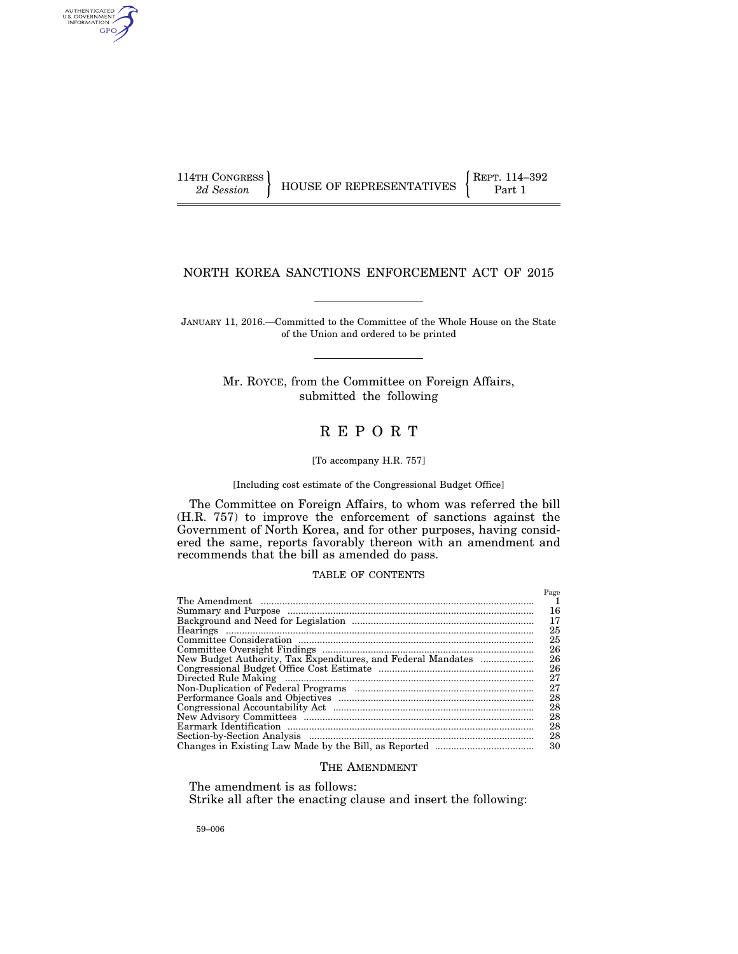AUTHENTICATED<br>U.S. GOVERNMENT<br>INFORMATION GPO

114TH CONGRESS **REPRESENTATIVES** REPRESENTATIVES **Part 1** 

## NORTH KOREA SANCTIONS ENFORCEMENT ACT OF 2015

JANUARY 11, 2016.—Committed to the Committee of the Whole House on the State of the Union and ordered to be printed

> Mr. ROYCE, from the Committee on Foreign Affairs, submitted the following

## R E P O R T

#### [To accompany H.R. 757]

[Including cost estimate of the Congressional Budget Office]

The Committee on Foreign Affairs, to whom was referred the bill (H.R. 757) to improve the enforcement of sanctions against the Government of North Korea, and for other purposes, having considered the same, reports favorably thereon with an amendment and recommends that the bill as amended do pass.

### TABLE OF CONTENTS

|                                                              | Page |
|--------------------------------------------------------------|------|
|                                                              | -1   |
|                                                              | 16   |
|                                                              | 17   |
|                                                              | 25   |
|                                                              | 25   |
|                                                              | 26   |
| New Budget Authority, Tax Expenditures, and Federal Mandates | 26   |
|                                                              | 26   |
|                                                              | 27   |
|                                                              | 27   |
|                                                              | 28   |
|                                                              | 28   |
|                                                              | 28   |
|                                                              | 28   |
|                                                              | 28   |
|                                                              | 30   |
|                                                              |      |

### THE AMENDMENT

The amendment is as follows:

Strike all after the enacting clause and insert the following:

59–006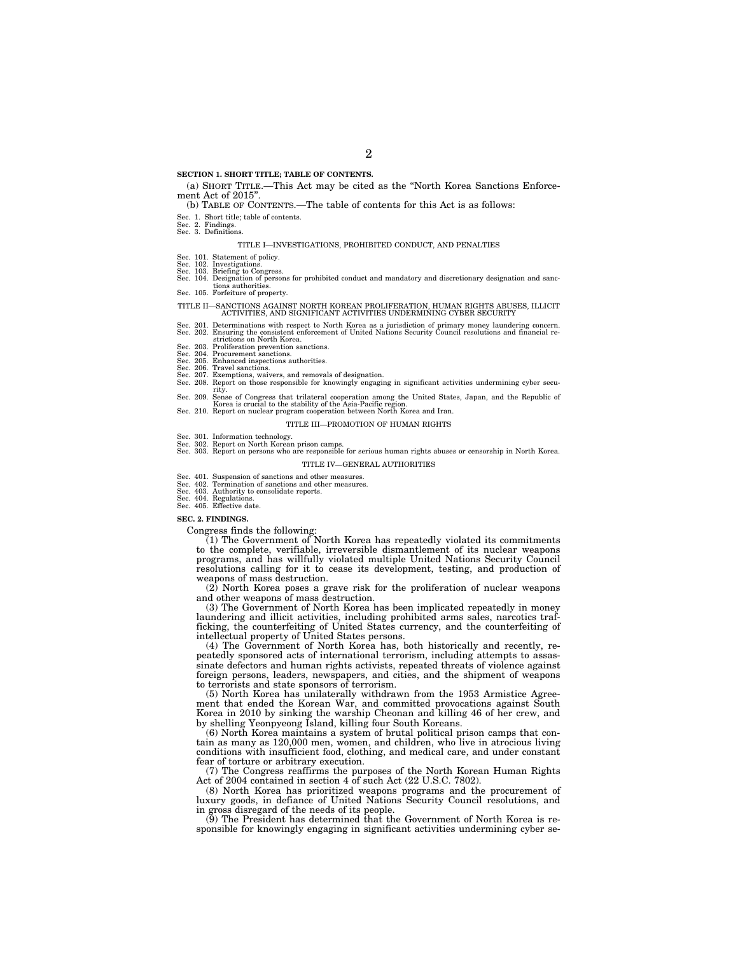#### **SECTION 1. SHORT TITLE; TABLE OF CONTENTS.**

#### (a) SHORT TITLE.—This Act may be cited as the ''North Korea Sanctions Enforcement Act of 2015"

(b) TABLE OF CONTENTS.—The table of contents for this Act is as follows:

- Sec. 1. Short title; table of contents. Sec. 2. Findings. Sec. 3. Definitions.
- 

#### TITLE I—INVESTIGATIONS, PROHIBITED CONDUCT, AND PENALTIES

- Sec. 101. Statement of policy.
- 
- Sec. 102. Investigations. Sec. 103. Briefing to Congress. Sec. 104. Designation of persons for prohibited conduct and mandatory and discretionary designation and sanc-tions authorities. Sec. 105. Forfeiture of property.
- 
- TITLE II—SANCTIONS AGAINST NORTH KOREAN PROLIFERATION, HUMAN RIGHTS ABUSES, ILLICIT ACTIVITIES, AND SIGNIFICANT ACTIVITIES UNDERMINING CYBER SECURITY
- Sec. 201. Determinations with respect to North Korea as a jurisdiction of primary money laundering concern.<br>Sec. 202. Ensuring the consistent enforcement of United Nations Security Council resolutions and financial re-<br>Sec
- 
- 
- 
- 
- Sec. 205. Enhanced inspections authorities.<br>Sec. 206. Travel sanctions.<br>Sec. 207. Exemptions, waivers, and removals of designation.<br>Sec. 208. Report on those responsible for knowingly engaging in significant activities und
- rity.<br>Sec. 209. Sense of Congress that trilateral cooperation among the United States, Japan, and the Republic of<br>Sec. 210. Keport on nuclear program cooperation between North Korea and Iran.
	-

#### TITLE III—PROMOTION OF HUMAN RIGHTS

- 
- 
- Sec. 301. Information technology. Sec. 302. Report on North Korean prison camps. Sec. 303. Report on persons who are responsible for serious human rights abuses or censorship in North Korea.

### TITLE IV—GENERAL AUTHORITIES

- Sec. 401. Suspension of sanctions and other measures.
- Sec. 402. Termination of sanctions and other measures. Sec. 403. Authority to consolidate reports. Sec. 404. Regulations. Sec. 405. Effective date.
- 
- 

#### **SEC. 2. FINDINGS.**

Congress finds the following:

(1) The Government of North Korea has repeatedly violated its commitments to the complete, verifiable, irreversible dismantlement of its nuclear weapons programs, and has willfully violated multiple United Nations Security Council resolutions calling for it to cease its development, testing, and production of weapons of mass destruction.

(2) North Korea poses a grave risk for the proliferation of nuclear weapons and other weapons of mass destruction.

(3) The Government of North Korea has been implicated repeatedly in money laundering and illicit activities, including prohibited arms sales, narcotics trafficking, the counterfeiting of United States currency, and the counterfeiting of intellectual property of United States persons.

(4) The Government of North Korea has, both historically and recently, repeatedly sponsored acts of international terrorism, including attempts to assassinate defectors and human rights activists, repeated threats of violence against foreign persons, leaders, newspapers, and cities, and the shipment of weapons to terrorists and state sponsors of terrorism.

(5) North Korea has unilaterally withdrawn from the 1953 Armistice Agreement that ended the Korean War, and committed provocations against South Korea in 2010 by sinking the warship Cheonan and killing 46 of her crew, and by shelling Yeonpyeong Island, killing four South Koreans.

(6) North Korea maintains a system of brutal political prison camps that contain as many as 120,000 men, women, and children, who live in atrocious living conditions with insufficient food, clothing, and medical care, and under constant fear of torture or arbitrary execution.

(7) The Congress reaffirms the purposes of the North Korean Human Rights Act of 2004 contained in section 4 of such Act (22 U.S.C. 7802).

(8) North Korea has prioritized weapons programs and the procurement of luxury goods, in defiance of United Nations Security Council resolutions, and in gross disregard of the needs of its people.

 $(9)$  The President has determined that the Government of North Korea is responsible for knowingly engaging in significant activities undermining cyber se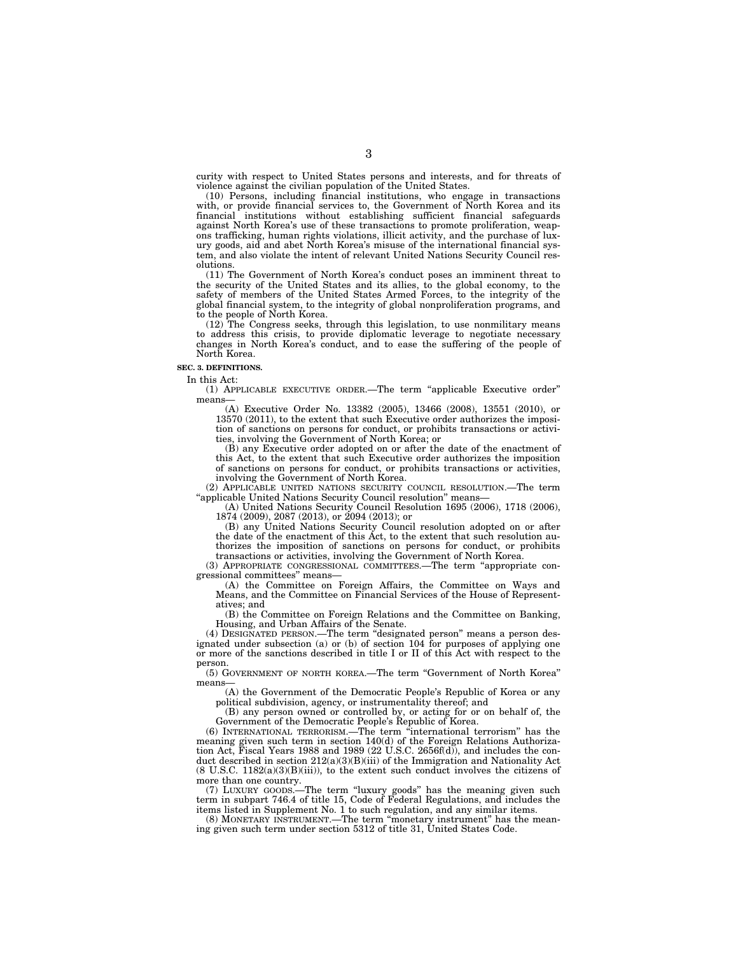curity with respect to United States persons and interests, and for threats of violence against the civilian population of the United States.

(10) Persons, including financial institutions, who engage in transactions with, or provide financial services to, the Government of North Korea and its financial institutions without establishing sufficient financial safeguards against North Korea's use of these transactions to promote proliferation, weapons trafficking, human rights violations, illicit activity, and the purchase of luxury goods, aid and abet North Korea's misuse of the international financial system, and also violate the intent of relevant United Nations Security Council resolutions.

(11) The Government of North Korea's conduct poses an imminent threat to the security of the United States and its allies, to the global economy, to the safety of members of the United States Armed Forces, to the integrity of the global financial system, to the integrity of global nonproliferation programs, and to the people of North Korea.

(12) The Congress seeks, through this legislation, to use nonmilitary means to address this crisis, to provide diplomatic leverage to negotiate necessary changes in North Korea's conduct, and to ease the suffering of the people of North Korea.

#### **SEC. 3. DEFINITIONS.**

In this Act:

(1) APPLICABLE EXECUTIVE ORDER.—The term ''applicable Executive order'' means—

(A) Executive Order No. 13382 (2005), 13466 (2008), 13551 (2010), or 13570 (2011), to the extent that such Executive order authorizes the imposition of sanctions on persons for conduct, or prohibits transactions or activities, involving the Government of North Korea; or

(B) any Executive order adopted on or after the date of the enactment of this Act, to the extent that such Executive order authorizes the imposition of sanctions on persons for conduct, or prohibits transactions or activities, involving the Government of North Korea.

(2) APPLICABLE UNITED NATIONS SECURITY COUNCIL RESOLUTION.—The term "applicable United Nations Security Council resolution" means-

(A) United Nations Security Council Resolution 1695 (2006), 1718 (2006), 1874 (2009), 2087 (2013), or 2094 (2013); or

(B) any United Nations Security Council resolution adopted on or after the date of the enactment of this Act, to the extent that such resolution authorizes the imposition of sanctions on persons for conduct, or prohibits transactions or activities, involving the Government of North Korea.

(3) APPROPRIATE CONGRESSIONAL COMMITTEES.—The term ''appropriate congressional committees'' means—

(A) the Committee on Foreign Affairs, the Committee on Ways and Means, and the Committee on Financial Services of the House of Representatives; and

(B) the Committee on Foreign Relations and the Committee on Banking, Housing, and Urban Affairs of the Senate.

(4) DESIGNATED PERSON.—The term ''designated person'' means a person designated under subsection (a) or (b) of section 104 for purposes of applying one or more of the sanctions described in title I or II of this Act with respect to the person.

(5) GOVERNMENT OF NORTH KOREA.—The term ''Government of North Korea'' means—

(A) the Government of the Democratic People's Republic of Korea or any political subdivision, agency, or instrumentality thereof; and

(B) any person owned or controlled by, or acting for or on behalf of, the Government of the Democratic People's Republic of Korea.

(6) INTERNATIONAL TERRORISM.—The term ''international terrorism'' has the meaning given such term in section 140(d) of the Foreign Relations Authorization Act, Fiscal Years 1988 and 1989  $(22 \text{ U.S.C. } 2656 \text{ (d)}),$  and includes the conduct described in section 212(a)(3)(B)(iii) of the Immigration and Nationality Act  $(8 \text{ U.S.C. } 1182(a)(3)(B)(iii))$ , to the extent such conduct involves the citizens of more than one country.

(7) LUXURY GOODS.—The term ''luxury goods'' has the meaning given such term in subpart 746.4 of title 15, Code of Federal Regulations, and includes the items listed in Supplement No. 1 to such regulation, and any similar items.

(8) MONETARY INSTRUMENT.—The term ''monetary instrument'' has the meaning given such term under section 5312 of title 31, United States Code.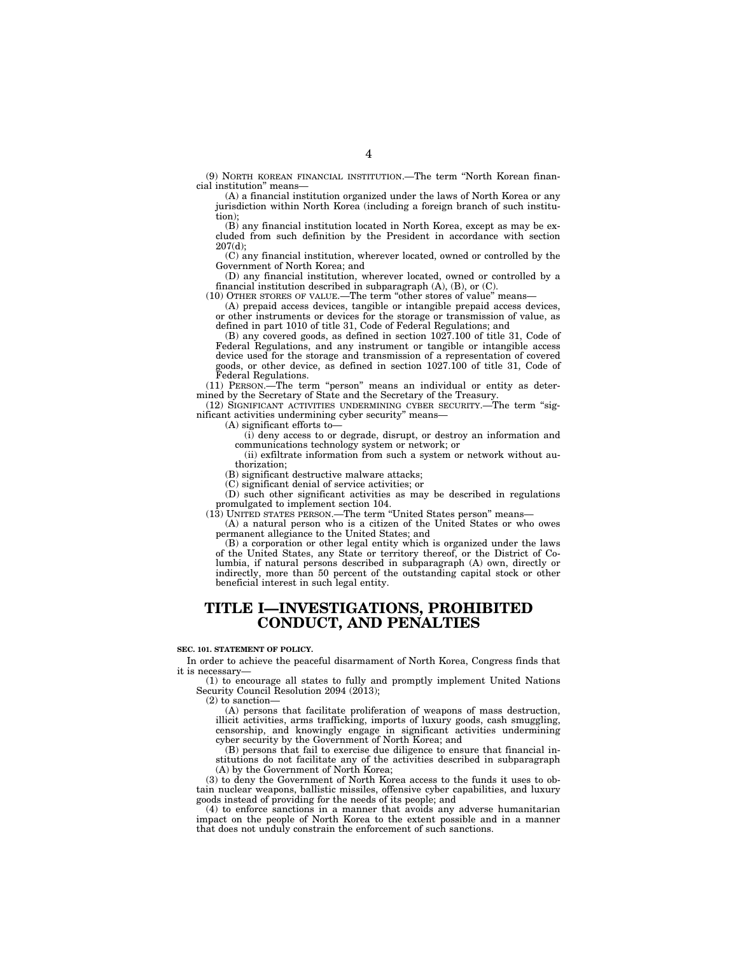(9) NORTH KOREAN FINANCIAL INSTITUTION.—The term ''North Korean financial institution'' means—

(A) a financial institution organized under the laws of North Korea or any jurisdiction within North Korea (including a foreign branch of such institution);

(B) any financial institution located in North Korea, except as may be excluded from such definition by the President in accordance with section  $207(d)$ :

(C) any financial institution, wherever located, owned or controlled by the Government of North Korea; and

(D) any financial institution, wherever located, owned or controlled by a financial institution described in subparagraph (A), (B), or (C).

(10) OTHER STORES OF VALUE.—The term ''other stores of value'' means—

(A) prepaid access devices, tangible or intangible prepaid access devices, or other instruments or devices for the storage or transmission of value, as defined in part 1010 of title 31, Code of Federal Regulations; and

(B) any covered goods, as defined in section 1027.100 of title 31, Code of Federal Regulations, and any instrument or tangible or intangible access device used for the storage and transmission of a representation of covered goods, or other device, as defined in section 1027.100 of title 31, Code of Federal Regulations.

(11) PERSON.—The term ''person'' means an individual or entity as determined by the Secretary of State and the Secretary of the Treasury.

(12) SIGNIFICANT ACTIVITIES UNDERMINING CYBER SECURITY.—The term ''significant activities undermining cyber security'' means—

(A) significant efforts to—

(i) deny access to or degrade, disrupt, or destroy an information and communications technology system or network; or

(ii) exfiltrate information from such a system or network without au-

thorization;

(B) significant destructive malware attacks;

(C) significant denial of service activities; or

(D) such other significant activities as may be described in regulations promulgated to implement section 104.

(13) UNITED STATES PERSON.—The term ''United States person'' means— (A) a natural person who is a citizen of the United States or who owes

permanent allegiance to the United States; and

(B) a corporation or other legal entity which is organized under the laws of the United States, any State or territory thereof, or the District of Columbia, if natural persons described in subparagraph (A) own, directly or indirectly, more than 50 percent of the outstanding capital stock or other beneficial interest in such legal entity.

## **TITLE I—INVESTIGATIONS, PROHIBITED CONDUCT, AND PENALTIES**

#### **SEC. 101. STATEMENT OF POLICY.**

In order to achieve the peaceful disarmament of North Korea, Congress finds that it is necessary—

(1) to encourage all states to fully and promptly implement United Nations Security Council Resolution 2094 (2013);

(2) to sanction—

(A) persons that facilitate proliferation of weapons of mass destruction, illicit activities, arms trafficking, imports of luxury goods, cash smuggling, censorship, and knowingly engage in significant activities undermining cyber security by the Government of North Korea; and

(B) persons that fail to exercise due diligence to ensure that financial institutions do not facilitate any of the activities described in subparagraph (A) by the Government of North Korea;

(3) to deny the Government of North Korea access to the funds it uses to obtain nuclear weapons, ballistic missiles, offensive cyber capabilities, and luxury goods instead of providing for the needs of its people; and

(4) to enforce sanctions in a manner that avoids any adverse humanitarian impact on the people of North Korea to the extent possible and in a manner that does not unduly constrain the enforcement of such sanctions.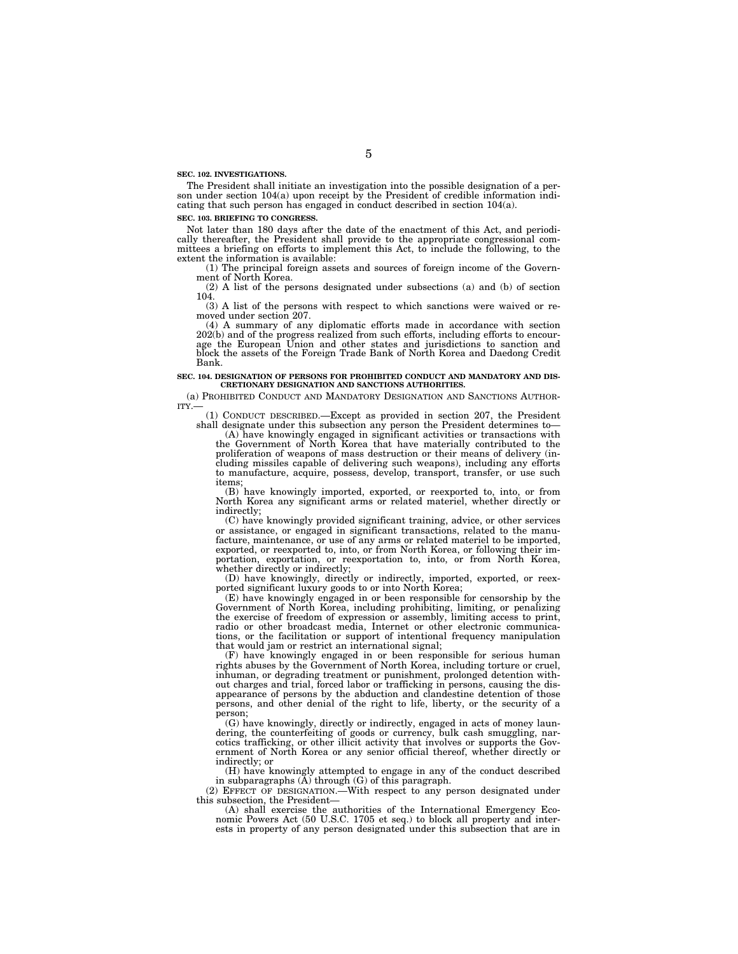**SEC. 102. INVESTIGATIONS.** 

The President shall initiate an investigation into the possible designation of a person under section 104(a) upon receipt by the President of credible information indicating that such person has engaged in conduct described in section 104(a).

#### **SEC. 103. BRIEFING TO CONGRESS.**

Not later than 180 days after the date of the enactment of this Act, and periodically thereafter, the President shall provide to the appropriate congressional committees a briefing on efforts to implement this Act, to include the following, to the extent the information is available:

(1) The principal foreign assets and sources of foreign income of the Government of North Korea.

(2) A list of the persons designated under subsections (a) and (b) of section 104.

(3) A list of the persons with respect to which sanctions were waived or removed under section 207.

(4) A summary of any diplomatic efforts made in accordance with section 202(b) and of the progress realized from such efforts, including efforts to encourage the European Union and other states and jurisdictions to sanction and block the assets of the Foreign Trade Bank of North Korea and Daedong Credit Bank.

#### **SEC. 104. DESIGNATION OF PERSONS FOR PROHIBITED CONDUCT AND MANDATORY AND DIS-CRETIONARY DESIGNATION AND SANCTIONS AUTHORITIES.**

(a) PROHIBITED CONDUCT AND MANDATORY DESIGNATION AND SANCTIONS AUTHOR- $ITY.$  (1) CONDUCT DESCRIBED.—Except as provided in section 207, the President

shall designate under this subsection any person the President determines to—

(A) have knowingly engaged in significant activities or transactions with the Government of North Korea that have materially contributed to the proliferation of weapons of mass destruction or their means of delivery (including missiles capable of delivering such weapons), including any efforts to manufacture, acquire, possess, develop, transport, transfer, or use such items;

(B) have knowingly imported, exported, or reexported to, into, or from North Korea any significant arms or related materiel, whether directly or indirectly;

(C) have knowingly provided significant training, advice, or other services or assistance, or engaged in significant transactions, related to the manufacture, maintenance, or use of any arms or related materiel to be imported, exported, or reexported to, into, or from North Korea, or following their importation, exportation, or reexportation to, into, or from North Korea, whether directly or indirectly;

(D) have knowingly, directly or indirectly, imported, exported, or reexported significant luxury goods to or into North Korea;

(E) have knowingly engaged in or been responsible for censorship by the Government of North Korea, including prohibiting, limiting, or penalizing the exercise of freedom of expression or assembly, limiting access to print, radio or other broadcast media, Internet or other electronic communications, or the facilitation or support of intentional frequency manipulation that would jam or restrict an international signal;

(F) have knowingly engaged in or been responsible for serious human rights abuses by the Government of North Korea, including torture or cruel, inhuman, or degrading treatment or punishment, prolonged detention without charges and trial, forced labor or trafficking in persons, causing the disappearance of persons by the abduction and clandestine detention of those persons, and other denial of the right to life, liberty, or the security of a person;

(G) have knowingly, directly or indirectly, engaged in acts of money laundering, the counterfeiting of goods or currency, bulk cash smuggling, narcotics trafficking, or other illicit activity that involves or supports the Government of North Korea or any senior official thereof, whether directly or indirectly; or

(H) have knowingly attempted to engage in any of the conduct described in subparagraphs  $(\check{A})$  through  $(G)$  of this paragraph.

(2) EFFECT OF DESIGNATION.—With respect to any person designated under this subsection, the President—

(A) shall exercise the authorities of the International Emergency Economic Powers Act (50 U.S.C. 1705 et seq.) to block all property and interests in property of any person designated under this subsection that are in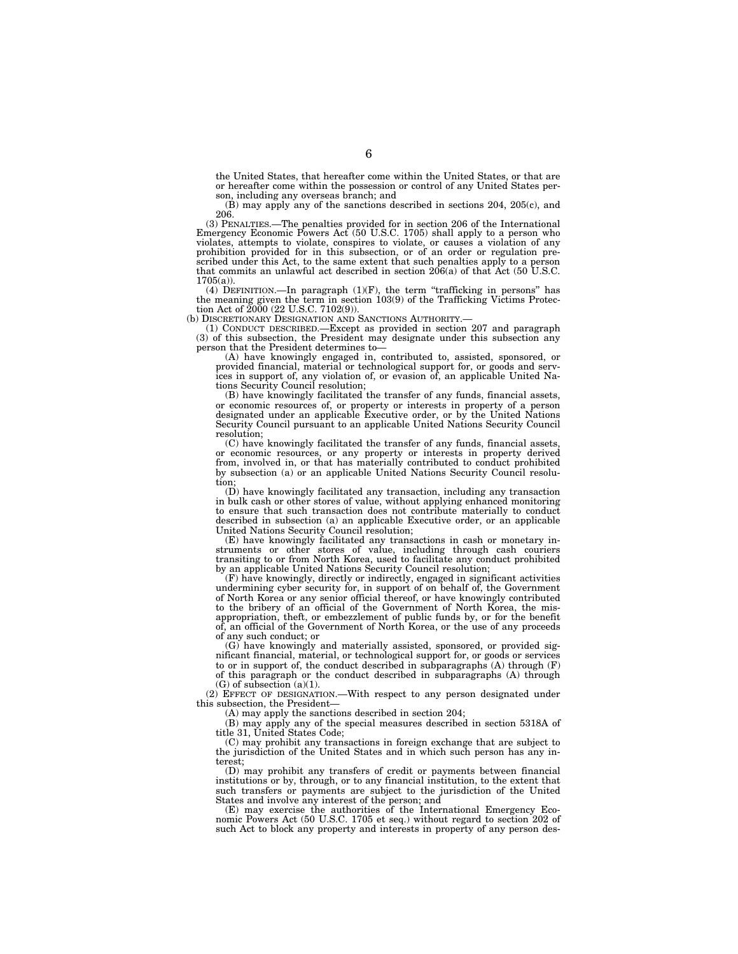the United States, that hereafter come within the United States, or that are or hereafter come within the possession or control of any United States person, including any overseas branch; and

 $(B)$  may apply any of the sanctions described in sections 204, 205 $(c)$ , and 206.

(3) PENALTIES.—The penalties provided for in section 206 of the International Emergency Economic Powers Act (50 U.S.C. 1705) shall apply to a person who violates, attempts to violate, conspires to violate, or causes a violation of any<br>prohibition provided for in this subsection, or of an order or regulation pre-<br>scribed under this Act, to the same extent that such penaltie that commits an unlawful act described in section  $206(a)$  of that Act (50 U.S.C.  $1705(a)$ ).

(4) DEFINITION.—In paragraph  $(1)(F)$ , the term "trafficking in persons" has the meaning given the term in section 103(9) of the Trafficking Victims Protec-tion Act of 2000 (22 U.S.C. 7102(9)).

(b) DISCRETIONARY DESIGNATION AND SANCTIONS AUTHORITY.— (1) CONDUCT DESCRIBED.—Except as provided in section 207 and paragraph (3) of this subsection, the President may designate under this subsection any person that the President determines to—

(A) have knowingly engaged in, contributed to, assisted, sponsored, or provided financial, material or technological support for, or goods and services in support of, any violation of, or evasion of, an applicable United Nations Security Council resolution;

 $(B)$  have knowingly facilitated the transfer of any funds, financial assets. or economic resources of, or property or interests in property of a person designated under an applicable Executive order, or by the United Nations Security Council pursuant to an applicable United Nations Security Council resolution;

(C) have knowingly facilitated the transfer of any funds, financial assets, or economic resources, or any property or interests in property derived from, involved in, or that has materially contributed to conduct prohibited by subsection (a) or an applicable United Nations Security Council resolution;

(D) have knowingly facilitated any transaction, including any transaction in bulk cash or other stores of value, without applying enhanced monitoring to ensure that such transaction does not contribute materially to conduct described in subsection (a) an applicable Executive order, or an applicable United Nations Security Council resolution;

(E) have knowingly facilitated any transactions in cash or monetary instruments or other stores of value, including through cash couriers transiting to or from North Korea, used to facilitate any conduct prohibited by an applicable United Nations Security Council resolution;

(F) have knowingly, directly or indirectly, engaged in significant activities undermining cyber security for, in support of on behalf of, the Government of North Korea or any senior official thereof, or have knowingly contributed to the bribery of an official of the Government of North Korea, the misappropriation, theft, or embezzlement of public funds by, or for the benefit of, an official of the Government of North Korea, or the use of any proceeds of any such conduct; or

(G) have knowingly and materially assisted, sponsored, or provided significant financial, material, or technological support for, or goods or services to or in support of, the conduct described in subparagraphs  $(A)$  through  $(F)$ of this paragraph or the conduct described in subparagraphs (A) through  $(G)$  of subsection  $(a)(1)$ .

(2) EFFECT OF DESIGNATION.—With respect to any person designated under this subsection, the President—

(A) may apply the sanctions described in section 204;

(B) may apply any of the special measures described in section 5318A of title 31, United States Code;

(C) may prohibit any transactions in foreign exchange that are subject to the jurisdiction of the United States and in which such person has any interest;

(D) may prohibit any transfers of credit or payments between financial institutions or by, through, or to any financial institution, to the extent that such transfers or payments are subject to the jurisdiction of the United States and involve any interest of the person; and

(E) may exercise the authorities of the International Emergency Economic Powers Act (50 U.S.C. 1705 et seq.) without regard to section 202 of such Act to block any property and interests in property of any person des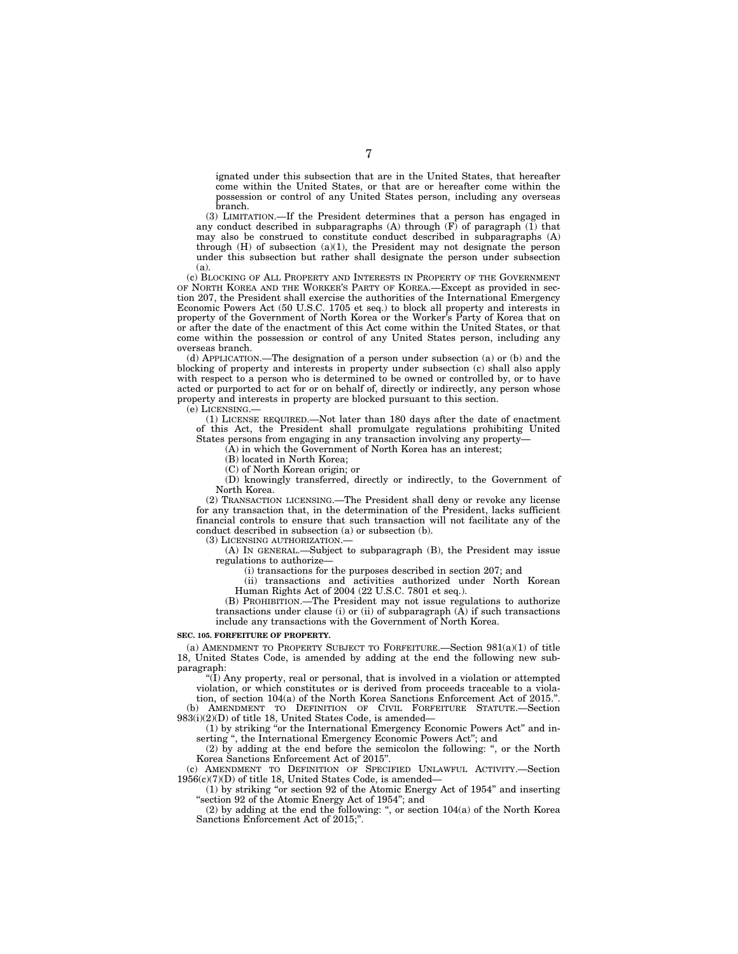ignated under this subsection that are in the United States, that hereafter come within the United States, or that are or hereafter come within the possession or control of any United States person, including any overseas branch.

(3) LIMITATION.—If the President determines that a person has engaged in any conduct described in subparagraphs (A) through  $(F)$  of paragraph  $(1)$  that may also be construed to constitute conduct described in subparagraphs (A) through  $(H)$  of subsection  $(a)(1)$ , the President may not designate the person under this subsection but rather shall designate the person under subsection (a).

(c) BLOCKING OF ALL PROPERTY AND INTERESTS IN PROPERTY OF THE GOVERNMENT OF NORTH KOREA AND THE WORKER'S PARTY OF KOREA.—Except as provided in section 207, the President shall exercise the authorities of the International Emergency Economic Powers Act (50 U.S.C. 1705 et seq.) to block all property and interests in property of the Government of North Korea or the Worker's Party of Korea that on or after the date of the enactment of this Act come within the United States, or that come within the possession or control of any United States person, including any overseas branch.

(d) APPLICATION.—The designation of a person under subsection (a) or (b) and the blocking of property and interests in property under subsection (c) shall also apply with respect to a person who is determined to be owned or controlled by, or to have acted or purported to act for or on behalf of, directly or indirectly, any person whose property and interests in property are blocked pursuant to this section.

(e) LICENSING.—

(1) LICENSE REQUIRED.—Not later than 180 days after the date of enactment of this Act, the President shall promulgate regulations prohibiting United States persons from engaging in any transaction involving any property—

(A) in which the Government of North Korea has an interest;

(B) located in North Korea;

(C) of North Korean origin; or

(D) knowingly transferred, directly or indirectly, to the Government of North Korea.

(2) TRANSACTION LICENSING.—The President shall deny or revoke any license for any transaction that, in the determination of the President, lacks sufficient financial controls to ensure that such transaction will not facilitate any of the conduct described in subsection (a) or subsection (b).

(3) LICENSING AUTHORIZATION.—

(A) IN GENERAL.—Subject to subparagraph (B), the President may issue regulations to authorize—

(i) transactions for the purposes described in section 207; and

(ii) transactions and activities authorized under North Korean Human Rights Act of 2004 (22 U.S.C. 7801 et seq.).

(B) PROHIBITION.—The President may not issue regulations to authorize transactions under clause (i) or (ii) of subparagraph  $(\bar{A})$  if such transactions include any transactions with the Government of North Korea.

#### **SEC. 105. FORFEITURE OF PROPERTY.**

(a) AMENDMENT TO PROPERTY SUBJECT TO FORFEITURE.—Section  $981(a)(1)$  of title 18, United States Code, is amended by adding at the end the following new subparagraph:

 $\hat{I}$ ) Any property, real or personal, that is involved in a violation or attempted violation, or which constitutes or is derived from proceeds traceable to a viola-

tion, of section 104(a) of the North Korea Sanctions Enforcement Act of 2015.''. (b) AMENDMENT TO DEFINITION OF CIVIL FORFEITURE STATUTE.—Section 983(i)(2)(D) of title 18, United States Code, is amended—

(1) by striking ''or the International Emergency Economic Powers Act'' and inserting ", the International Emergency Economic Powers Act"; and

(2) by adding at the end before the semicolon the following: '', or the North Korea Sanctions Enforcement Act of 2015''.

(c) AMENDMENT TO DEFINITION OF SPECIFIED UNLAWFUL ACTIVITY.—Section 1956(c)(7)(D) of title 18, United States Code, is amended—

(1) by striking ''or section 92 of the Atomic Energy Act of 1954'' and inserting "section 92 of the Atomic Energy Act of 1954"; and

 $(2)$  by adding at the end the following: ", or section  $104(a)$  of the North Korea Sanctions Enforcement Act of 2015;''.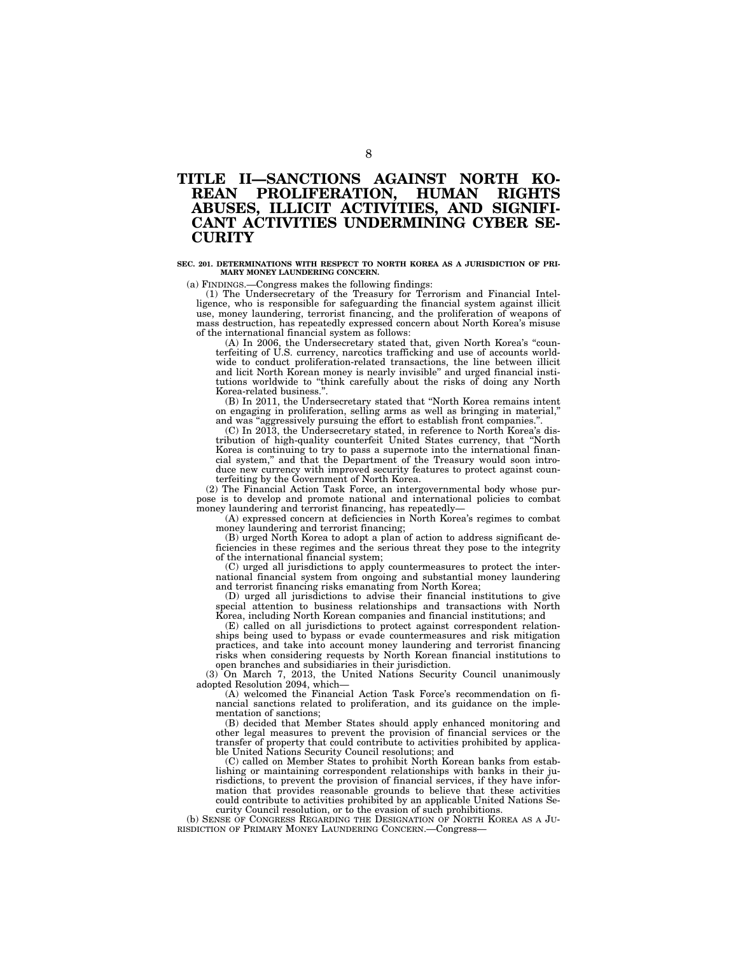## **TITLE II—SANCTIONS AGAINST NORTH KO-REAN PROLIFERATION, HUMAN RIGHTS ABUSES, ILLICIT ACTIVITIES, AND SIGNIFI-CANT ACTIVITIES UNDERMINING CYBER SE-CURITY**

#### **SEC. 201. DETERMINATIONS WITH RESPECT TO NORTH KOREA AS A JURISDICTION OF PRI-MARY MONEY LAUNDERING CONCERN.**

(a) FINDINGS.—Congress makes the following findings:

(1) The Undersecretary of the Treasury for Terrorism and Financial Intelligence, who is responsible for safeguarding the financial system against illicit use, money laundering, terrorist financing, and the proliferation of weapons of mass destruction, has repeatedly expressed concern about North Korea's misuse of the international financial system as follows:

(A) In 2006, the Undersecretary stated that, given North Korea's ''counterfeiting of U.S. currency, narcotics trafficking and use of accounts worldwide to conduct proliferation-related transactions, the line between illicit and licit North Korean money is nearly invisible'' and urged financial institutions worldwide to ''think carefully about the risks of doing any North Korea-related business.''.

(B) In 2011, the Undersecretary stated that ''North Korea remains intent on engaging in proliferation, selling arms as well as bringing in material,'' and was ''aggressively pursuing the effort to establish front companies.''.

(C) In 2013, the Undersecretary stated, in reference to North Korea's distribution of high-quality counterfeit United States currency, that ''North Korea is continuing to try to pass a supernote into the international financial system,'' and that the Department of the Treasury would soon introduce new currency with improved security features to protect against counterfeiting by the Government of North Korea.

(2) The Financial Action Task Force, an intergovernmental body whose purpose is to develop and promote national and international policies to combat money laundering and terrorist financing, has repeatedly—

(A) expressed concern at deficiencies in North Korea's regimes to combat money laundering and terrorist financing;

(B) urged North Korea to adopt a plan of action to address significant deficiencies in these regimes and the serious threat they pose to the integrity of the international financial system;

(C) urged all jurisdictions to apply countermeasures to protect the international financial system from ongoing and substantial money laundering and terrorist financing risks emanating from North Korea;

(D) urged all jurisdictions to advise their financial institutions to give special attention to business relationships and transactions with North Korea, including North Korean companies and financial institutions; and

(E) called on all jurisdictions to protect against correspondent relationships being used to bypass or evade countermeasures and risk mitigation practices, and take into account money laundering and terrorist financing risks when considering requests by North Korean financial institutions to open branches and subsidiaries in their jurisdiction.

(3) On March 7, 2013, the United Nations Security Council unanimously adopted Resolution 2094, which—

(A) welcomed the Financial Action Task Force's recommendation on financial sanctions related to proliferation, and its guidance on the implementation of sanctions;

(B) decided that Member States should apply enhanced monitoring and other legal measures to prevent the provision of financial services or the transfer of property that could contribute to activities prohibited by applicable United Nations Security Council resolutions; and

(C) called on Member States to prohibit North Korean banks from establishing or maintaining correspondent relationships with banks in their jurisdictions, to prevent the provision of financial services, if they have information that provides reasonable grounds to believe that these activities could contribute to activities prohibited by an applicable United Nations Security Council resolution, or to the evasion of such prohibitions.

(b) SENSE OF CONGRESS REGARDING THE DESIGNATION OF NORTH KOREA AS A JU-RISDICTION OF PRIMARY MONEY LAUNDERING CONCERN.—Congress—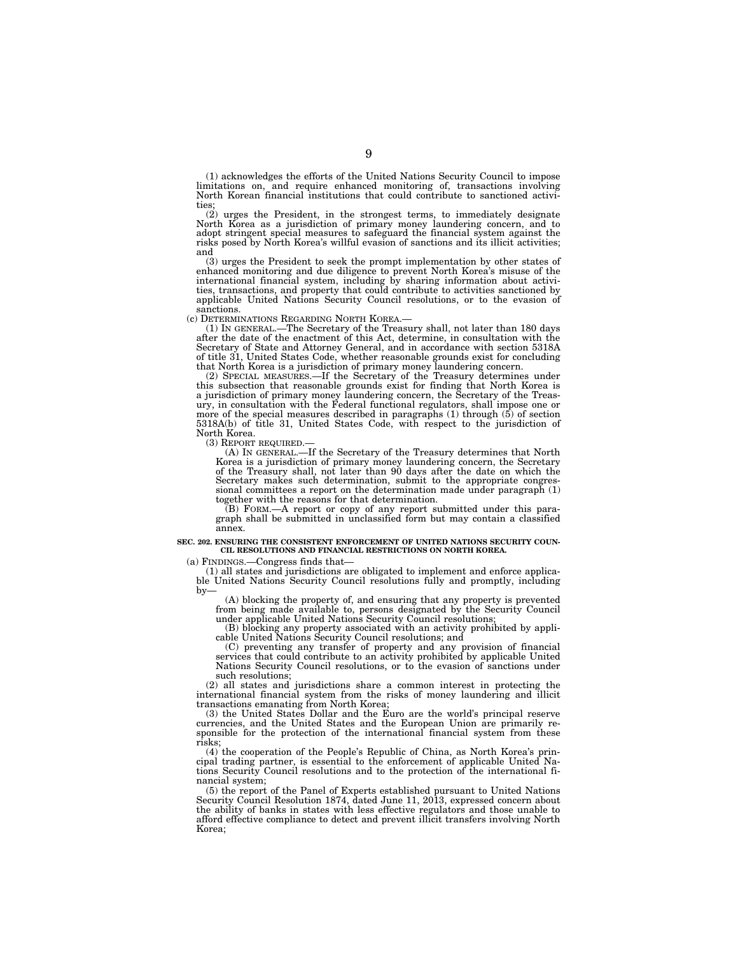(1) acknowledges the efforts of the United Nations Security Council to impose limitations on, and require enhanced monitoring of, transactions involving North Korean financial institutions that could contribute to sanctioned activities;

(2) urges the President, in the strongest terms, to immediately designate North Korea as a jurisdiction of primary money laundering concern, and to adopt stringent special measures to safeguard the financial system against the risks posed by North Korea's willful evasion of sanctions and its illicit activities; and

(3) urges the President to seek the prompt implementation by other states of enhanced monitoring and due diligence to prevent North Korea's misuse of the international financial system, including by sharing information about activi-ties, transactions, and property that could contribute to activities sanctioned by applicable United Nations Security Council resolutions, or to the evasion of sanctions.

(c) DETERMINATIONS REGARDING NORTH KOREA.— (1) IN GENERAL.—The Secretary of the Treasury shall, not later than 180 days after the date of the enactment of this Act, determine, in consultation with the Secretary of State and Attorney General, and in accordance with section 5318A of title 31, United States Code, whether reasonable grounds exist for concluding that North Korea is a jurisdiction of primary money laundering concern.

(2) SPECIAL MEASURES.—If the Secretary of the Treasury determines under this subsection that reasonable grounds exist for finding that North Korea is a jurisdiction of primary money laundering concern, the Secretary of the Treas-ury, in consultation with the Federal functional regulators, shall impose one or more of the special measures described in paragraphs (1) through (5) of section 5318A(b) of title 31, United States Code, with respect to the jurisdiction of North Korea.<br>(3) REPORT REQUIRED.-

(A) IN GENERAL.—If the Secretary of the Treasury determines that North Korea is a jurisdiction of primary money laundering concern, the Secretary of the Treasury shall, not later than 90 days after the date on which the Secretary makes such determination, submit to the appropriate congressional committees a report on the determination made under paragraph (1) together with the reasons for that determination.

(B) FORM.—A report or copy of any report submitted under this para-graph shall be submitted in unclassified form but may contain a classified annex.

#### **SEC. 202. ENSURING THE CONSISTENT ENFORCEMENT OF UNITED NATIONS SECURITY COUN-CIL RESOLUTIONS AND FINANCIAL RESTRICTIONS ON NORTH KOREA.**

(a) FINDINGS.—Congress finds that—

(1) all states and jurisdictions are obligated to implement and enforce applicable United Nations Security Council resolutions fully and promptly, including by—

(A) blocking the property of, and ensuring that any property is prevented from being made available to, persons designated by the Security Council under applicable United Nations Security Council resolutions;

(B) blocking any property associated with an activity prohibited by applicable United Nations Security Council resolutions; and

(C) preventing any transfer of property and any provision of financial services that could contribute to an activity prohibited by applicable United Nations Security Council resolutions, or to the evasion of sanctions under such resolutions;

(2) all states and jurisdictions share a common interest in protecting the international financial system from the risks of money laundering and illicit transactions emanating from North Korea;

(3) the United States Dollar and the Euro are the world's principal reserve currencies, and the United States and the European Union are primarily responsible for the protection of the international financial system from these risks;

(4) the cooperation of the People's Republic of China, as North Korea's principal trading partner, is essential to the enforcement of applicable United Nations Security Council resolutions and to the protection of the international financial system;

(5) the report of the Panel of Experts established pursuant to United Nations Security Council Resolution 1874, dated June 11, 2013, expressed concern about the ability of banks in states with less effective regulators and those unable to afford effective compliance to detect and prevent illicit transfers involving North Korea;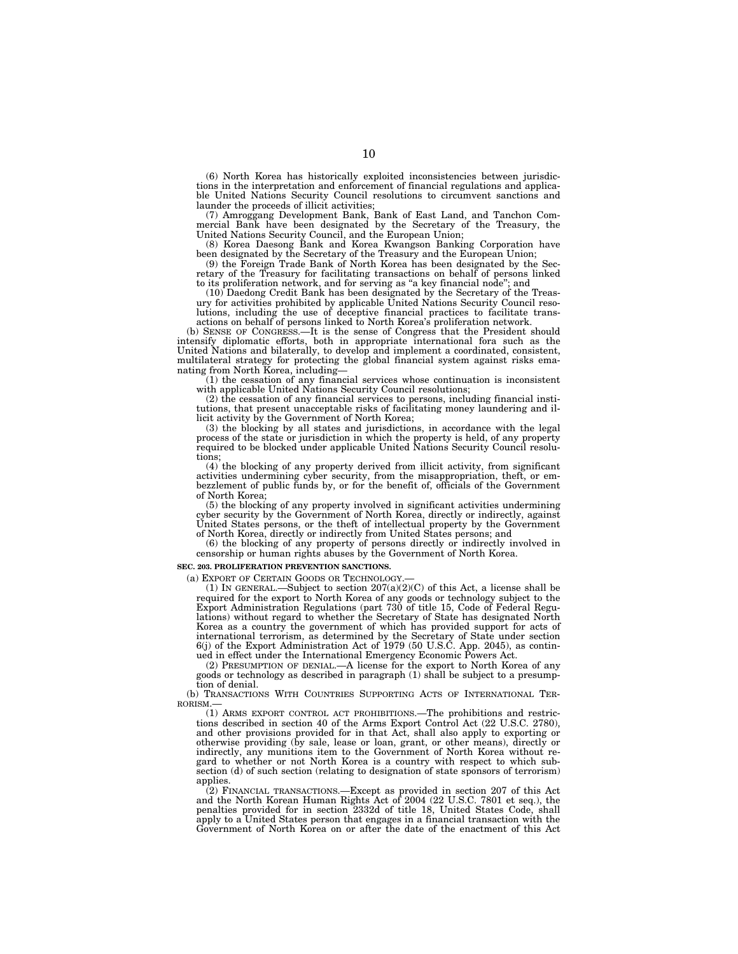(6) North Korea has historically exploited inconsistencies between jurisdictions in the interpretation and enforcement of financial regulations and applicable United Nations Security Council resolutions to circumvent sanctions and launder the proceeds of illicit activities;

(7) Amroggang Development Bank, Bank of East Land, and Tanchon Commercial Bank have been designated by the Secretary of the Treasury, the United Nations Security Council, and the European Union;

(8) Korea Daesong Bank and Korea Kwangson Banking Corporation have been designated by the Secretary of the Treasury and the European Union;

(9) the Foreign Trade Bank of North Korea has been designated by the Secretary of the Treasury for facilitating transactions on behalf of persons linked to its proliferation network, and for serving as "a key financial node"; and

(10) Daedong Credit Bank has been designated by the Secretary of the Treasury for activities prohibited by applicable United Nations Security Council resolutions, including the use of deceptive financial practices to facilitate transactions on behalf of persons linked to North Korea's proliferation network.

(b) SENSE OF CONGRESS.—It is the sense of Congress that the President should intensify diplomatic efforts, both in appropriate international fora such as the United Nations and bilaterally, to develop and implement a coordinated, consistent, multilateral strategy for protecting the global financial system against risks emanating from North Korea, including—

(1) the cessation of any financial services whose continuation is inconsistent with applicable United Nations Security Council resolutions;

(2) the cessation of any financial services to persons, including financial institutions, that present unacceptable risks of facilitating money laundering and illicit activity by the Government of North Korea;

(3) the blocking by all states and jurisdictions, in accordance with the legal process of the state or jurisdiction in which the property is held, of any property required to be blocked under applicable United Nations Security Council resolutions;

(4) the blocking of any property derived from illicit activity, from significant activities undermining cyber security, from the misappropriation, theft, or embezzlement of public funds by, or for the benefit of, officials of the Government of North Korea;

(5) the blocking of any property involved in significant activities undermining cyber security by the Government of North Korea, directly or indirectly, against United States persons, or the theft of intellectual property by the Government of North Korea, directly or indirectly from United States persons; and

(6) the blocking of any property of persons directly or indirectly involved in censorship or human rights abuses by the Government of North Korea.

#### **SEC. 203. PROLIFERATION PREVENTION SANCTIONS.**

(a) EXPORT OF CERTAIN GOODS OR TECHNOLOGY.—

(1) IN GENERAL.—Subject to section  $207(a)(2)(C)$  of this Act, a license shall be required for the export to North Korea of any goods or technology subject to the Export Administration Regulations (part 730 of title 15, Code of Federal Regulations) without regard to whether the Secretary of State has designated North Korea as a country the government of which has provided support for acts of international terrorism, as determined by the Secretary of State under section 6(j) of the Export Administration Act of 1979 (50 U.S.C. App. 2045), as continued in effect under the International Emergency Economic Powers Act.

(2) PRESUMPTION OF DENIAL.—A license for the export to North Korea of any goods or technology as described in paragraph (1) shall be subject to a presumption of denial.

(b) TRANSACTIONS WITH COUNTRIES SUPPORTING ACTS OF INTERNATIONAL TER-RORISM.—

(1) ARMS EXPORT CONTROL ACT PROHIBITIONS.—The prohibitions and restrictions described in section 40 of the Arms Export Control Act (22 U.S.C. 2780), and other provisions provided for in that Act, shall also apply to exporting or otherwise providing (by sale, lease or loan, grant, or other means), directly or indirectly, any munitions item to the Government of North Korea without regard to whether or not North Korea is a country with respect to which subsection (d) of such section (relating to designation of state sponsors of terrorism) applies.

(2) FINANCIAL TRANSACTIONS.—Except as provided in section 207 of this Act and the North Korean Human Rights Act of 2004 (22 U.S.C. 7801 et seq.), the penalties provided for in section 2332d of title 18, United States Code, shall apply to a United States person that engages in a financial transaction with the Government of North Korea on or after the date of the enactment of this Act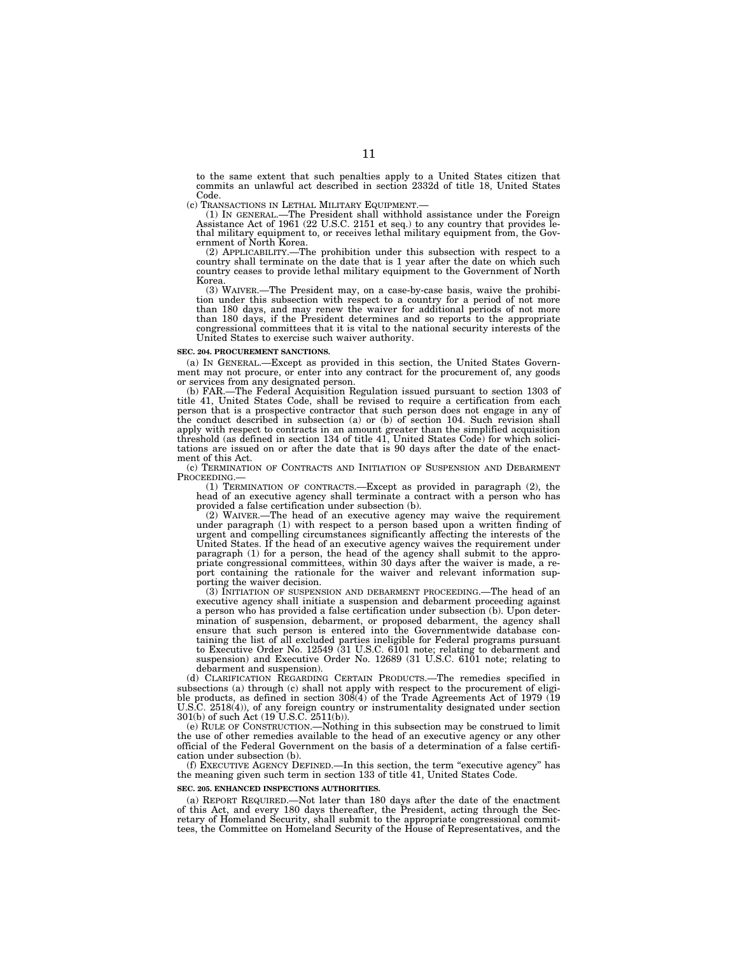to the same extent that such penalties apply to a United States citizen that commits an unlawful act described in section 2332d of title 18, United States Code.<br>(c) Transactions in Lethal Military Equipment.

(c) TRANSACTIONS IN LETHAL MILITARY EQUIPMENT.— (1) IN GENERAL.—The President shall withhold assistance under the Foreign Assistance Act of 1961 (22 U.S.C. 2151 et seq.) to any country that provides lethal military equipment to, or receives lethal military equipment from, the Gov-ernment of North Korea.

(2) APPLICABILITY.—The prohibition under this subsection with respect to a country shall terminate on the date that is 1 year after the date on which such country ceases to provide lethal military equipment to the Government of North

Korea. (3) WAIVER.—The President may, on a case-by-case basis, waive the prohibition under this subsection with respect to a country for a period of not more than 180 days, and may renew the waiver for additional periods of not more than 180 days, if the President determines and so reports to the appropriate congressional committees that it is vital to the national security interests of the United States to exercise such waiver authority.

#### **SEC. 204. PROCUREMENT SANCTIONS.**

(a) IN GENERAL.—Except as provided in this section, the United States Government may not procure, or enter into any contract for the procurement of, any goods

or services from any designated person. (b) FAR.—The Federal Acquisition Regulation issued pursuant to section 1303 of title 41, United States Code, shall be revised to require a certification from each person that is a prospective contractor that such person does not engage in any of the conduct described in subsection (a) or (b) of section 104. Such revision shall apply with respect to contracts in an amount greater than the simplified acquisition threshold (as defined in section 134 of title 41, United States Code) for which solici-tations are issued on or after the date that is 90 days after the date of the enactment of this Act.

(c) TERMINATION OF CONTRACTS AND INITIATION OF SUSPENSION AND DEBARMENT PROCEEDING.—

(1) TERMINATION OF CONTRACTS.—Except as provided in paragraph  $(2)$ , the head of an executive agency shall terminate a contract with a person who has provided a false certification under subsection (b).

(2) WAIVER.—The head of an executive agency may waive the requirement under paragraph (1) with respect to a person based upon a written finding of urgent and compelling circumstances significantly affecting the interests of the<br>United States. If the head of an executive agency waives the requirement under<br>paragraph (1) for a person, the head of the agency shall submi priate congressional committees, within 30 days after the waiver is made, a report containing the rationale for the waiver and relevant information supporting the waiver decision.

(3) INITIATION OF SUSPENSION AND DEBARMENT PROCEEDING.—The head of an executive agency shall initiate a suspension and debarment proceeding against a person who has provided a false certification under subsection (b). Upon determination of suspension, debarment, or proposed debarment, the agency shall ensure that such person is entered into the Governmentwide database containing the list of all excluded parties ineligible for Federal programs pursuant to Executive Order No. 12549 (31 U.S.C. 6101 note; relating to debarment and suspension) and Executive Order No. 12689 (31 U.S.C. 6101 note; relating to debarment and suspension).

(d) CLARIFICATION REGARDING CERTAIN PRODUCTS.—The remedies specified in subsections (a) through (c) shall not apply with respect to the procurement of eligible products, as defined in section 308(4) of the Trade Agreements Act of 1979 (19 U.S.C. 2518(4)), of any foreign country or instrumentality designated under section 301(b) of such Act (19 U.S.C. 2511(b)).

(e) RULE OF CONSTRUCTION.—Nothing in this subsection may be construed to limit the use of other remedies available to the head of an executive agency or any other official of the Federal Government on the basis of a determination of a false certification under subsection (b).

(f) EXECUTIVE AGENCY DEFINED.—In this section, the term ''executive agency'' has the meaning given such term in section 133 of title 41, United States Code.

#### **SEC. 205. ENHANCED INSPECTIONS AUTHORITIES.**

(a) REPORT REQUIRED.—Not later than 180 days after the date of the enactment of this Act, and every 180 days thereafter, the President, acting through the Secretary of Homeland Security, shall submit to the appropriate congressional committees, the Committee on Homeland Security of the House of Representatives, and the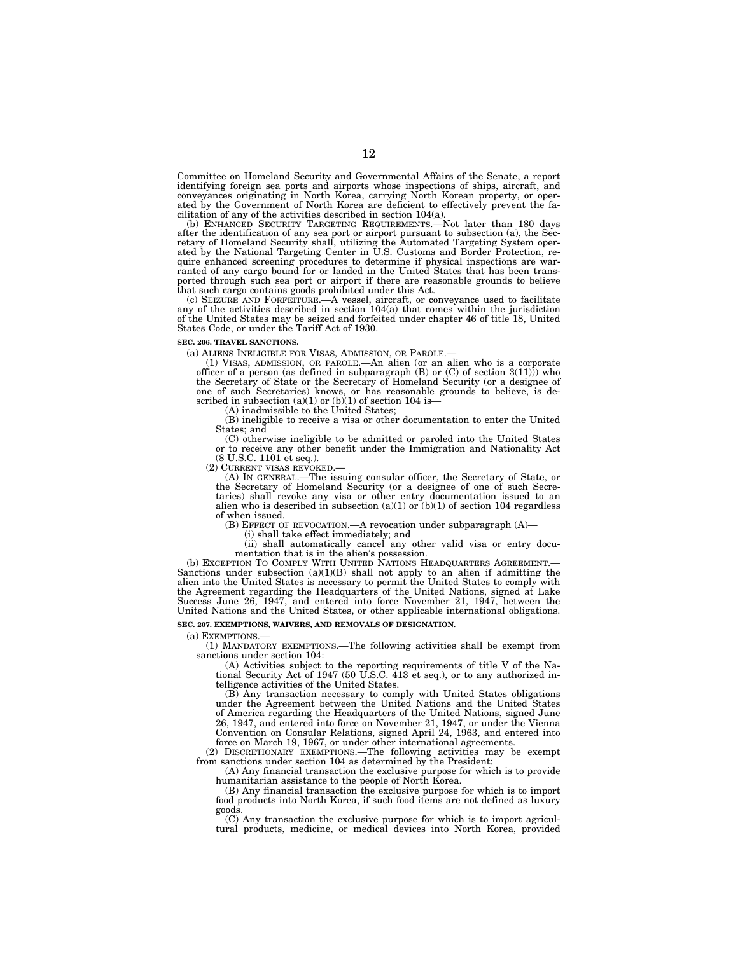Committee on Homeland Security and Governmental Affairs of the Senate, a report identifying foreign sea ports and airports whose inspections of ships, aircraft, and conveyances originating in North Korea, carrying North Korean property, or oper-ated by the Government of North Korea are deficient to effectively prevent the fa-

cilitation of any of the activities described in section 104(a). (b) ENHANCED SECURITY TARGETING REQUIREMENTS.—Not later than 180 days after the identification of any sea port or airport pursuant to subsection (a), the Sec-<br>retary of Homeland Security shall, utilizing the Automated Targeting System oper-<br>ated by the National Targeting Center in U.S. Custo quire enhanced screening procedures to determine if physical inspections are war-ranted of any cargo bound for or landed in the United States that has been transported through such sea port or airport if there are reasonable grounds to believe that such cargo contains goods prohibited under this Act.

(c) SEIZURE AND FORFEITURE.—A vessel, aircraft, or conveyance used to facilitate any of the activities described in section 104(a) that comes within the jurisdiction of the United States may be seized and forfeited under chapter 46 of title 18, United States Code, or under the Tariff Act of 1930.

#### **SEC. 206. TRAVEL SANCTIONS.**

(a) ALIENS INELIGIBLE FOR VISAS, ADMISSION, OR PAROLE.— (1) VISAS, ADMISSION, OR PAROLE.—An alien (or an alien who is a corporate officer of a person (as defined in subparagraph (B) or (C) of section 3(11))) who the Secretary of State or the Secretary of Homeland Security (or a designee of one of such Secretaries) knows, or has reasonable grounds to believe, is described in subsection (a)(1) or (b)(1) of section 104 is-

(A) inadmissible to the United States;

(B) ineligible to receive a visa or other documentation to enter the United States; and

(C) otherwise ineligible to be admitted or paroled into the United States or to receive any other benefit under the Immigration and Nationality Act  $(8 \text{ U.S.C. } 1101 \text{ et seq.}).$ <br> $(2) \text{ CURRENT VISAS REVOKED.}$ 

(A) IN GENERAL.—The issuing consular officer, the Secretary of State, or the Secretary of Homeland Security (or a designee of one of such Secretaries) shall revoke any visa or other entry documentation issued to an alien who is described in subsection  $(a)(1)$  or  $(b)(1)$  of section 104 regardless of when issued.

(B) EFFECT OF REVOCATION.—A revocation under subparagraph (A)—

(i) shall take effect immediately; and

(ii) shall automatically cancel any other valid visa or entry docu-

mentation that is in the alien's possession.<br>(b) EXCEPTION TO COMPLY WITH UNITED NATIONS HEADQUARTERS AGREEMENT.— Sanctions under subsection  $(a)(1)(B)$  shall not apply to an alien if admitting the alien into the United States is necessary to permit the United States to comply with the Agreement regarding the Headquarters of the United Nations, signed at Lake Success June 26, 1947, and entered into force November 21, 1947, between the United Nations and the United States, or other applicable international obligations.

#### **SEC. 207. EXEMPTIONS, WAIVERS, AND REMOVALS OF DESIGNATION.**

(a) EXEMPTIONS.—

(1) MANDATORY EXEMPTIONS.—The following activities shall be exempt from sanctions under section 104:

(A) Activities subject to the reporting requirements of title V of the National Security Act of 1947 (50 U.S.C. 413 et seq.), or to any authorized intelligence activities of the United States.

(B) Any transaction necessary to comply with United States obligations under the Agreement between the United Nations and the United States of America regarding the Headquarters of the United Nations, signed June 26, 1947, and entered into force on November 21, 1947, or under the Vienna Convention on Consular Relations, signed April 24, 1963, and entered into force on March 19, 1967, or under other international agreements.

(2) DISCRETIONARY EXEMPTIONS.—The following activities may be exempt from sanctions under section 104 as determined by the President:

(A) Any financial transaction the exclusive purpose for which is to provide humanitarian assistance to the people of North Korea.

(B) Any financial transaction the exclusive purpose for which is to import food products into North Korea, if such food items are not defined as luxury goods.

(C) Any transaction the exclusive purpose for which is to import agricultural products, medicine, or medical devices into North Korea, provided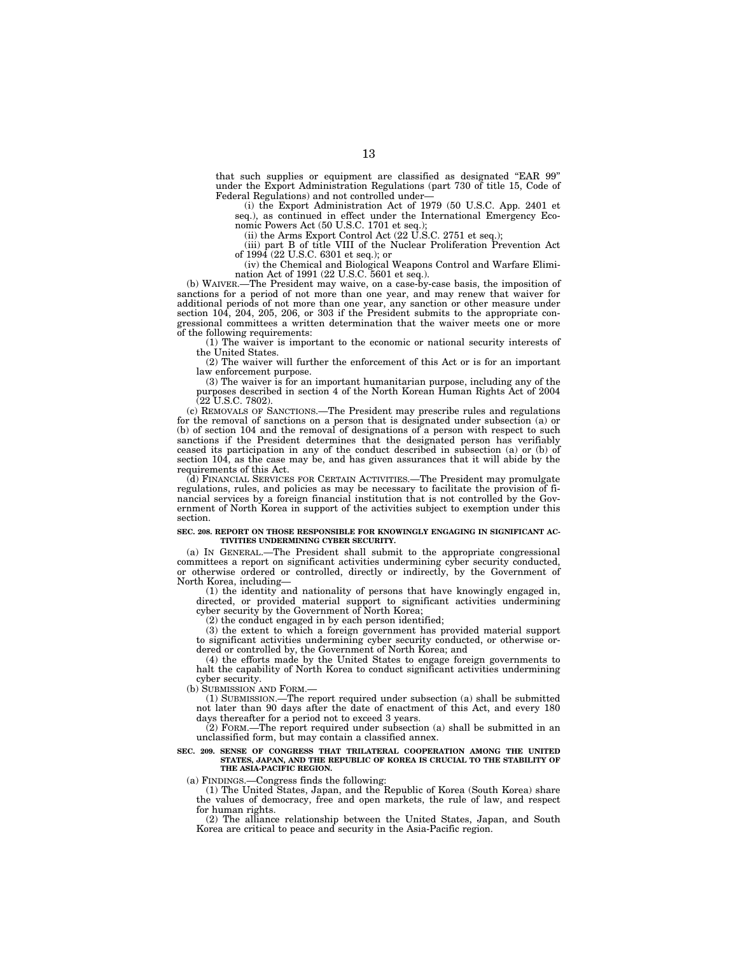that such supplies or equipment are classified as designated ''EAR 99'' under the Export Administration Regulations (part 730 of title 15, Code of Federal Regulations) and not controlled under—

(i) the Export Administration Act of 1979 (50 U.S.C. App. 2401 et seq.), as continued in effect under the International Emergency Economic Powers Act (50 U.S.C. 1701 et seq.);

(ii) the Arms Export Control Act (22 U.S.C. 2751 et seq.);

(iii) part B of title VIII of the Nuclear Proliferation Prevention Act of 1994 (22 U.S.C. 6301 et seq.); or

(iv) the Chemical and Biological Weapons Control and Warfare Elimination Act of 1991 (22 U.S.C. 5601 et seq.).

(b) WAIVER.—The President may waive, on a case-by-case basis, the imposition of sanctions for a period of not more than one year, and may renew that waiver for additional periods of not more than one year, any sanction or other measure under section 104, 204, 205, 206, or 303 if the President submits to the appropriate congressional committees a written determination that the waiver meets one or more of the following requirements:

(1) The waiver is important to the economic or national security interests of the United States.

(2) The waiver will further the enforcement of this Act or is for an important law enforcement purpose.

(3) The waiver is for an important humanitarian purpose, including any of the purposes described in section 4 of the North Korean Human Rights Act of 2004 (22 U.S.C. 7802).

(c) REMOVALS OF SANCTIONS.—The President may prescribe rules and regulations for the removal of sanctions on a person that is designated under subsection (a) or (b) of section 104 and the removal of designations of a person with respect to such sanctions if the President determines that the designated person has verifiably ceased its participation in any of the conduct described in subsection (a) or (b) of section 104, as the case may be, and has given assurances that it will abide by the requirements of this Act.

(d) FINANCIAL SERVICES FOR CERTAIN ACTIVITIES.—The President may promulgate regulations, rules, and policies as may be necessary to facilitate the provision of financial services by a foreign financial institution that is not controlled by the Government of North Korea in support of the activities subject to exemption under this section.

#### **SEC. 208. REPORT ON THOSE RESPONSIBLE FOR KNOWINGLY ENGAGING IN SIGNIFICANT AC-TIVITIES UNDERMINING CYBER SECURITY.**

(a) IN GENERAL.—The President shall submit to the appropriate congressional committees a report on significant activities undermining cyber security conducted, or otherwise ordered or controlled, directly or indirectly, by the Government of North Korea, including—

(1) the identity and nationality of persons that have knowingly engaged in, directed, or provided material support to significant activities undermining cyber security by the Government of North Korea;

(2) the conduct engaged in by each person identified;

(3) the extent to which a foreign government has provided material support to significant activities undermining cyber security conducted, or otherwise ordered or controlled by, the Government of North Korea; and

(4) the efforts made by the United States to engage foreign governments to halt the capability of North Korea to conduct significant activities undermining cyber security.

(b) SUBMISSION AND FORM.—

(1) SUBMISSION.—The report required under subsection (a) shall be submitted not later than 90 days after the date of enactment of this Act, and every 180 days thereafter for a period not to exceed 3 years.

 $(2)$  FORM.—The report required under subsection (a) shall be submitted in an unclassified form, but may contain a classified annex.

#### **SEC. 209. SENSE OF CONGRESS THAT TRILATERAL COOPERATION AMONG THE UNITED STATES, JAPAN, AND THE REPUBLIC OF KOREA IS CRUCIAL TO THE STABILITY OF THE ASIA-PACIFIC REGION.**

(a) FINDINGS.—Congress finds the following:

(1) The United States, Japan, and the Republic of Korea (South Korea) share the values of democracy, free and open markets, the rule of law, and respect for human rights.

(2) The alliance relationship between the United States, Japan, and South Korea are critical to peace and security in the Asia-Pacific region.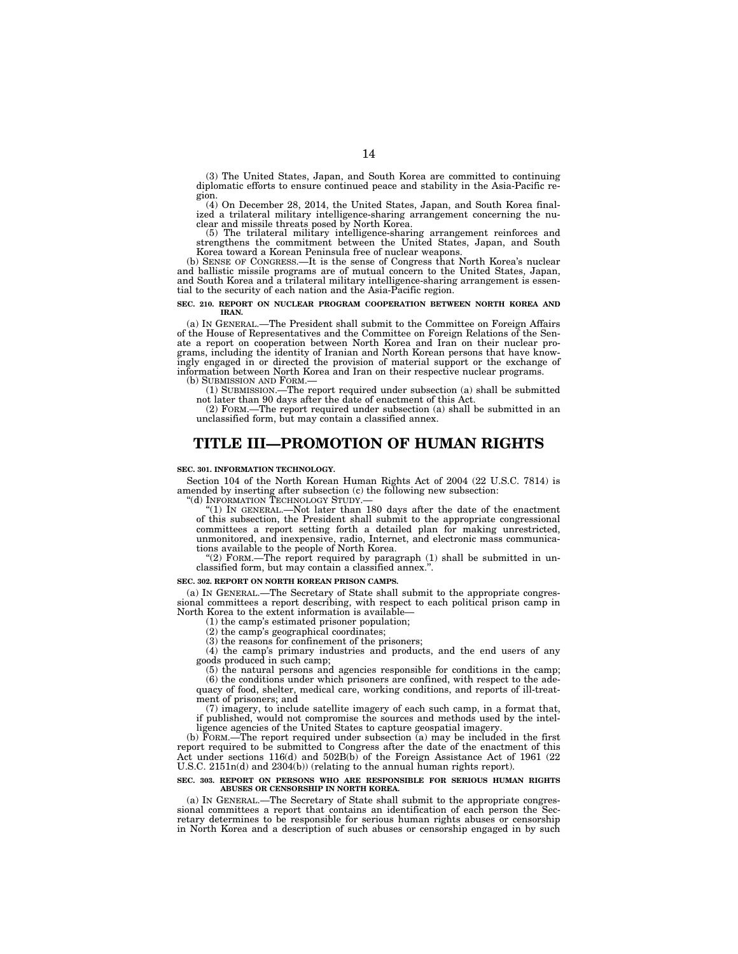(3) The United States, Japan, and South Korea are committed to continuing diplomatic efforts to ensure continued peace and stability in the Asia-Pacific region.

(4) On December 28, 2014, the United States, Japan, and South Korea finalized a trilateral military intelligence-sharing arrangement concerning the nuclear and missile threats posed by North Korea.

(5) The trilateral military intelligence-sharing arrangement reinforces and strengthens the commitment between the United States, Japan, and South Korea toward a Korean Peninsula free of nuclear weapons.

(b) SENSE OF CONGRESS.—It is the sense of Congress that North Korea's nuclear and ballistic missile programs are of mutual concern to the United States, Japan, and South Korea and a trilateral military intelligence-sharing arrangement is essen-tial to the security of each nation and the Asia-Pacific region.

#### **SEC. 210. REPORT ON NUCLEAR PROGRAM COOPERATION BETWEEN NORTH KOREA AND IRAN.**

(a) IN GENERAL.—The President shall submit to the Committee on Foreign Affairs of the House of Representatives and the Committee on Foreign Relations of the Senate a report on cooperation between North Korea and Iran on their nuclear programs, including the identity of Iranian and North Korean persons that have knowingly engaged in or directed the provision of material support or the exchange of information between North Korea and Iran on their respective nuclear programs.

(1) SUBMISSION.—The report required under subsection (a) shall be submitted not later than 90 days after the date of enactment of this Act.

(2) FORM.—The report required under subsection (a) shall be submitted in an unclassified form, but may contain a classified annex.

## **TITLE III—PROMOTION OF HUMAN RIGHTS**

#### **SEC. 301. INFORMATION TECHNOLOGY.**

Section 104 of the North Korean Human Rights Act of 2004 (22 U.S.C. 7814) is amended by inserting after subsection (c) the following new subsection: "(d) INFORMATION TECHNOLOGY STUDY.—

''(1) IN GENERAL.—Not later than 180 days after the date of the enactment of this subsection, the President shall submit to the appropriate congressional committees a report setting forth a detailed plan for making unrestricted, unmonitored, and inexpensive, radio, Internet, and electronic mass communications available to the people of North Korea.

"(2) FORM.—The report required by paragraph (1) shall be submitted in unclassified form, but may contain a classified annex.''.

#### **SEC. 302. REPORT ON NORTH KOREAN PRISON CAMPS.**

(a) IN GENERAL.—The Secretary of State shall submit to the appropriate congressional committees a report describing, with respect to each political prison camp in North Korea to the extent information is available—

(1) the camp's estimated prisoner population;

(2) the camp's geographical coordinates;

(3) the reasons for confinement of the prisoners;

(4) the camp's primary industries and products, and the end users of any goods produced in such camp;

(5) the natural persons and agencies responsible for conditions in the camp; (6) the conditions under which prisoners are confined, with respect to the adequacy of food, shelter, medical care, working conditions, and reports of ill-treatment of prisoners; and

(7) imagery, to include satellite imagery of each such camp, in a format that, if published, would not compromise the sources and methods used by the intelligence agencies of the United States to capture geospatial imagery.

(b) FORM.—The report required under subsection (a) may be included in the first report required to be submitted to Congress after the date of the enactment of this Act under sections 116(d) and 502B(b) of the Foreign Assistance Act of 1961 (22 U.S.C. 2151n(d) and 2304(b)) (relating to the annual human rights report).

#### **SEC. 303. REPORT ON PERSONS WHO ARE RESPONSIBLE FOR SERIOUS HUMAN RIGHTS ABUSES OR CENSORSHIP IN NORTH KOREA.**

(a) IN GENERAL.—The Secretary of State shall submit to the appropriate congressional committees a report that contains an identification of each person the Secretary determines to be responsible for serious human rights abuses or censorship in North Korea and a description of such abuses or censorship engaged in by such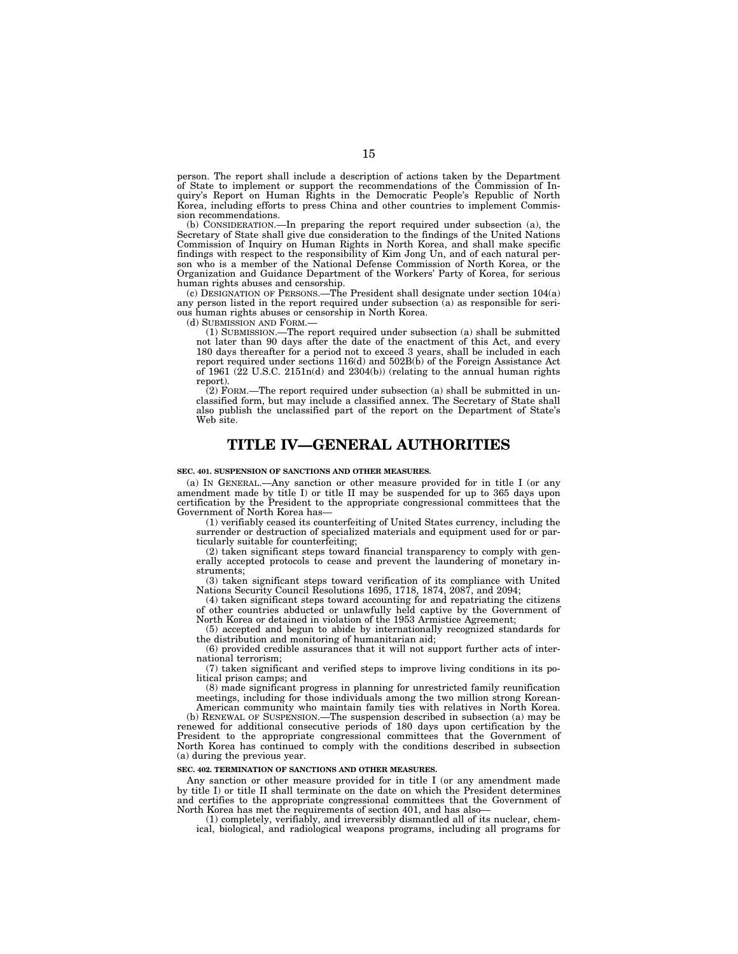person. The report shall include a description of actions taken by the Department of State to implement or support the recommendations of the Commission of Inquiry's Report on Human Rights in the Democratic People's Republic of North Korea, including efforts to press China and other countries to implement Commission recommendations.

(b) CONSIDERATION.—In preparing the report required under subsection (a), the Secretary of State shall give due consideration to the findings of the United Nations Commission of Inquiry on Human Rights in North Korea, and shall make specific findings with respect to the responsibility of Kim Jong Un, and of each natural person who is a member of the National Defense Commission of North Korea, or the Organization and Guidance Department of the Workers' Party of Korea, for serious human rights abuses and censorship.

(c) DESIGNATION OF PERSONS.—The President shall designate under section 104(a) any person listed in the report required under subsection (a) as responsible for serious human rights abuses or censorship in North Korea.

(d) SUBMISSION AND FORM.—

(1) SUBMISSION.—The report required under subsection (a) shall be submitted not later than 90 days after the date of the enactment of this Act, and every 180 days thereafter for a period not to exceed 3 years, shall be included in each report required under sections 116(d) and 502B(b) of the Foreign Assistance Act of  $1961$  (22 U.S.C. 2151n(d) and 2304(b)) (relating to the annual human rights report).

 $(2)$  FORM.—The report required under subsection (a) shall be submitted in unclassified form, but may include a classified annex. The Secretary of State shall also publish the unclassified part of the report on the Department of State's Web site.

## **TITLE IV—GENERAL AUTHORITIES**

#### **SEC. 401. SUSPENSION OF SANCTIONS AND OTHER MEASURES.**

(a) IN GENERAL.—Any sanction or other measure provided for in title I (or any amendment made by title I) or title II may be suspended for up to 365 days upon certification by the President to the appropriate congressional committees that the Government of North Korea has—

(1) verifiably ceased its counterfeiting of United States currency, including the surrender or destruction of specialized materials and equipment used for or particularly suitable for counterfeiting;

(2) taken significant steps toward financial transparency to comply with generally accepted protocols to cease and prevent the laundering of monetary instruments;

(3) taken significant steps toward verification of its compliance with United Nations Security Council Resolutions 1695, 1718, 1874, 2087, and 2094;

(4) taken significant steps toward accounting for and repatriating the citizens of other countries abducted or unlawfully held captive by the Government of North Korea or detained in violation of the 1953 Armistice Agreement;

(5) accepted and begun to abide by internationally recognized standards for the distribution and monitoring of humanitarian aid;

(6) provided credible assurances that it will not support further acts of international terrorism;

(7) taken significant and verified steps to improve living conditions in its political prison camps; and

(8) made significant progress in planning for unrestricted family reunification meetings, including for those individuals among the two million strong Korean-

American community who maintain family ties with relatives in North Korea. (b) RENEWAL OF SUSPENSION.—The suspension described in subsection (a) may be renewed for additional consecutive periods of 180 days upon certification by the President to the appropriate congressional committees that the Government of North Korea has continued to comply with the conditions described in subsection (a) during the previous year.

#### **SEC. 402. TERMINATION OF SANCTIONS AND OTHER MEASURES.**

Any sanction or other measure provided for in title I (or any amendment made by title I) or title II shall terminate on the date on which the President determines and certifies to the appropriate congressional committees that the Government of North Korea has met the requirements of section 401, and has also—

(1) completely, verifiably, and irreversibly dismantled all of its nuclear, chemical, biological, and radiological weapons programs, including all programs for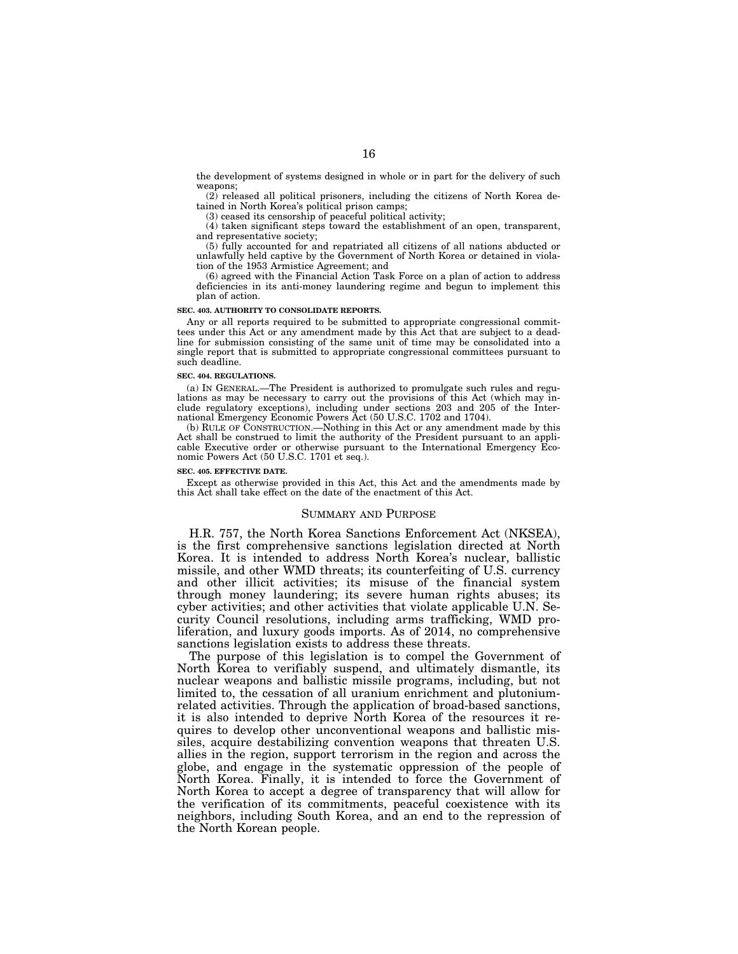the development of systems designed in whole or in part for the delivery of such weapons;

(2) released all political prisoners, including the citizens of North Korea detained in North Korea's political prison camps;

(3) ceased its censorship of peaceful political activity;

(4) taken significant steps toward the establishment of an open, transparent, and representative society;

(5) fully accounted for and repatriated all citizens of all nations abducted or unlawfully held captive by the Government of North Korea or detained in violation of the 1953 Armistice Agreement; and

(6) agreed with the Financial Action Task Force on a plan of action to address deficiencies in its anti-money laundering regime and begun to implement this plan of action.

#### **SEC. 403. AUTHORITY TO CONSOLIDATE REPORTS.**

Any or all reports required to be submitted to appropriate congressional committees under this Act or any amendment made by this Act that are subject to a deadline for submission consisting of the same unit of time may be consolidated into a single report that is submitted to appropriate congressional committees pursuant to such deadline.

#### **SEC. 404. REGULATIONS.**

(a) IN GENERAL.—The President is authorized to promulgate such rules and regulations as may be necessary to carry out the provisions of this Act (which may include regulatory exceptions), including under sections 203 and 205 of the International Emergency Economic Powers Act (50 U.S.C. 1702 and 1704).

(b) RULE OF CONSTRUCTION.—Nothing in this Act or any amendment made by this Act shall be construed to limit the authority of the President pursuant to an applicable Executive order or otherwise pursuant to the International Emergency Economic Powers Act (50 U.S.C. 1701 et seq.).

#### **SEC. 405. EFFECTIVE DATE.**

Except as otherwise provided in this Act, this Act and the amendments made by this Act shall take effect on the date of the enactment of this Act.

#### SUMMARY AND PURPOSE

H.R. 757, the North Korea Sanctions Enforcement Act (NKSEA), is the first comprehensive sanctions legislation directed at North Korea. It is intended to address North Korea's nuclear, ballistic missile, and other WMD threats; its counterfeiting of U.S. currency and other illicit activities; its misuse of the financial system through money laundering; its severe human rights abuses; its cyber activities; and other activities that violate applicable U.N. Security Council resolutions, including arms trafficking, WMD proliferation, and luxury goods imports. As of 2014, no comprehensive sanctions legislation exists to address these threats.

The purpose of this legislation is to compel the Government of North Korea to verifiably suspend, and ultimately dismantle, its nuclear weapons and ballistic missile programs, including, but not limited to, the cessation of all uranium enrichment and plutoniumrelated activities. Through the application of broad-based sanctions, it is also intended to deprive North Korea of the resources it requires to develop other unconventional weapons and ballistic missiles, acquire destabilizing convention weapons that threaten U.S. allies in the region, support terrorism in the region and across the globe, and engage in the systematic oppression of the people of North Korea. Finally, it is intended to force the Government of North Korea to accept a degree of transparency that will allow for the verification of its commitments, peaceful coexistence with its neighbors, including South Korea, and an end to the repression of the North Korean people.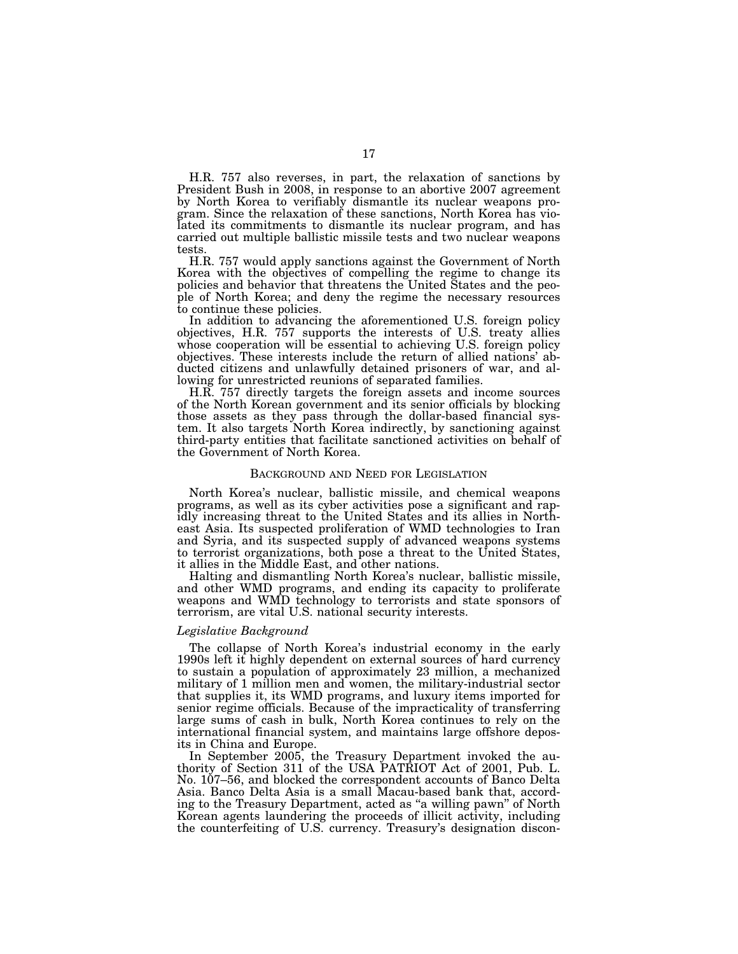H.R. 757 also reverses, in part, the relaxation of sanctions by President Bush in 2008, in response to an abortive 2007 agreement by North Korea to verifiably dismantle its nuclear weapons program. Since the relaxation of these sanctions, North Korea has violated its commitments to dismantle its nuclear program, and has carried out multiple ballistic missile tests and two nuclear weapons tests.

H.R. 757 would apply sanctions against the Government of North Korea with the objectives of compelling the regime to change its policies and behavior that threatens the United States and the people of North Korea; and deny the regime the necessary resources to continue these policies.

In addition to advancing the aforementioned U.S. foreign policy objectives, H.R. 757 supports the interests of U.S. treaty allies whose cooperation will be essential to achieving U.S. foreign policy objectives. These interests include the return of allied nations' abducted citizens and unlawfully detained prisoners of war, and allowing for unrestricted reunions of separated families.

H.R. 757 directly targets the foreign assets and income sources of the North Korean government and its senior officials by blocking those assets as they pass through the dollar-based financial system. It also targets North Korea indirectly, by sanctioning against third-party entities that facilitate sanctioned activities on behalf of the Government of North Korea.

### BACKGROUND AND NEED FOR LEGISLATION

North Korea's nuclear, ballistic missile, and chemical weapons programs, as well as its cyber activities pose a significant and rapidly increasing threat to the United States and its allies in Northeast Asia. Its suspected proliferation of WMD technologies to Iran and Syria, and its suspected supply of advanced weapons systems to terrorist organizations, both pose a threat to the United States, it allies in the Middle East, and other nations.

Halting and dismantling North Korea's nuclear, ballistic missile, and other WMD programs, and ending its capacity to proliferate weapons and WMD technology to terrorists and state sponsors of terrorism, are vital U.S. national security interests.

### *Legislative Background*

The collapse of North Korea's industrial economy in the early 1990s left it highly dependent on external sources of hard currency to sustain a population of approximately 23 million, a mechanized military of 1 million men and women, the military-industrial sector that supplies it, its WMD programs, and luxury items imported for senior regime officials. Because of the impracticality of transferring large sums of cash in bulk, North Korea continues to rely on the international financial system, and maintains large offshore deposits in China and Europe.

In September 2005, the Treasury Department invoked the authority of Section 311 of the USA PATRIOT Act of 2001, Pub. L. No. 107–56, and blocked the correspondent accounts of Banco Delta Asia. Banco Delta Asia is a small Macau-based bank that, according to the Treasury Department, acted as ''a willing pawn'' of North Korean agents laundering the proceeds of illicit activity, including the counterfeiting of U.S. currency. Treasury's designation discon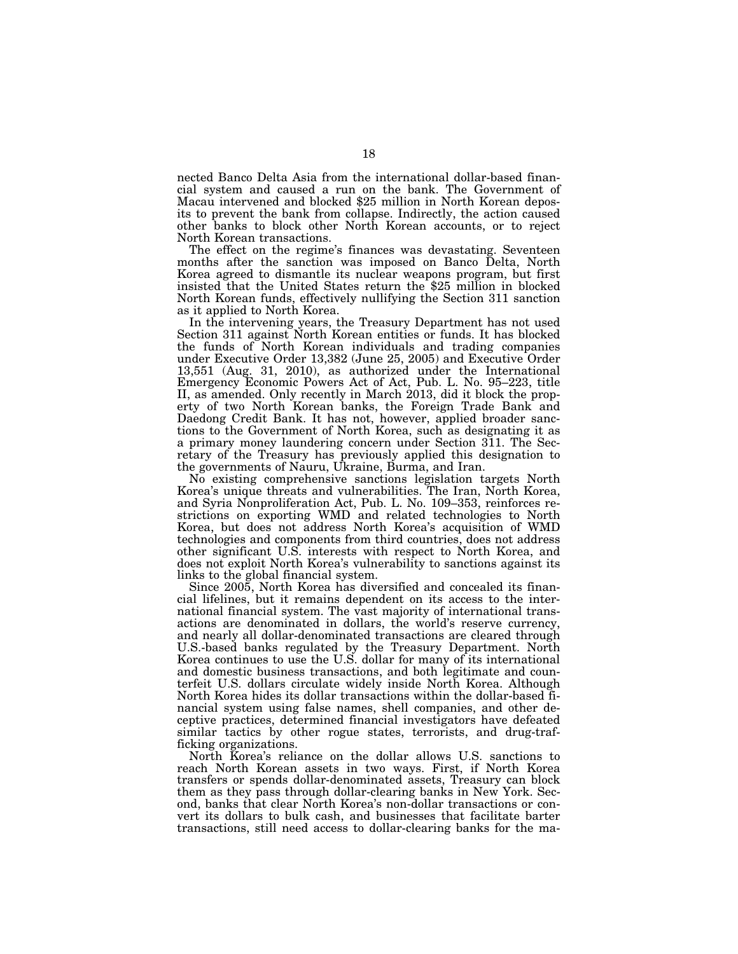nected Banco Delta Asia from the international dollar-based financial system and caused a run on the bank. The Government of Macau intervened and blocked \$25 million in North Korean deposits to prevent the bank from collapse. Indirectly, the action caused other banks to block other North Korean accounts, or to reject North Korean transactions.

The effect on the regime's finances was devastating. Seventeen months after the sanction was imposed on Banco Delta, North Korea agreed to dismantle its nuclear weapons program, but first insisted that the United States return the \$25 million in blocked North Korean funds, effectively nullifying the Section 311 sanction as it applied to North Korea.

In the intervening years, the Treasury Department has not used Section 311 against North Korean entities or funds. It has blocked the funds of North Korean individuals and trading companies under Executive Order 13,382 (June 25, 2005) and Executive Order 13,551 (Aug. 31, 2010), as authorized under the International Emergency Economic Powers Act of Act, Pub. L. No. 95–223, title II, as amended. Only recently in March 2013, did it block the property of two North Korean banks, the Foreign Trade Bank and Daedong Credit Bank. It has not, however, applied broader sanctions to the Government of North Korea, such as designating it as a primary money laundering concern under Section 311. The Secretary of the Treasury has previously applied this designation to the governments of Nauru, Ukraine, Burma, and Iran.

No existing comprehensive sanctions legislation targets North Korea's unique threats and vulnerabilities. The Iran, North Korea, and Syria Nonproliferation Act, Pub. L. No. 109–353, reinforces restrictions on exporting WMD and related technologies to North Korea, but does not address North Korea's acquisition of WMD technologies and components from third countries, does not address other significant U.S. interests with respect to North Korea, and does not exploit North Korea's vulnerability to sanctions against its links to the global financial system.

Since 2005, North Korea has diversified and concealed its financial lifelines, but it remains dependent on its access to the international financial system. The vast majority of international transactions are denominated in dollars, the world's reserve currency, and nearly all dollar-denominated transactions are cleared through U.S.-based banks regulated by the Treasury Department. North Korea continues to use the U.S. dollar for many of its international and domestic business transactions, and both legitimate and counterfeit U.S. dollars circulate widely inside North Korea. Although North Korea hides its dollar transactions within the dollar-based financial system using false names, shell companies, and other deceptive practices, determined financial investigators have defeated similar tactics by other rogue states, terrorists, and drug-trafficking organizations.

North Korea's reliance on the dollar allows U.S. sanctions to reach North Korean assets in two ways. First, if North Korea transfers or spends dollar-denominated assets, Treasury can block them as they pass through dollar-clearing banks in New York. Second, banks that clear North Korea's non-dollar transactions or convert its dollars to bulk cash, and businesses that facilitate barter transactions, still need access to dollar-clearing banks for the ma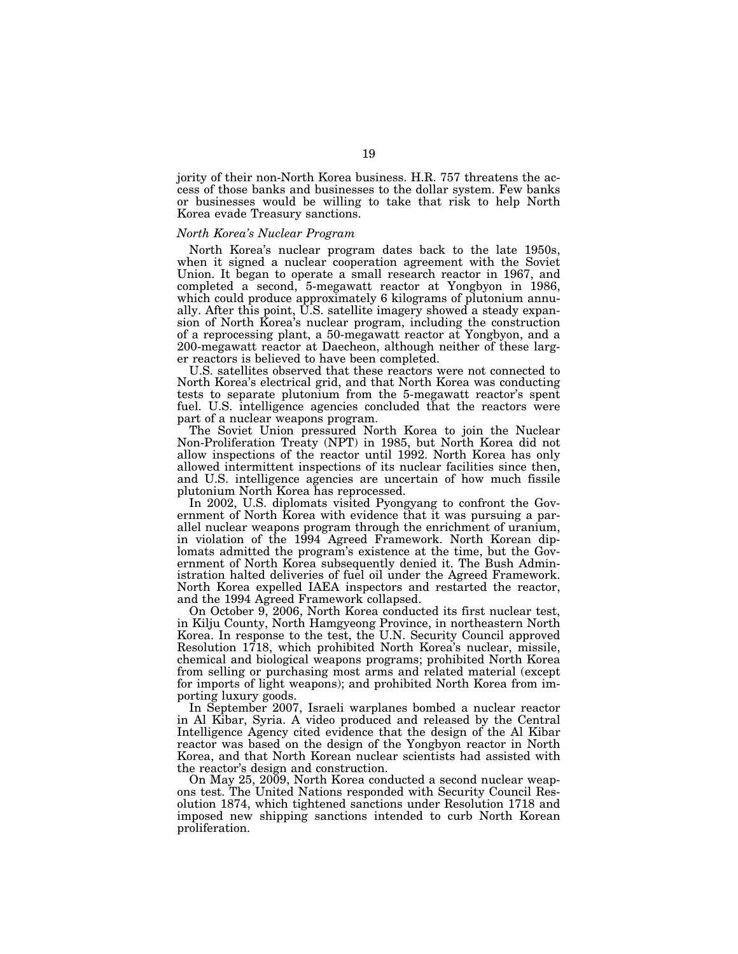jority of their non-North Korea business. H.R. 757 threatens the access of those banks and businesses to the dollar system. Few banks or businesses would be willing to take that risk to help North Korea evade Treasury sanctions.

### *North Korea's Nuclear Program*

North Korea's nuclear program dates back to the late 1950s, when it signed a nuclear cooperation agreement with the Soviet Union. It began to operate a small research reactor in 1967, and completed a second, 5-megawatt reactor at Yongbyon in 1986, which could produce approximately 6 kilograms of plutonium annually. After this point, U.S. satellite imagery showed a steady expansion of North Korea's nuclear program, including the construction of a reprocessing plant, a 50-megawatt reactor at Yongbyon, and a 200-megawatt reactor at Daecheon, although neither of these larger reactors is believed to have been completed.

U.S. satellites observed that these reactors were not connected to North Korea's electrical grid, and that North Korea was conducting tests to separate plutonium from the 5-megawatt reactor's spent fuel. U.S. intelligence agencies concluded that the reactors were part of a nuclear weapons program.

The Soviet Union pressured North Korea to join the Nuclear Non-Proliferation Treaty (NPT) in 1985, but North Korea did not allow inspections of the reactor until 1992. North Korea has only allowed intermittent inspections of its nuclear facilities since then, and U.S. intelligence agencies are uncertain of how much fissile plutonium North Korea has reprocessed.

In 2002, U.S. diplomats visited Pyongyang to confront the Government of North Korea with evidence that it was pursuing a parallel nuclear weapons program through the enrichment of uranium, in violation of the 1994 Agreed Framework. North Korean diplomats admitted the program's existence at the time, but the Government of North Korea subsequently denied it. The Bush Administration halted deliveries of fuel oil under the Agreed Framework. North Korea expelled IAEA inspectors and restarted the reactor, and the 1994 Agreed Framework collapsed.

On October 9, 2006, North Korea conducted its first nuclear test, in Kilju County, North Hamgyeong Province, in northeastern North Korea. In response to the test, the U.N. Security Council approved Resolution 1718, which prohibited North Korea's nuclear, missile, chemical and biological weapons programs; prohibited North Korea from selling or purchasing most arms and related material (except for imports of light weapons); and prohibited North Korea from importing luxury goods.

In September 2007, Israeli warplanes bombed a nuclear reactor in Al Kibar, Syria. A video produced and released by the Central Intelligence Agency cited evidence that the design of the Al Kibar reactor was based on the design of the Yongbyon reactor in North Korea, and that North Korean nuclear scientists had assisted with the reactor's design and construction.

On May 25, 2009, North Korea conducted a second nuclear weapons test. The United Nations responded with Security Council Resolution 1874, which tightened sanctions under Resolution 1718 and imposed new shipping sanctions intended to curb North Korean proliferation.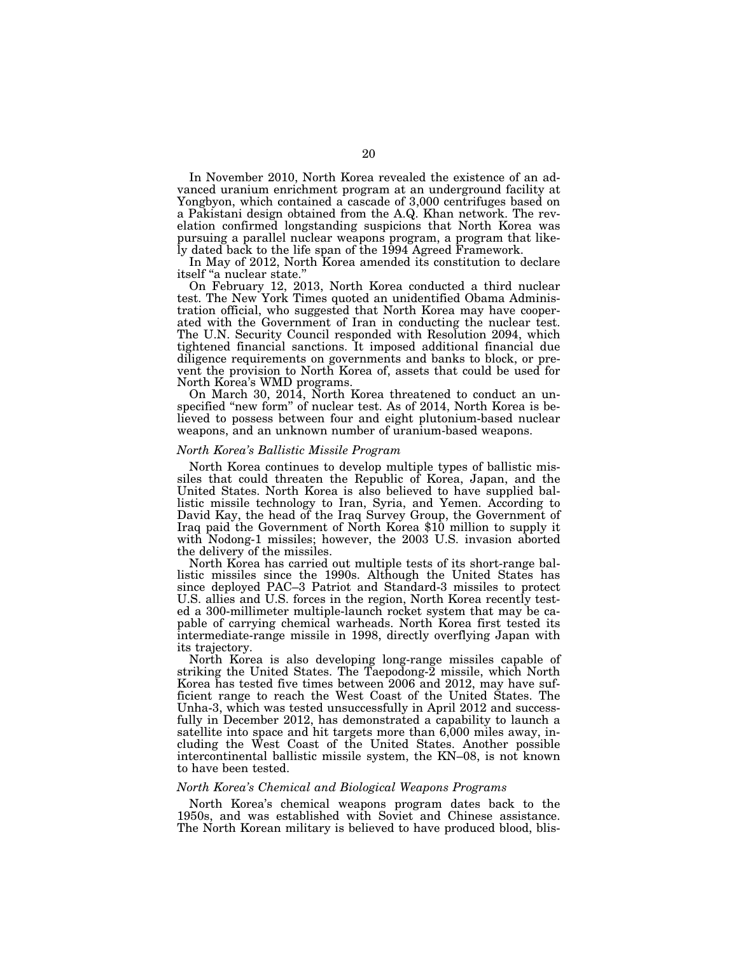In November 2010, North Korea revealed the existence of an advanced uranium enrichment program at an underground facility at Yongbyon, which contained a cascade of 3,000 centrifuges based on a Pakistani design obtained from the A.Q. Khan network. The revelation confirmed longstanding suspicions that North Korea was pursuing a parallel nuclear weapons program, a program that likely dated back to the life span of the 1994 Agreed Framework.

In May of 2012, North Korea amended its constitution to declare itself ''a nuclear state.''

On February 12, 2013, North Korea conducted a third nuclear test. The New York Times quoted an unidentified Obama Administration official, who suggested that North Korea may have cooperated with the Government of Iran in conducting the nuclear test. The U.N. Security Council responded with Resolution 2094, which tightened financial sanctions. It imposed additional financial due diligence requirements on governments and banks to block, or prevent the provision to North Korea of, assets that could be used for North Korea's WMD programs.

On March 30, 2014, North Korea threatened to conduct an unspecified "new form" of nuclear test. As of 2014, North Korea is believed to possess between four and eight plutonium-based nuclear weapons, and an unknown number of uranium-based weapons.

### *North Korea's Ballistic Missile Program*

North Korea continues to develop multiple types of ballistic missiles that could threaten the Republic of Korea, Japan, and the United States. North Korea is also believed to have supplied ballistic missile technology to Iran, Syria, and Yemen. According to David Kay, the head of the Iraq Survey Group, the Government of Iraq paid the Government of North Korea \$10 million to supply it with Nodong-1 missiles; however, the 2003 U.S. invasion aborted the delivery of the missiles.

North Korea has carried out multiple tests of its short-range ballistic missiles since the 1990s. Although the United States has since deployed PAC–3 Patriot and Standard-3 missiles to protect U.S. allies and U.S. forces in the region, North Korea recently tested a 300-millimeter multiple-launch rocket system that may be capable of carrying chemical warheads. North Korea first tested its intermediate-range missile in 1998, directly overflying Japan with its trajectory.

North Korea is also developing long-range missiles capable of striking the United States. The Taepodong-2 missile, which North Korea has tested five times between 2006 and 2012, may have sufficient range to reach the West Coast of the United States. The Unha-3, which was tested unsuccessfully in April 2012 and successfully in December 2012, has demonstrated a capability to launch a satellite into space and hit targets more than 6,000 miles away, including the West Coast of the United States. Another possible intercontinental ballistic missile system, the KN–08, is not known to have been tested.

### *North Korea's Chemical and Biological Weapons Programs*

North Korea's chemical weapons program dates back to the 1950s, and was established with Soviet and Chinese assistance. The North Korean military is believed to have produced blood, blis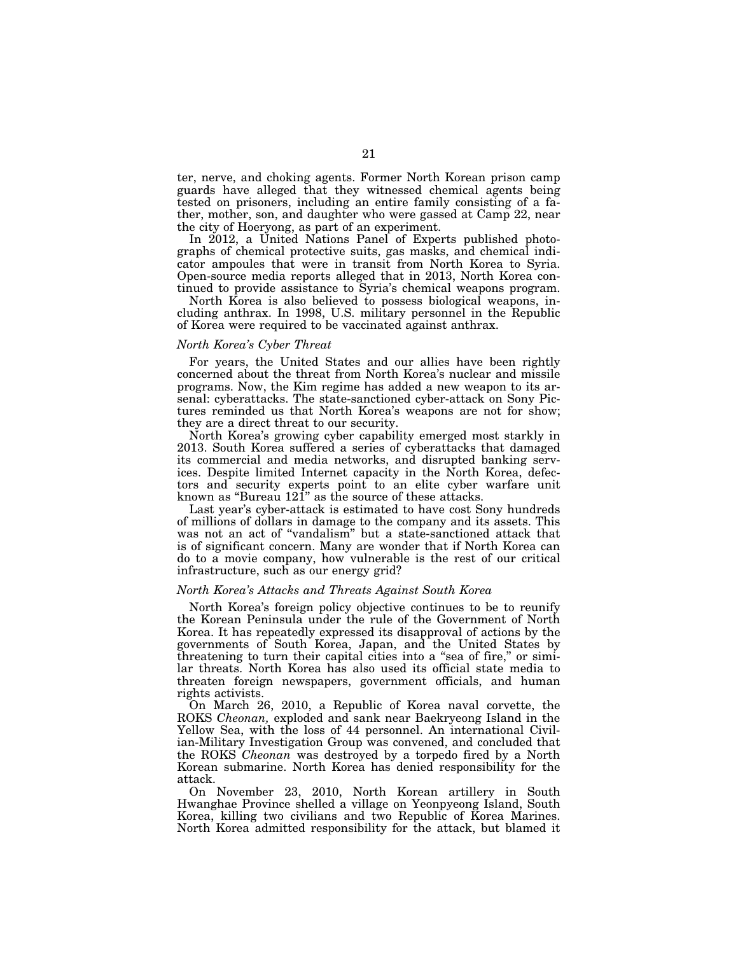ter, nerve, and choking agents. Former North Korean prison camp guards have alleged that they witnessed chemical agents being tested on prisoners, including an entire family consisting of a father, mother, son, and daughter who were gassed at Camp 22, near the city of Hoeryong, as part of an experiment.

In 2012, a United Nations Panel of Experts published photographs of chemical protective suits, gas masks, and chemical indicator ampoules that were in transit from North Korea to Syria. Open-source media reports alleged that in 2013, North Korea continued to provide assistance to Syria's chemical weapons program.

North Korea is also believed to possess biological weapons, including anthrax. In 1998, U.S. military personnel in the Republic of Korea were required to be vaccinated against anthrax.

### *North Korea's Cyber Threat*

For years, the United States and our allies have been rightly concerned about the threat from North Korea's nuclear and missile programs. Now, the Kim regime has added a new weapon to its arsenal: cyberattacks. The state-sanctioned cyber-attack on Sony Pictures reminded us that North Korea's weapons are not for show; they are a direct threat to our security.

North Korea's growing cyber capability emerged most starkly in 2013. South Korea suffered a series of cyberattacks that damaged its commercial and media networks, and disrupted banking services. Despite limited Internet capacity in the North Korea, defectors and security experts point to an elite cyber warfare unit known as ''Bureau 121'' as the source of these attacks.

Last year's cyber-attack is estimated to have cost Sony hundreds of millions of dollars in damage to the company and its assets. This was not an act of ''vandalism'' but a state-sanctioned attack that is of significant concern. Many are wonder that if North Korea can do to a movie company, how vulnerable is the rest of our critical infrastructure, such as our energy grid?

### *North Korea's Attacks and Threats Against South Korea*

North Korea's foreign policy objective continues to be to reunify the Korean Peninsula under the rule of the Government of North Korea. It has repeatedly expressed its disapproval of actions by the governments of South Korea, Japan, and the United States by threatening to turn their capital cities into a ''sea of fire,'' or similar threats. North Korea has also used its official state media to threaten foreign newspapers, government officials, and human rights activists.

On March 26, 2010, a Republic of Korea naval corvette, the ROKS *Cheonan,* exploded and sank near Baekryeong Island in the Yellow Sea, with the loss of 44 personnel. An international Civilian-Military Investigation Group was convened, and concluded that the ROKS *Cheonan* was destroyed by a torpedo fired by a North Korean submarine. North Korea has denied responsibility for the attack.

On November 23, 2010, North Korean artillery in South Hwanghae Province shelled a village on Yeonpyeong Island, South Korea, killing two civilians and two Republic of Korea Marines. North Korea admitted responsibility for the attack, but blamed it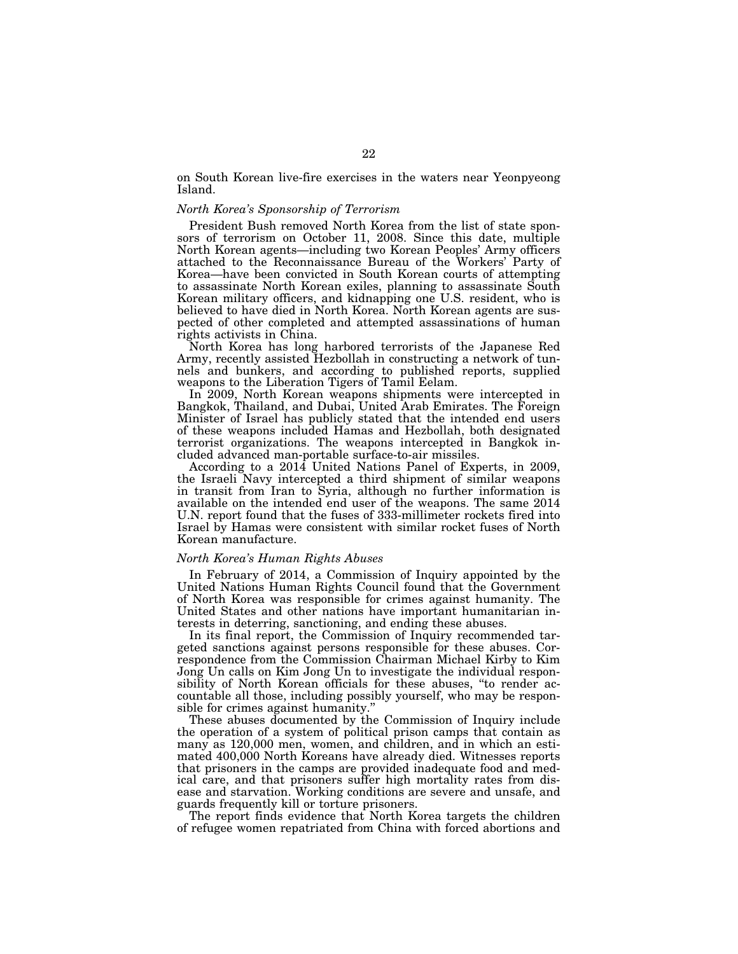on South Korean live-fire exercises in the waters near Yeonpyeong Island.

### *North Korea's Sponsorship of Terrorism*

President Bush removed North Korea from the list of state sponsors of terrorism on October 11, 2008. Since this date, multiple North Korean agents—including two Korean Peoples' Army officers attached to the Reconnaissance Bureau of the Workers' Party of Korea—have been convicted in South Korean courts of attempting to assassinate North Korean exiles, planning to assassinate South Korean military officers, and kidnapping one U.S. resident, who is believed to have died in North Korea. North Korean agents are suspected of other completed and attempted assassinations of human rights activists in China.

North Korea has long harbored terrorists of the Japanese Red Army, recently assisted Hezbollah in constructing a network of tunnels and bunkers, and according to published reports, supplied weapons to the Liberation Tigers of Tamil Eelam.

In 2009, North Korean weapons shipments were intercepted in Bangkok, Thailand, and Dubai, United Arab Emirates. The Foreign Minister of Israel has publicly stated that the intended end users of these weapons included Hamas and Hezbollah, both designated terrorist organizations. The weapons intercepted in Bangkok included advanced man-portable surface-to-air missiles.

According to a 2014 United Nations Panel of Experts, in 2009, the Israeli Navy intercepted a third shipment of similar weapons in transit from Iran to Syria, although no further information is available on the intended end user of the weapons. The same 2014 U.N. report found that the fuses of 333-millimeter rockets fired into Israel by Hamas were consistent with similar rocket fuses of North Korean manufacture.

### *North Korea's Human Rights Abuses*

In February of 2014, a Commission of Inquiry appointed by the United Nations Human Rights Council found that the Government of North Korea was responsible for crimes against humanity. The United States and other nations have important humanitarian interests in deterring, sanctioning, and ending these abuses.

In its final report, the Commission of Inquiry recommended targeted sanctions against persons responsible for these abuses. Correspondence from the Commission Chairman Michael Kirby to Kim Jong Un calls on Kim Jong Un to investigate the individual responsibility of North Korean officials for these abuses, ''to render accountable all those, including possibly yourself, who may be responsible for crimes against humanity.''

These abuses documented by the Commission of Inquiry include the operation of a system of political prison camps that contain as many as 120,000 men, women, and children, and in which an estimated 400,000 North Koreans have already died. Witnesses reports that prisoners in the camps are provided inadequate food and medical care, and that prisoners suffer high mortality rates from disease and starvation. Working conditions are severe and unsafe, and guards frequently kill or torture prisoners.

The report finds evidence that North Korea targets the children of refugee women repatriated from China with forced abortions and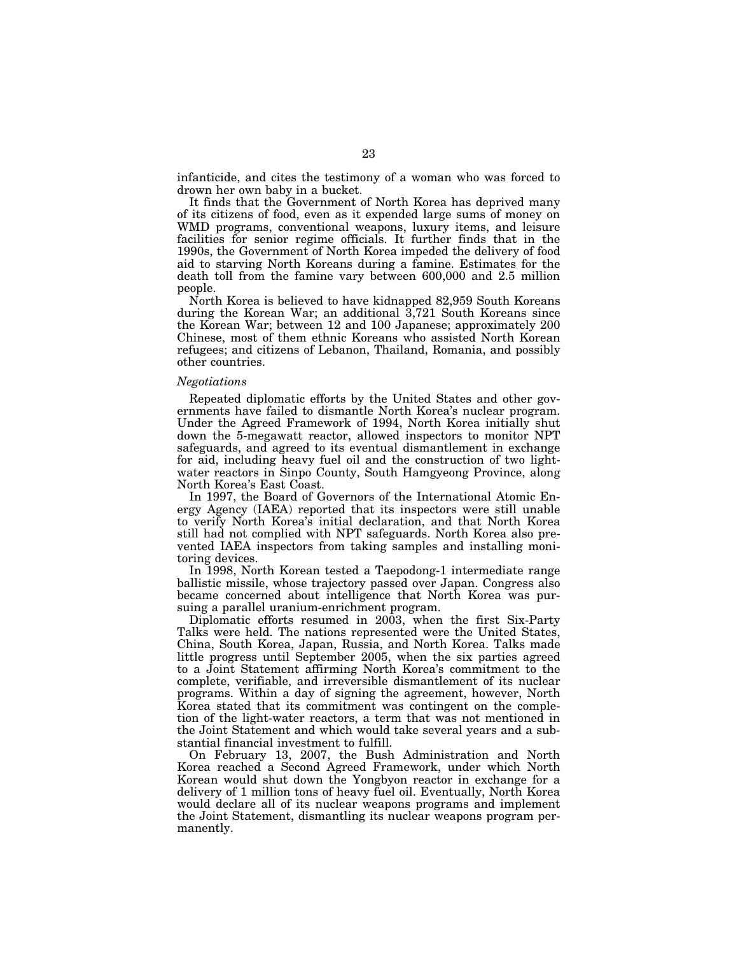infanticide, and cites the testimony of a woman who was forced to drown her own baby in a bucket.

It finds that the Government of North Korea has deprived many of its citizens of food, even as it expended large sums of money on WMD programs, conventional weapons, luxury items, and leisure facilities for senior regime officials. It further finds that in the 1990s, the Government of North Korea impeded the delivery of food aid to starving North Koreans during a famine. Estimates for the death toll from the famine vary between 600,000 and 2.5 million people.

North Korea is believed to have kidnapped 82,959 South Koreans during the Korean War; an additional 3,721 South Koreans since the Korean War; between 12 and 100 Japanese; approximately 200 Chinese, most of them ethnic Koreans who assisted North Korean refugees; and citizens of Lebanon, Thailand, Romania, and possibly other countries.

#### *Negotiations*

Repeated diplomatic efforts by the United States and other governments have failed to dismantle North Korea's nuclear program. Under the Agreed Framework of 1994, North Korea initially shut down the 5-megawatt reactor, allowed inspectors to monitor NPT safeguards, and agreed to its eventual dismantlement in exchange for aid, including heavy fuel oil and the construction of two lightwater reactors in Sinpo County, South Hamgyeong Province, along North Korea's East Coast.

In 1997, the Board of Governors of the International Atomic Energy Agency (IAEA) reported that its inspectors were still unable to verify North Korea's initial declaration, and that North Korea still had not complied with NPT safeguards. North Korea also prevented IAEA inspectors from taking samples and installing monitoring devices.

In 1998, North Korean tested a Taepodong-1 intermediate range ballistic missile, whose trajectory passed over Japan. Congress also became concerned about intelligence that North Korea was pursuing a parallel uranium-enrichment program.

Diplomatic efforts resumed in 2003, when the first Six-Party Talks were held. The nations represented were the United States, China, South Korea, Japan, Russia, and North Korea. Talks made little progress until September 2005, when the six parties agreed to a Joint Statement affirming North Korea's commitment to the complete, verifiable, and irreversible dismantlement of its nuclear programs. Within a day of signing the agreement, however, North Korea stated that its commitment was contingent on the completion of the light-water reactors, a term that was not mentioned in the Joint Statement and which would take several years and a substantial financial investment to fulfill.

On February 13, 2007, the Bush Administration and North Korea reached a Second Agreed Framework, under which North Korean would shut down the Yongbyon reactor in exchange for a delivery of 1 million tons of heavy fuel oil. Eventually, North Korea would declare all of its nuclear weapons programs and implement the Joint Statement, dismantling its nuclear weapons program permanently.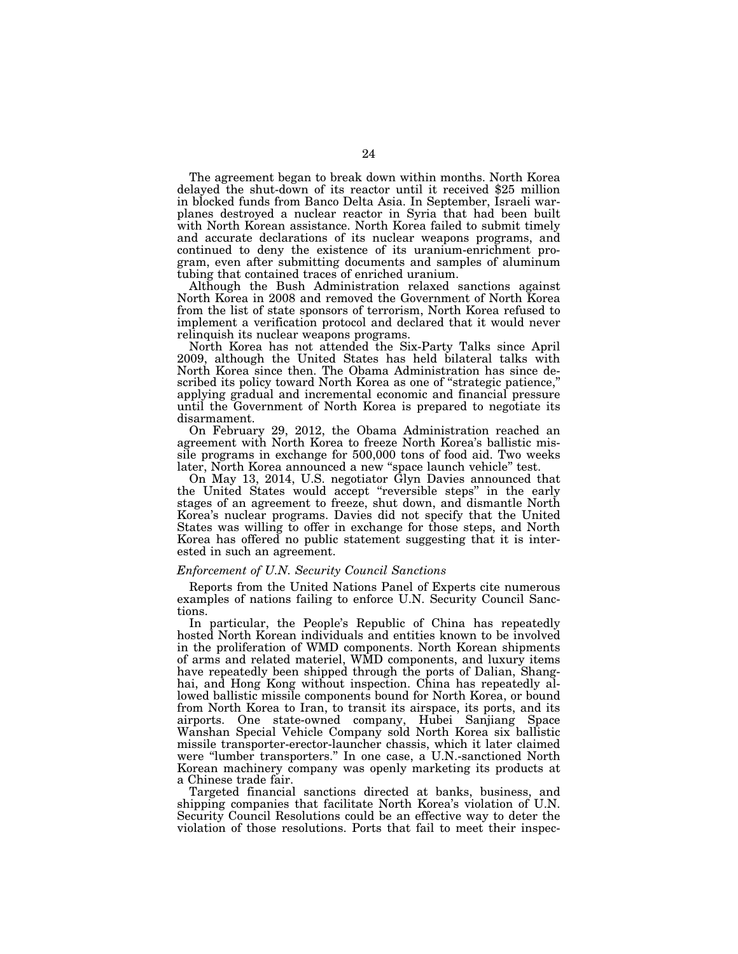The agreement began to break down within months. North Korea delayed the shut-down of its reactor until it received \$25 million in blocked funds from Banco Delta Asia. In September, Israeli warplanes destroyed a nuclear reactor in Syria that had been built with North Korean assistance. North Korea failed to submit timely and accurate declarations of its nuclear weapons programs, and continued to deny the existence of its uranium-enrichment program, even after submitting documents and samples of aluminum tubing that contained traces of enriched uranium.

Although the Bush Administration relaxed sanctions against North Korea in 2008 and removed the Government of North Korea from the list of state sponsors of terrorism, North Korea refused to implement a verification protocol and declared that it would never relinquish its nuclear weapons programs.

North Korea has not attended the Six-Party Talks since April 2009, although the United States has held bilateral talks with North Korea since then. The Obama Administration has since described its policy toward North Korea as one of ''strategic patience,'' applying gradual and incremental economic and financial pressure until the Government of North Korea is prepared to negotiate its disarmament.

On February 29, 2012, the Obama Administration reached an agreement with North Korea to freeze North Korea's ballistic missile programs in exchange for 500,000 tons of food aid. Two weeks later, North Korea announced a new ''space launch vehicle'' test.

On May 13, 2014, U.S. negotiator Glyn Davies announced that the United States would accept ''reversible steps'' in the early stages of an agreement to freeze, shut down, and dismantle North Korea's nuclear programs. Davies did not specify that the United States was willing to offer in exchange for those steps, and North Korea has offered no public statement suggesting that it is interested in such an agreement.

### *Enforcement of U.N. Security Council Sanctions*

Reports from the United Nations Panel of Experts cite numerous examples of nations failing to enforce U.N. Security Council Sanctions.

In particular, the People's Republic of China has repeatedly hosted North Korean individuals and entities known to be involved in the proliferation of WMD components. North Korean shipments of arms and related materiel, WMD components, and luxury items have repeatedly been shipped through the ports of Dalian, Shanghai, and Hong Kong without inspection. China has repeatedly allowed ballistic missile components bound for North Korea, or bound from North Korea to Iran, to transit its airspace, its ports, and its airports. One state-owned company, Hubei Sanjiang Space Wanshan Special Vehicle Company sold North Korea six ballistic missile transporter-erector-launcher chassis, which it later claimed were ''lumber transporters.'' In one case, a U.N.-sanctioned North Korean machinery company was openly marketing its products at a Chinese trade fair.

Targeted financial sanctions directed at banks, business, and shipping companies that facilitate North Korea's violation of U.N. Security Council Resolutions could be an effective way to deter the violation of those resolutions. Ports that fail to meet their inspec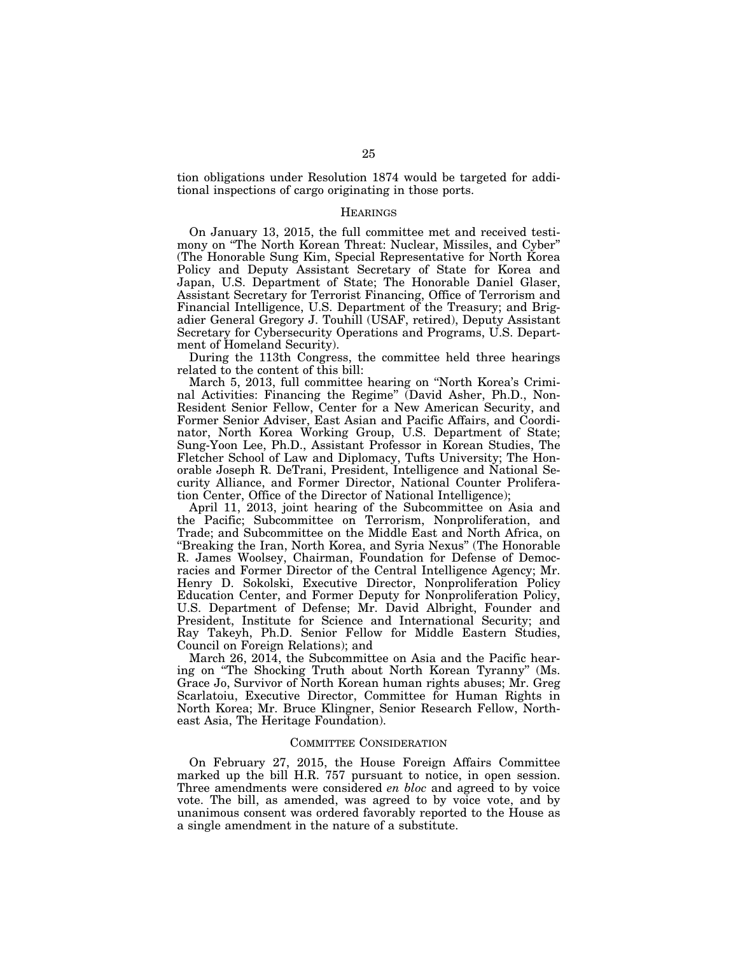tion obligations under Resolution 1874 would be targeted for additional inspections of cargo originating in those ports.

### **HEARINGS**

On January 13, 2015, the full committee met and received testimony on ''The North Korean Threat: Nuclear, Missiles, and Cyber'' (The Honorable Sung Kim, Special Representative for North Korea Policy and Deputy Assistant Secretary of State for Korea and Japan, U.S. Department of State; The Honorable Daniel Glaser, Assistant Secretary for Terrorist Financing, Office of Terrorism and Financial Intelligence, U.S. Department of the Treasury; and Brigadier General Gregory J. Touhill (USAF, retired), Deputy Assistant Secretary for Cybersecurity Operations and Programs, U.S. Department of Homeland Security).

During the 113th Congress, the committee held three hearings related to the content of this bill:

March 5, 2013, full committee hearing on ''North Korea's Criminal Activities: Financing the Regime'' (David Asher, Ph.D., Non-Resident Senior Fellow, Center for a New American Security, and Former Senior Adviser, East Asian and Pacific Affairs, and Coordinator, North Korea Working Group, U.S. Department of State; Sung-Yoon Lee, Ph.D., Assistant Professor in Korean Studies, The Fletcher School of Law and Diplomacy, Tufts University; The Honorable Joseph R. DeTrani, President, Intelligence and National Security Alliance, and Former Director, National Counter Proliferation Center, Office of the Director of National Intelligence);

April 11, 2013, joint hearing of the Subcommittee on Asia and the Pacific; Subcommittee on Terrorism, Nonproliferation, and Trade; and Subcommittee on the Middle East and North Africa, on "Breaking the Iran, North Korea, and Syria Nexus" (The Honorable R. James Woolsey, Chairman, Foundation for Defense of Democracies and Former Director of the Central Intelligence Agency; Mr. Henry D. Sokolski, Executive Director, Nonproliferation Policy Education Center, and Former Deputy for Nonproliferation Policy, U.S. Department of Defense; Mr. David Albright, Founder and President, Institute for Science and International Security; and Ray Takeyh, Ph.D. Senior Fellow for Middle Eastern Studies, Council on Foreign Relations); and

March 26, 2014, the Subcommittee on Asia and the Pacific hearing on ''The Shocking Truth about North Korean Tyranny'' (Ms. Grace Jo, Survivor of North Korean human rights abuses; Mr. Greg Scarlatoiu, Executive Director, Committee for Human Rights in North Korea; Mr. Bruce Klingner, Senior Research Fellow, Northeast Asia, The Heritage Foundation).

### COMMITTEE CONSIDERATION

On February 27, 2015, the House Foreign Affairs Committee marked up the bill H.R. 757 pursuant to notice, in open session. Three amendments were considered *en bloc* and agreed to by voice vote. The bill, as amended, was agreed to by voice vote, and by unanimous consent was ordered favorably reported to the House as a single amendment in the nature of a substitute.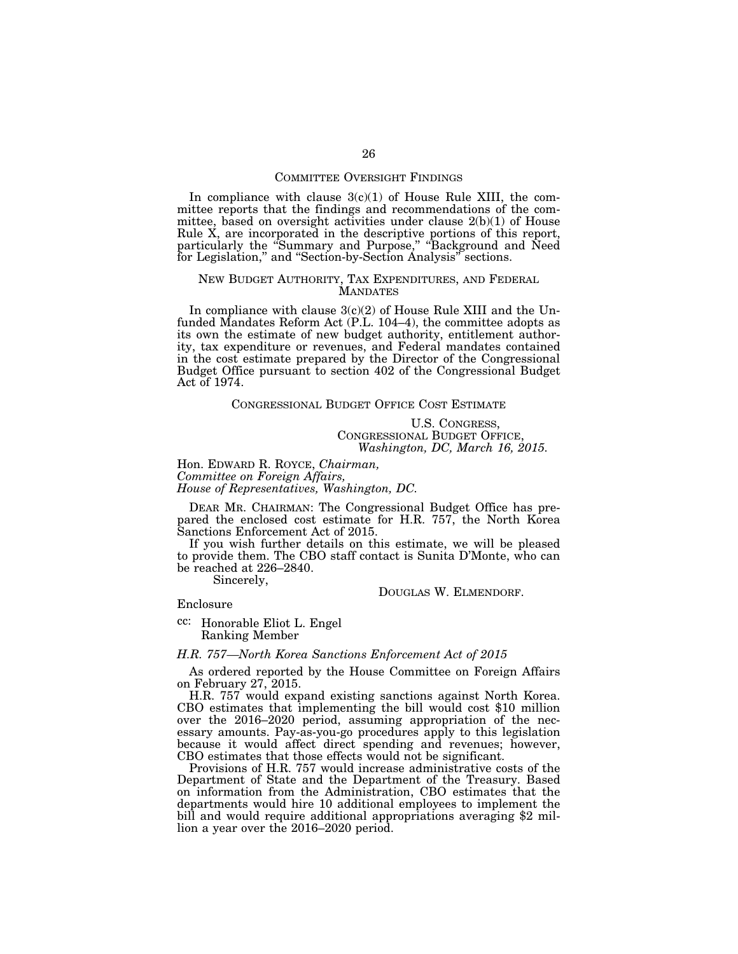### COMMITTEE OVERSIGHT FINDINGS

In compliance with clause  $3(c)(1)$  of House Rule XIII, the committee reports that the findings and recommendations of the committee, based on oversight activities under clause 2(b)(1) of House Rule X, are incorporated in the descriptive portions of this report, particularly the ''Summary and Purpose,'' ''Background and Need for Legislation," and "Section-by-Section Analysis" sections.

### NEW BUDGET AUTHORITY, TAX EXPENDITURES, AND FEDERAL **MANDATES**

In compliance with clause  $3(c)(2)$  of House Rule XIII and the Unfunded Mandates Reform Act (P.L. 104–4), the committee adopts as its own the estimate of new budget authority, entitlement authority, tax expenditure or revenues, and Federal mandates contained in the cost estimate prepared by the Director of the Congressional Budget Office pursuant to section 402 of the Congressional Budget Act of 1974.

### CONGRESSIONAL BUDGET OFFICE COST ESTIMATE

U.S. CONGRESS, CONGRESSIONAL BUDGET OFFICE, *Washington, DC, March 16, 2015.* 

Hon. EDWARD R. ROYCE, *Chairman, Committee on Foreign Affairs, House of Representatives, Washington, DC.* 

DEAR MR. CHAIRMAN: The Congressional Budget Office has prepared the enclosed cost estimate for H.R. 757, the North Korea Sanctions Enforcement Act of 2015.

If you wish further details on this estimate, we will be pleased to provide them. The CBO staff contact is Sunita D'Monte, who can be reached at 226–2840.

Sincerely,

DOUGLAS W. ELMENDORF.

Enclosure

cc: Honorable Eliot L. Engel Ranking Member

### *H.R. 757—North Korea Sanctions Enforcement Act of 2015*

As ordered reported by the House Committee on Foreign Affairs on February 27, 2015.

H.R. 757 would expand existing sanctions against North Korea. CBO estimates that implementing the bill would cost \$10 million over the 2016–2020 period, assuming appropriation of the necessary amounts. Pay-as-you-go procedures apply to this legislation because it would affect direct spending and revenues; however, CBO estimates that those effects would not be significant.

Provisions of H.R. 757 would increase administrative costs of the Department of State and the Department of the Treasury. Based on information from the Administration, CBO estimates that the departments would hire 10 additional employees to implement the bill and would require additional appropriations averaging \$2 million a year over the 2016–2020 period.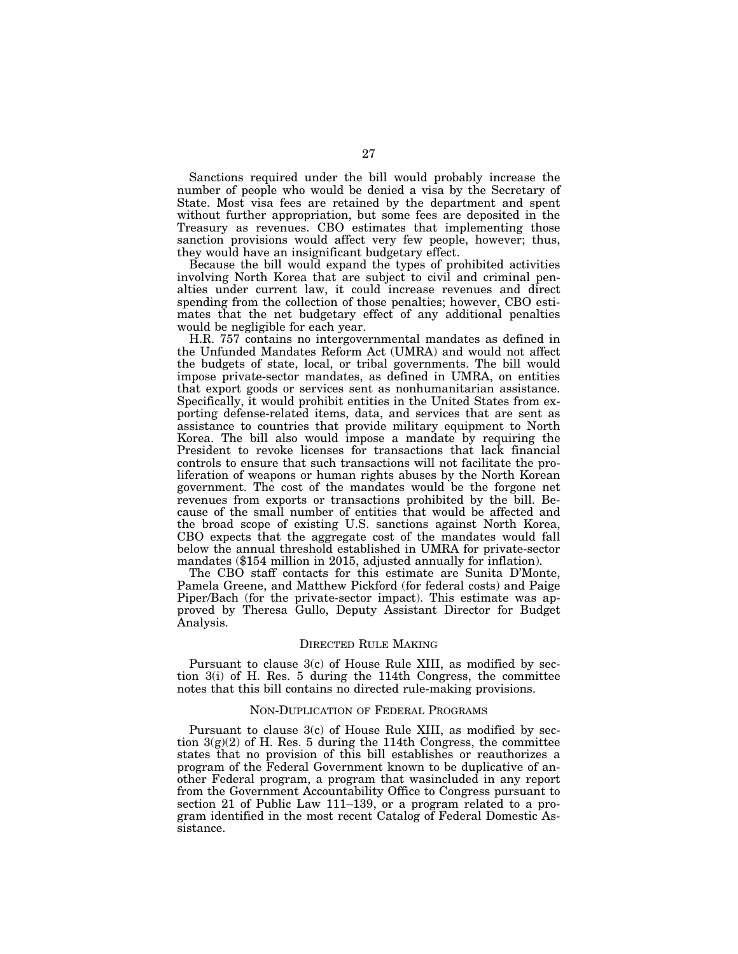Sanctions required under the bill would probably increase the number of people who would be denied a visa by the Secretary of State. Most visa fees are retained by the department and spent without further appropriation, but some fees are deposited in the Treasury as revenues. CBO estimates that implementing those sanction provisions would affect very few people, however; thus, they would have an insignificant budgetary effect.

Because the bill would expand the types of prohibited activities involving North Korea that are subject to civil and criminal penalties under current law, it could increase revenues and direct spending from the collection of those penalties; however, CBO estimates that the net budgetary effect of any additional penalties would be negligible for each year.

H.R. 757 contains no intergovernmental mandates as defined in the Unfunded Mandates Reform Act (UMRA) and would not affect the budgets of state, local, or tribal governments. The bill would impose private-sector mandates, as defined in UMRA, on entities that export goods or services sent as nonhumanitarian assistance. Specifically, it would prohibit entities in the United States from exporting defense-related items, data, and services that are sent as assistance to countries that provide military equipment to North Korea. The bill also would impose a mandate by requiring the President to revoke licenses for transactions that lack financial controls to ensure that such transactions will not facilitate the proliferation of weapons or human rights abuses by the North Korean government. The cost of the mandates would be the forgone net revenues from exports or transactions prohibited by the bill. Because of the small number of entities that would be affected and the broad scope of existing U.S. sanctions against North Korea, CBO expects that the aggregate cost of the mandates would fall below the annual threshold established in UMRA for private-sector mandates (\$154 million in 2015, adjusted annually for inflation).

The CBO staff contacts for this estimate are Sunita D'Monte, Pamela Greene, and Matthew Pickford (for federal costs) and Paige Piper/Bach (for the private-sector impact). This estimate was approved by Theresa Gullo, Deputy Assistant Director for Budget Analysis.

### DIRECTED RULE MAKING

Pursuant to clause 3(c) of House Rule XIII, as modified by section 3(i) of H. Res. 5 during the 114th Congress, the committee notes that this bill contains no directed rule-making provisions.

#### NON-DUPLICATION OF FEDERAL PROGRAMS

Pursuant to clause 3(c) of House Rule XIII, as modified by section  $3(g)(2)$  of H. Res. 5 during the 114th Congress, the committee states that no provision of this bill establishes or reauthorizes a program of the Federal Government known to be duplicative of another Federal program, a program that wasincluded in any report from the Government Accountability Office to Congress pursuant to section 21 of Public Law 111–139, or a program related to a program identified in the most recent Catalog of Federal Domestic Assistance.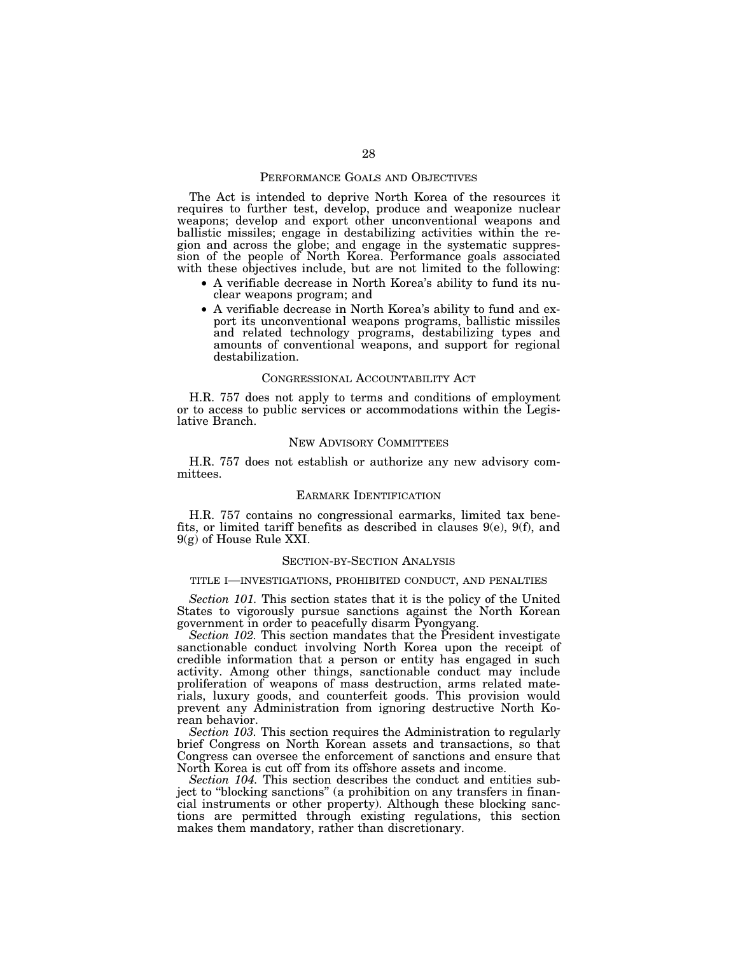### PERFORMANCE GOALS AND OBJECTIVES

The Act is intended to deprive North Korea of the resources it requires to further test, develop, produce and weaponize nuclear weapons; develop and export other unconventional weapons and ballistic missiles; engage in destabilizing activities within the region and across the globe; and engage in the systematic suppression of the people of North Korea. Performance goals associated with these objectives include, but are not limited to the following:

- A verifiable decrease in North Korea's ability to fund its nuclear weapons program; and
- A verifiable decrease in North Korea's ability to fund and export its unconventional weapons programs, ballistic missiles and related technology programs, destabilizing types and amounts of conventional weapons, and support for regional destabilization.

### CONGRESSIONAL ACCOUNTABILITY ACT

H.R. 757 does not apply to terms and conditions of employment or to access to public services or accommodations within the Legislative Branch.

### NEW ADVISORY COMMITTEES

H.R. 757 does not establish or authorize any new advisory committees.

### EARMARK IDENTIFICATION

H.R. 757 contains no congressional earmarks, limited tax benefits, or limited tariff benefits as described in clauses  $9(e)$ ,  $9(f)$ , and 9(g) of House Rule XXI.

#### SECTION-BY-SECTION ANALYSIS

#### TITLE I—INVESTIGATIONS, PROHIBITED CONDUCT, AND PENALTIES

*Section 101.* This section states that it is the policy of the United States to vigorously pursue sanctions against the North Korean government in order to peacefully disarm Pyongyang.

*Section 102.* This section mandates that the President investigate sanctionable conduct involving North Korea upon the receipt of credible information that a person or entity has engaged in such activity. Among other things, sanctionable conduct may include proliferation of weapons of mass destruction, arms related materials, luxury goods, and counterfeit goods. This provision would prevent any Administration from ignoring destructive North Korean behavior.

*Section 103.* This section requires the Administration to regularly brief Congress on North Korean assets and transactions, so that Congress can oversee the enforcement of sanctions and ensure that North Korea is cut off from its offshore assets and income.

*Section 104.* This section describes the conduct and entities subject to ''blocking sanctions'' (a prohibition on any transfers in financial instruments or other property). Although these blocking sanctions are permitted through existing regulations, this section makes them mandatory, rather than discretionary.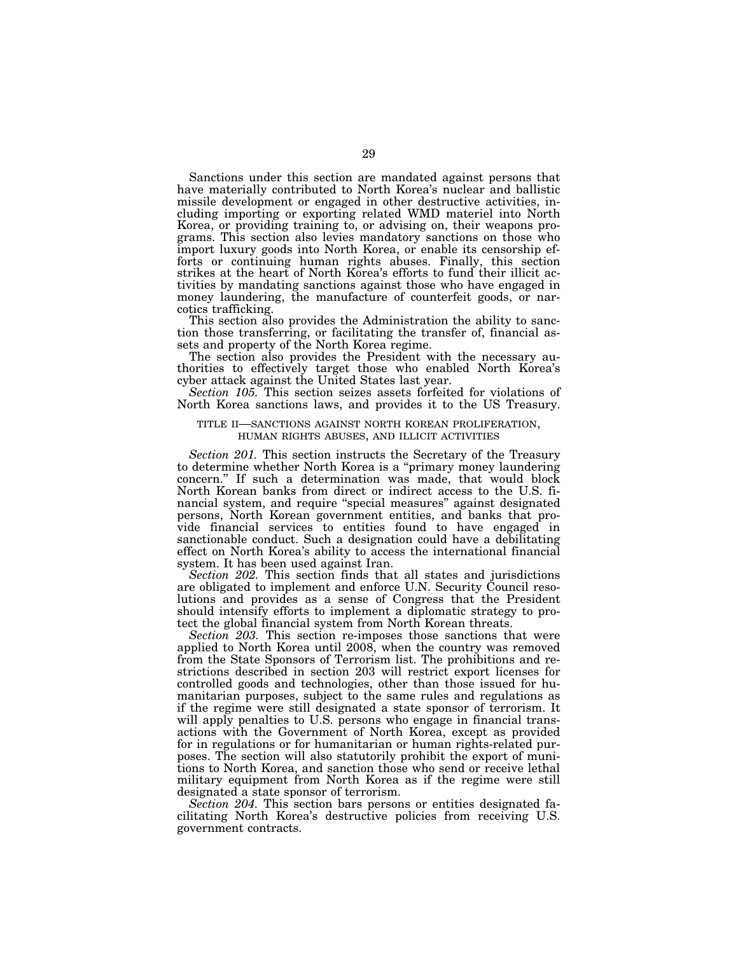Sanctions under this section are mandated against persons that have materially contributed to North Korea's nuclear and ballistic missile development or engaged in other destructive activities, including importing or exporting related WMD materiel into North Korea, or providing training to, or advising on, their weapons programs. This section also levies mandatory sanctions on those who import luxury goods into North Korea, or enable its censorship efforts or continuing human rights abuses. Finally, this section strikes at the heart of North Korea's efforts to fund their illicit activities by mandating sanctions against those who have engaged in money laundering, the manufacture of counterfeit goods, or narcotics trafficking.

This section also provides the Administration the ability to sanction those transferring, or facilitating the transfer of, financial assets and property of the North Korea regime.

The section also provides the President with the necessary authorities to effectively target those who enabled North Korea's cyber attack against the United States last year.

*Section 105.* This section seizes assets forfeited for violations of North Korea sanctions laws, and provides it to the US Treasury.

### TITLE II—SANCTIONS AGAINST NORTH KOREAN PROLIFERATION, HUMAN RIGHTS ABUSES, AND ILLICIT ACTIVITIES

*Section 201.* This section instructs the Secretary of the Treasury to determine whether North Korea is a ''primary money laundering concern.'' If such a determination was made, that would block North Korean banks from direct or indirect access to the U.S. financial system, and require "special measures" against designated persons, North Korean government entities, and banks that provide financial services to entities found to have engaged in sanctionable conduct. Such a designation could have a debilitating effect on North Korea's ability to access the international financial system. It has been used against Iran.

*Section 202.* This section finds that all states and jurisdictions are obligated to implement and enforce U.N. Security Council resolutions and provides as a sense of Congress that the President should intensify efforts to implement a diplomatic strategy to protect the global financial system from North Korean threats.

*Section 203.* This section re-imposes those sanctions that were applied to North Korea until 2008, when the country was removed from the State Sponsors of Terrorism list. The prohibitions and restrictions described in section 203 will restrict export licenses for controlled goods and technologies, other than those issued for humanitarian purposes, subject to the same rules and regulations as if the regime were still designated a state sponsor of terrorism. It will apply penalties to U.S. persons who engage in financial transactions with the Government of North Korea, except as provided for in regulations or for humanitarian or human rights-related purposes. The section will also statutorily prohibit the export of munitions to North Korea, and sanction those who send or receive lethal military equipment from North Korea as if the regime were still designated a state sponsor of terrorism.

Section 204. This section bars persons or entities designated facilitating North Korea's destructive policies from receiving U.S. government contracts.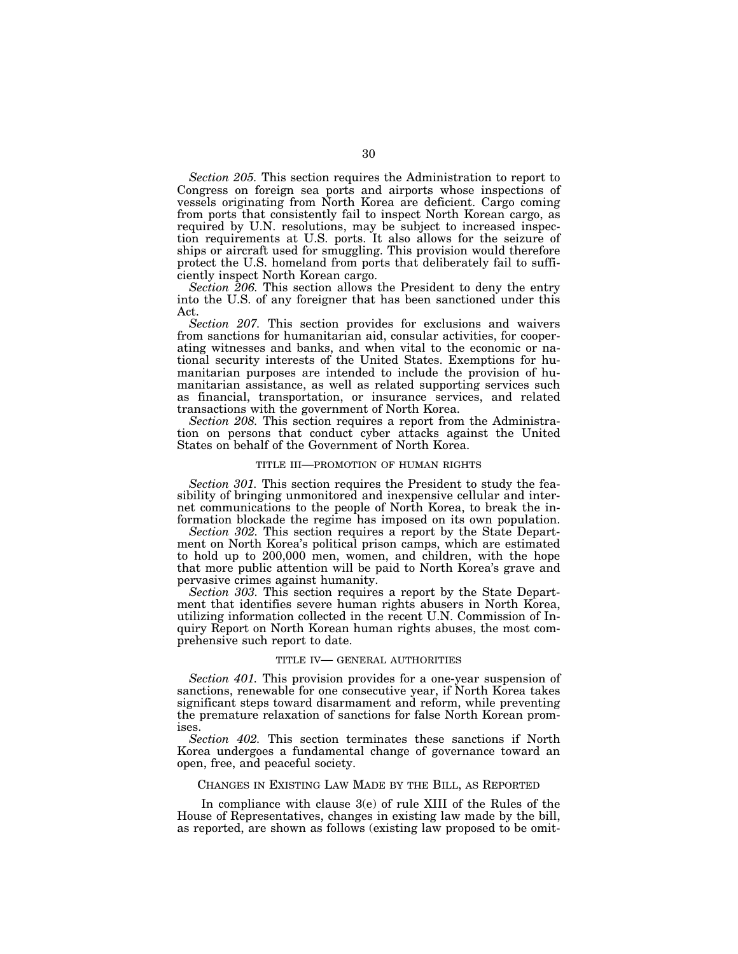*Section 205.* This section requires the Administration to report to Congress on foreign sea ports and airports whose inspections of vessels originating from North Korea are deficient. Cargo coming from ports that consistently fail to inspect North Korean cargo, as required by U.N. resolutions, may be subject to increased inspection requirements at U.S. ports. It also allows for the seizure of ships or aircraft used for smuggling. This provision would therefore protect the U.S. homeland from ports that deliberately fail to sufficiently inspect North Korean cargo.

*Section 206.* This section allows the President to deny the entry into the U.S. of any foreigner that has been sanctioned under this Act.

*Section 207.* This section provides for exclusions and waivers from sanctions for humanitarian aid, consular activities, for cooperating witnesses and banks, and when vital to the economic or national security interests of the United States. Exemptions for humanitarian purposes are intended to include the provision of humanitarian assistance, as well as related supporting services such as financial, transportation, or insurance services, and related transactions with the government of North Korea.

*Section 208.* This section requires a report from the Administration on persons that conduct cyber attacks against the United States on behalf of the Government of North Korea.

### TITLE III—PROMOTION OF HUMAN RIGHTS

*Section 301.* This section requires the President to study the feasibility of bringing unmonitored and inexpensive cellular and internet communications to the people of North Korea, to break the information blockade the regime has imposed on its own population.

*Section 302.* This section requires a report by the State Department on North Korea's political prison camps, which are estimated to hold up to 200,000 men, women, and children, with the hope that more public attention will be paid to North Korea's grave and pervasive crimes against humanity.

*Section 303.* This section requires a report by the State Department that identifies severe human rights abusers in North Korea, utilizing information collected in the recent U.N. Commission of Inquiry Report on North Korean human rights abuses, the most comprehensive such report to date.

#### TITLE IV— GENERAL AUTHORITIES

*Section 401.* This provision provides for a one-year suspension of sanctions, renewable for one consecutive year, if North Korea takes significant steps toward disarmament and reform, while preventing the premature relaxation of sanctions for false North Korean promises.

*Section 402.* This section terminates these sanctions if North Korea undergoes a fundamental change of governance toward an open, free, and peaceful society.

### CHANGES IN EXISTING LAW MADE BY THE BILL, AS REPORTED

In compliance with clause 3(e) of rule XIII of the Rules of the House of Representatives, changes in existing law made by the bill, as reported, are shown as follows (existing law proposed to be omit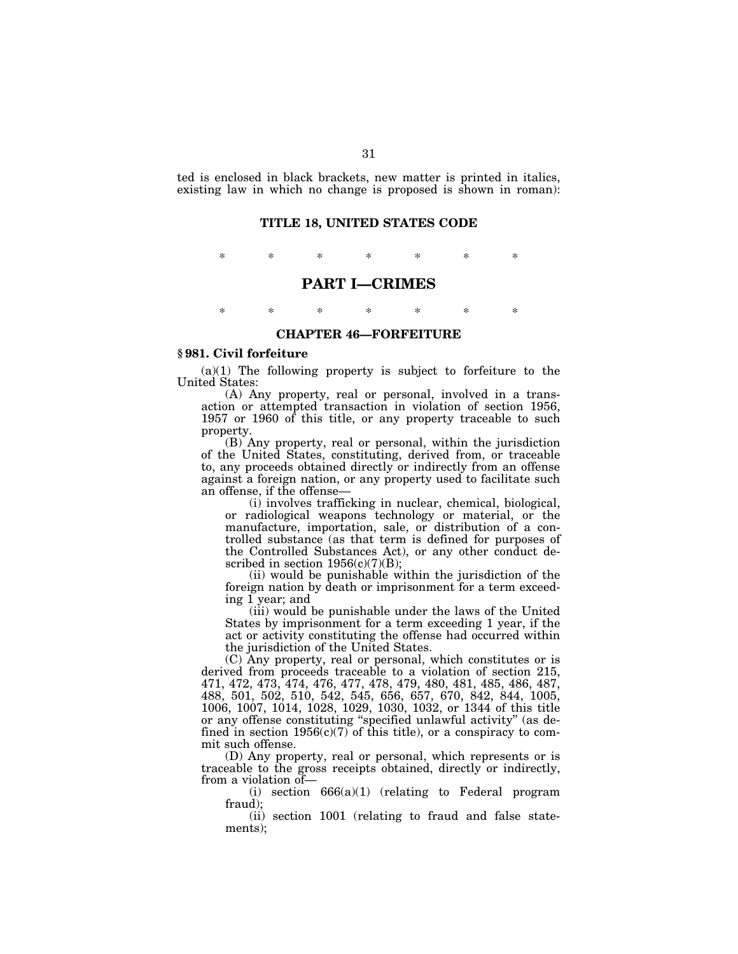ted is enclosed in black brackets, new matter is printed in italics, existing law in which no change is proposed is shown in roman):

### **TITLE 18, UNITED STATES CODE**

\* \* \* \* \* \* \*

## **PART I—CRIMES**

\* \* \* \* \* \* \*

### **CHAPTER 46—FORFEITURE**

### **§ 981. Civil forfeiture**

 $(a)(1)$  The following property is subject to forfeiture to the United States:

(A) Any property, real or personal, involved in a transaction or attempted transaction in violation of section 1956, 1957 or 1960 of this title, or any property traceable to such property.

(B) Any property, real or personal, within the jurisdiction of the United States, constituting, derived from, or traceable to, any proceeds obtained directly or indirectly from an offense against a foreign nation, or any property used to facilitate such an offense, if the offense—

(i) involves trafficking in nuclear, chemical, biological, or radiological weapons technology or material, or the manufacture, importation, sale, or distribution of a controlled substance (as that term is defined for purposes of the Controlled Substances Act), or any other conduct described in section  $1956(c)(7)(B)$ ;

(ii) would be punishable within the jurisdiction of the foreign nation by death or imprisonment for a term exceeding 1 year; and

(iii) would be punishable under the laws of the United States by imprisonment for a term exceeding 1 year, if the act or activity constituting the offense had occurred within the jurisdiction of the United States.

(C) Any property, real or personal, which constitutes or is derived from proceeds traceable to a violation of section 215, 471, 472, 473, 474, 476, 477, 478, 479, 480, 481, 485, 486, 487, 488, 501, 502, 510, 542, 545, 656, 657, 670, 842, 844, 1005, 1006, 1007, 1014, 1028, 1029, 1030, 1032, or 1344 of this title or any offense constituting ''specified unlawful activity'' (as defined in section  $1956(c)(7)$  of this title), or a conspiracy to commit such offense.

(D) Any property, real or personal, which represents or is traceable to the gross receipts obtained, directly or indirectly, from a violation of—

(i) section  $666(a)(1)$  (relating to Federal program fraud);

(ii) section 1001 (relating to fraud and false statements);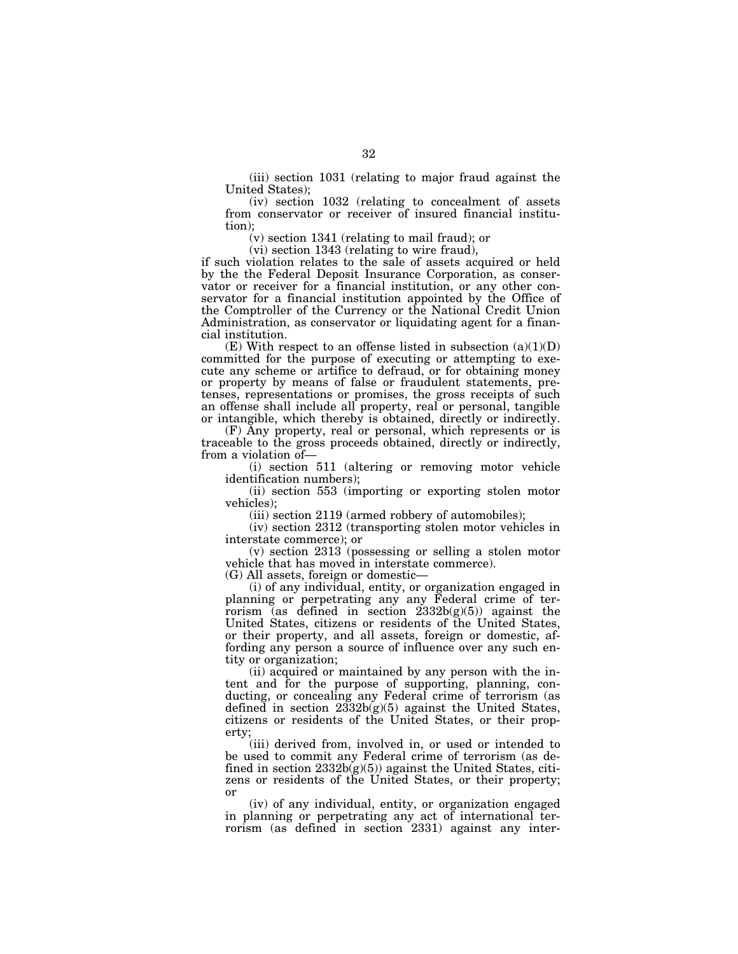(iii) section 1031 (relating to major fraud against the United States);

(iv) section 1032 (relating to concealment of assets from conservator or receiver of insured financial institution);

(v) section 1341 (relating to mail fraud); or

(vi) section 1343 (relating to wire fraud),

if such violation relates to the sale of assets acquired or held by the the Federal Deposit Insurance Corporation, as conservator or receiver for a financial institution, or any other conservator for a financial institution appointed by the Office of the Comptroller of the Currency or the National Credit Union Administration, as conservator or liquidating agent for a financial institution.

 $(E)$  With respect to an offense listed in subsection  $(a)(1)(D)$ committed for the purpose of executing or attempting to execute any scheme or artifice to defraud, or for obtaining money or property by means of false or fraudulent statements, pretenses, representations or promises, the gross receipts of such an offense shall include all property, real or personal, tangible or intangible, which thereby is obtained, directly or indirectly.

(F) Any property, real or personal, which represents or is traceable to the gross proceeds obtained, directly or indirectly, from a violation of—

(i) section 511 (altering or removing motor vehicle identification numbers);

(ii) section 553 (importing or exporting stolen motor vehicles);

(iii) section 2119 (armed robbery of automobiles);

(iv) section 2312 (transporting stolen motor vehicles in interstate commerce); or

(v) section 2313 (possessing or selling a stolen motor vehicle that has moved in interstate commerce).

(G) All assets, foreign or domestic—

(i) of any individual, entity, or organization engaged in planning or perpetrating any any Federal crime of terrorism (as defined in section  $2332b(g)(5)$ ) against the United States, citizens or residents of the United States, or their property, and all assets, foreign or domestic, affording any person a source of influence over any such entity or organization;

(ii) acquired or maintained by any person with the intent and for the purpose of supporting, planning, conducting, or concealing any Federal crime of terrorism (as defined in section  $2\overline{3}32b(g)(5)$  against the United States, citizens or residents of the United States, or their property;

(iii) derived from, involved in, or used or intended to be used to commit any Federal crime of terrorism (as defined in section  $2332b(g)(5)$  against the United States, citizens or residents of the United States, or their property; or

(iv) of any individual, entity, or organization engaged in planning or perpetrating any act of international terrorism (as defined in section 2331) against any inter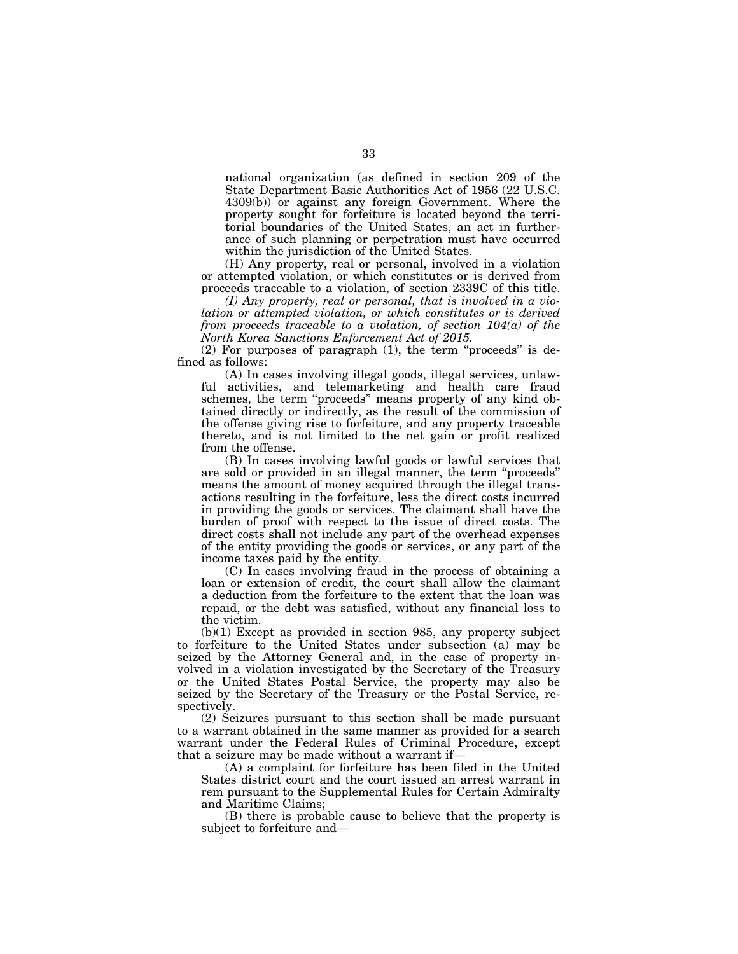national organization (as defined in section 209 of the State Department Basic Authorities Act of 1956 (22 U.S.C. 4309(b)) or against any foreign Government. Where the property sought for forfeiture is located beyond the territorial boundaries of the United States, an act in furtherance of such planning or perpetration must have occurred within the jurisdiction of the United States.

(H) Any property, real or personal, involved in a violation or attempted violation, or which constitutes or is derived from proceeds traceable to a violation, of section 2339C of this title.

*(I) Any property, real or personal, that is involved in a violation or attempted violation, or which constitutes or is derived from proceeds traceable to a violation, of section 104(a) of the North Korea Sanctions Enforcement Act of 2015.* 

(2) For purposes of paragraph (1), the term ''proceeds'' is defined as follows:

(A) In cases involving illegal goods, illegal services, unlawful activities, and telemarketing and health care fraud schemes, the term ''proceeds'' means property of any kind obtained directly or indirectly, as the result of the commission of the offense giving rise to forfeiture, and any property traceable thereto, and is not limited to the net gain or profit realized from the offense.

(B) In cases involving lawful goods or lawful services that are sold or provided in an illegal manner, the term ''proceeds'' means the amount of money acquired through the illegal transactions resulting in the forfeiture, less the direct costs incurred in providing the goods or services. The claimant shall have the burden of proof with respect to the issue of direct costs. The direct costs shall not include any part of the overhead expenses of the entity providing the goods or services, or any part of the income taxes paid by the entity.

(C) In cases involving fraud in the process of obtaining a loan or extension of credit, the court shall allow the claimant a deduction from the forfeiture to the extent that the loan was repaid, or the debt was satisfied, without any financial loss to the victim.

(b)(1) Except as provided in section 985, any property subject to forfeiture to the United States under subsection (a) may be seized by the Attorney General and, in the case of property involved in a violation investigated by the Secretary of the Treasury or the United States Postal Service, the property may also be seized by the Secretary of the Treasury or the Postal Service, respectively.

(2) Seizures pursuant to this section shall be made pursuant to a warrant obtained in the same manner as provided for a search warrant under the Federal Rules of Criminal Procedure, except that a seizure may be made without a warrant if—

(A) a complaint for forfeiture has been filed in the United States district court and the court issued an arrest warrant in rem pursuant to the Supplemental Rules for Certain Admiralty and Maritime Claims;

(B) there is probable cause to believe that the property is subject to forfeiture and—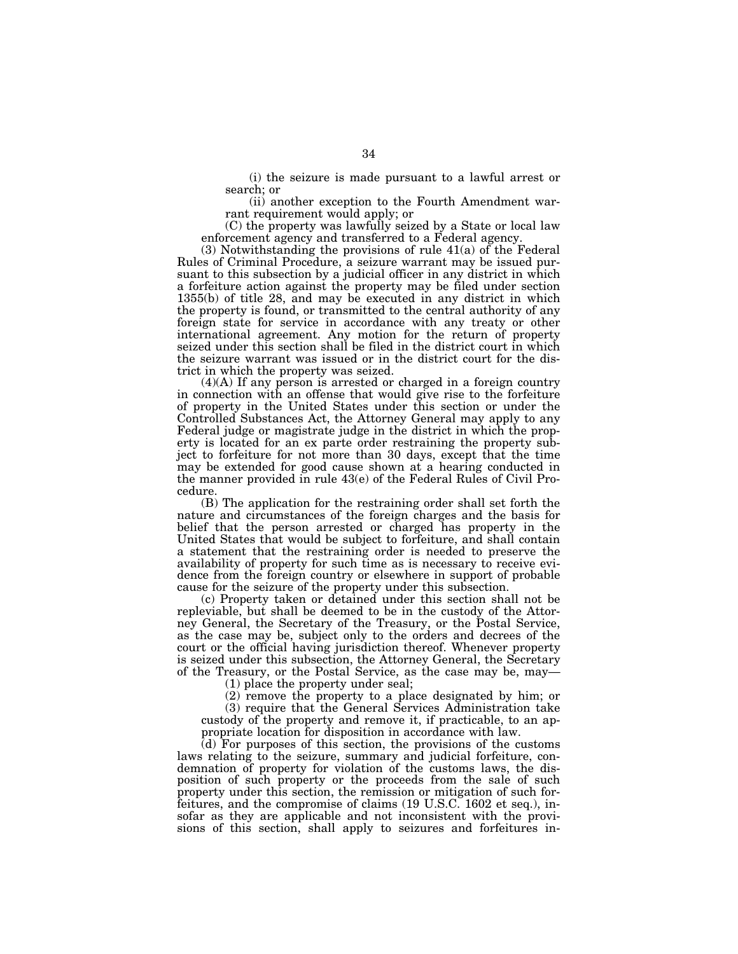(i) the seizure is made pursuant to a lawful arrest or search; or

(ii) another exception to the Fourth Amendment warrant requirement would apply; or

(C) the property was lawfully seized by a State or local law enforcement agency and transferred to a Federal agency.

(3) Notwithstanding the provisions of rule 41(a) of the Federal Rules of Criminal Procedure, a seizure warrant may be issued pursuant to this subsection by a judicial officer in any district in which a forfeiture action against the property may be filed under section 1355(b) of title 28, and may be executed in any district in which the property is found, or transmitted to the central authority of any foreign state for service in accordance with any treaty or other international agreement. Any motion for the return of property seized under this section shall be filed in the district court in which the seizure warrant was issued or in the district court for the district in which the property was seized.

(4)(A) If any person is arrested or charged in a foreign country in connection with an offense that would give rise to the forfeiture of property in the United States under this section or under the Controlled Substances Act, the Attorney General may apply to any Federal judge or magistrate judge in the district in which the property is located for an ex parte order restraining the property subject to forfeiture for not more than 30 days, except that the time may be extended for good cause shown at a hearing conducted in the manner provided in rule 43(e) of the Federal Rules of Civil Procedure.

(B) The application for the restraining order shall set forth the nature and circumstances of the foreign charges and the basis for belief that the person arrested or charged has property in the United States that would be subject to forfeiture, and shall contain a statement that the restraining order is needed to preserve the availability of property for such time as is necessary to receive evidence from the foreign country or elsewhere in support of probable cause for the seizure of the property under this subsection.

(c) Property taken or detained under this section shall not be repleviable, but shall be deemed to be in the custody of the Attorney General, the Secretary of the Treasury, or the Postal Service, as the case may be, subject only to the orders and decrees of the court or the official having jurisdiction thereof. Whenever property is seized under this subsection, the Attorney General, the Secretary of the Treasury, or the Postal Service, as the case may be, may—

(1) place the property under seal;

(2) remove the property to a place designated by him; or (3) require that the General Services Administration take custody of the property and remove it, if practicable, to an appropriate location for disposition in accordance with law.

 $(d)$  For purposes of this section, the provisions of the customs laws relating to the seizure, summary and judicial forfeiture, condemnation of property for violation of the customs laws, the disposition of such property or the proceeds from the sale of such property under this section, the remission or mitigation of such forfeitures, and the compromise of claims (19 U.S.C. 1602 et seq.), insofar as they are applicable and not inconsistent with the provisions of this section, shall apply to seizures and forfeitures in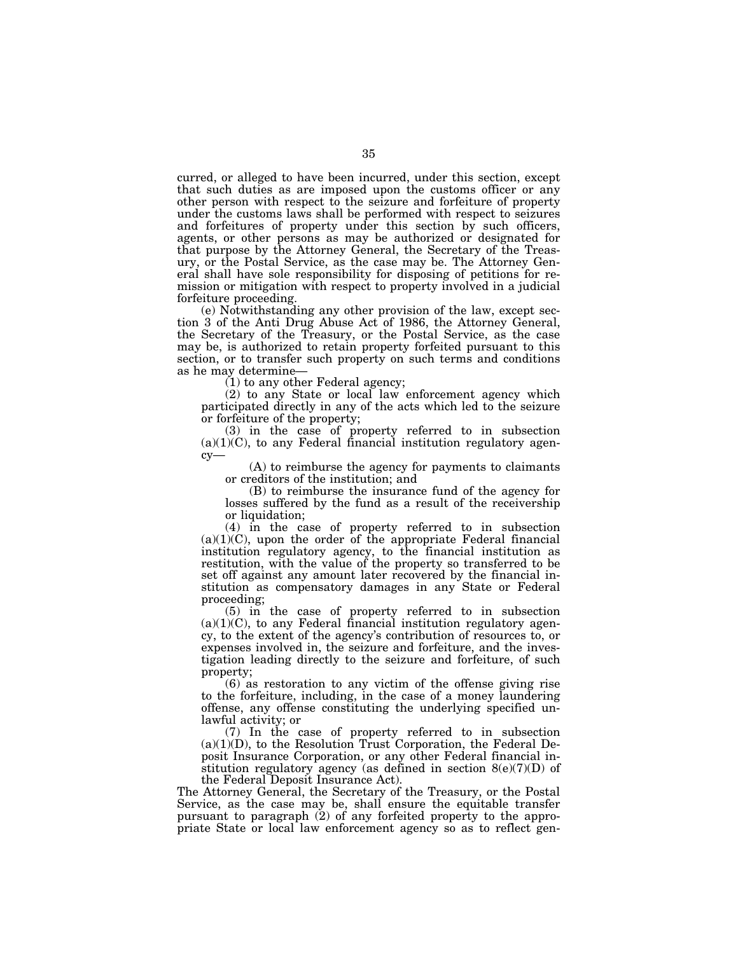curred, or alleged to have been incurred, under this section, except that such duties as are imposed upon the customs officer or any other person with respect to the seizure and forfeiture of property under the customs laws shall be performed with respect to seizures and forfeitures of property under this section by such officers, agents, or other persons as may be authorized or designated for that purpose by the Attorney General, the Secretary of the Treasury, or the Postal Service, as the case may be. The Attorney General shall have sole responsibility for disposing of petitions for remission or mitigation with respect to property involved in a judicial forfeiture proceeding.

(e) Notwithstanding any other provision of the law, except section 3 of the Anti Drug Abuse Act of 1986, the Attorney General, the Secretary of the Treasury, or the Postal Service, as the case may be, is authorized to retain property forfeited pursuant to this section, or to transfer such property on such terms and conditions as he may determine—

(1) to any other Federal agency;

(2) to any State or local law enforcement agency which participated directly in any of the acts which led to the seizure or forfeiture of the property;

(3) in the case of property referred to in subsection  $(a)(1)(C)$ , to any Federal financial institution regulatory agency—

(A) to reimburse the agency for payments to claimants or creditors of the institution; and

(B) to reimburse the insurance fund of the agency for losses suffered by the fund as a result of the receivership or liquidation;

(4) in the case of property referred to in subsection  $(a)(1)(C)$ , upon the order of the appropriate Federal financial institution regulatory agency, to the financial institution as restitution, with the value of the property so transferred to be set off against any amount later recovered by the financial institution as compensatory damages in any State or Federal proceeding;

(5) in the case of property referred to in subsection  $(a)(1)(C)$ , to any Federal financial institution regulatory agency, to the extent of the agency's contribution of resources to, or expenses involved in, the seizure and forfeiture, and the investigation leading directly to the seizure and forfeiture, of such property;

(6) as restoration to any victim of the offense giving rise to the forfeiture, including, in the case of a money laundering offense, any offense constituting the underlying specified unlawful activity; or

(7) In the case of property referred to in subsection  $(a)(1)(D)$ , to the Resolution Trust Corporation, the Federal Deposit Insurance Corporation, or any other Federal financial institution regulatory agency (as defined in section  $8(e)(7)(D)$  of the Federal Deposit Insurance Act).

The Attorney General, the Secretary of the Treasury, or the Postal Service, as the case may be, shall ensure the equitable transfer pursuant to paragraph (2) of any forfeited property to the appropriate State or local law enforcement agency so as to reflect gen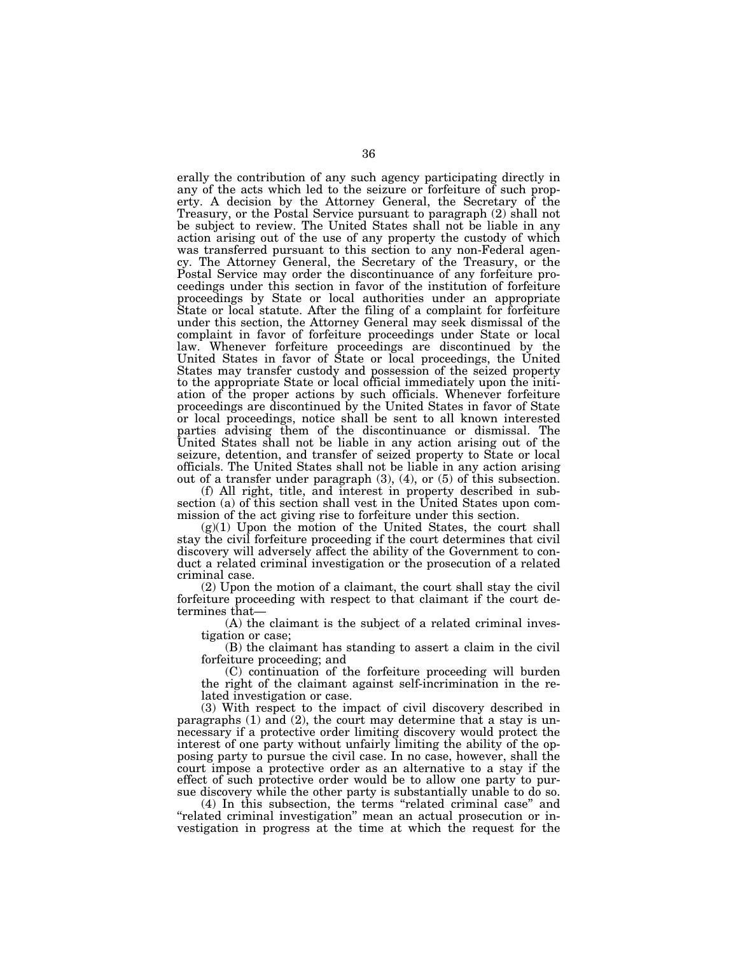erally the contribution of any such agency participating directly in any of the acts which led to the seizure or forfeiture of such property. A decision by the Attorney General, the Secretary of the Treasury, or the Postal Service pursuant to paragraph (2) shall not be subject to review. The United States shall not be liable in any action arising out of the use of any property the custody of which was transferred pursuant to this section to any non-Federal agency. The Attorney General, the Secretary of the Treasury, or the Postal Service may order the discontinuance of any forfeiture proceedings under this section in favor of the institution of forfeiture proceedings by State or local authorities under an appropriate State or local statute. After the filing of a complaint for forfeiture under this section, the Attorney General may seek dismissal of the complaint in favor of forfeiture proceedings under State or local law. Whenever forfeiture proceedings are discontinued by the United States in favor of State or local proceedings, the United States may transfer custody and possession of the seized property to the appropriate State or local official immediately upon the initiation of the proper actions by such officials. Whenever forfeiture proceedings are discontinued by the United States in favor of State or local proceedings, notice shall be sent to all known interested parties advising them of the discontinuance or dismissal. The United States shall not be liable in any action arising out of the seizure, detention, and transfer of seized property to State or local officials. The United States shall not be liable in any action arising out of a transfer under paragraph (3), (4), or (5) of this subsection.

(f) All right, title, and interest in property described in subsection (a) of this section shall vest in the United States upon commission of the act giving rise to forfeiture under this section.

(g)(1) Upon the motion of the United States, the court shall stay the civil forfeiture proceeding if the court determines that civil discovery will adversely affect the ability of the Government to conduct a related criminal investigation or the prosecution of a related criminal case.

(2) Upon the motion of a claimant, the court shall stay the civil forfeiture proceeding with respect to that claimant if the court determines that—

(A) the claimant is the subject of a related criminal investigation or case;

(B) the claimant has standing to assert a claim in the civil forfeiture proceeding; and

(C) continuation of the forfeiture proceeding will burden the right of the claimant against self-incrimination in the related investigation or case.

(3) With respect to the impact of civil discovery described in paragraphs (1) and (2), the court may determine that a stay is unnecessary if a protective order limiting discovery would protect the interest of one party without unfairly limiting the ability of the opposing party to pursue the civil case. In no case, however, shall the court impose a protective order as an alternative to a stay if the effect of such protective order would be to allow one party to pursue discovery while the other party is substantially unable to do so.

(4) In this subsection, the terms ''related criminal case'' and "related criminal investigation" mean an actual prosecution or investigation in progress at the time at which the request for the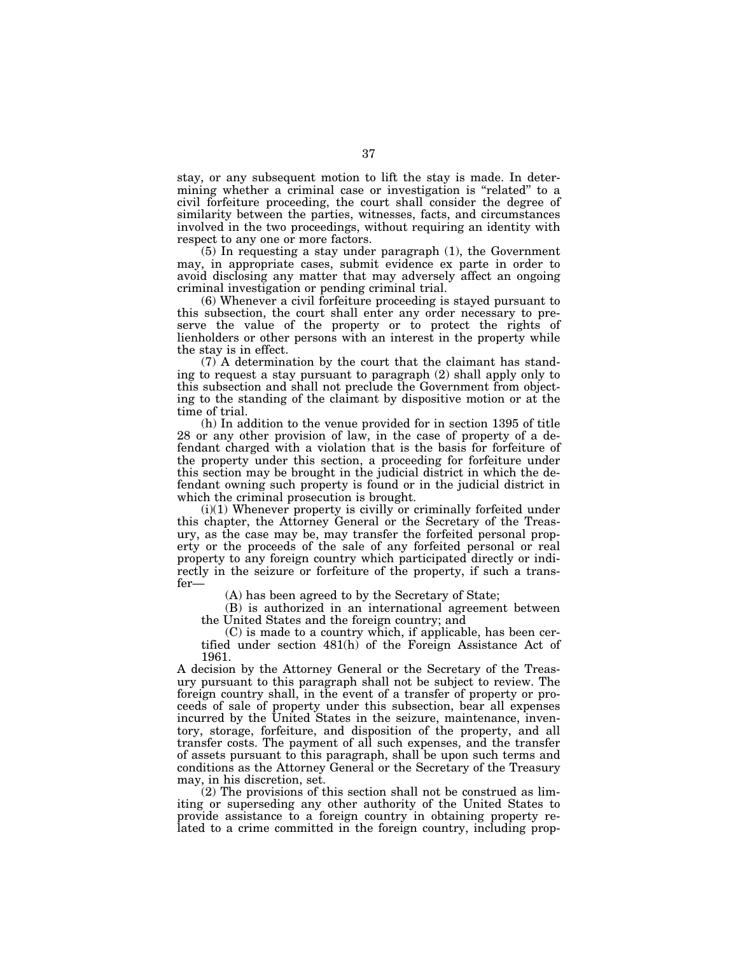stay, or any subsequent motion to lift the stay is made. In determining whether a criminal case or investigation is "related" to a civil forfeiture proceeding, the court shall consider the degree of similarity between the parties, witnesses, facts, and circumstances involved in the two proceedings, without requiring an identity with respect to any one or more factors.

(5) In requesting a stay under paragraph (1), the Government may, in appropriate cases, submit evidence ex parte in order to avoid disclosing any matter that may adversely affect an ongoing criminal investigation or pending criminal trial.

(6) Whenever a civil forfeiture proceeding is stayed pursuant to this subsection, the court shall enter any order necessary to preserve the value of the property or to protect the rights of lienholders or other persons with an interest in the property while the stay is in effect.

(7) A determination by the court that the claimant has standing to request a stay pursuant to paragraph (2) shall apply only to this subsection and shall not preclude the Government from objecting to the standing of the claimant by dispositive motion or at the time of trial.

(h) In addition to the venue provided for in section 1395 of title 28 or any other provision of law, in the case of property of a defendant charged with a violation that is the basis for forfeiture of the property under this section, a proceeding for forfeiture under this section may be brought in the judicial district in which the defendant owning such property is found or in the judicial district in which the criminal prosecution is brought.

(i)(1) Whenever property is civilly or criminally forfeited under this chapter, the Attorney General or the Secretary of the Treasury, as the case may be, may transfer the forfeited personal property or the proceeds of the sale of any forfeited personal or real property to any foreign country which participated directly or indirectly in the seizure or forfeiture of the property, if such a transfer—

(A) has been agreed to by the Secretary of State;

(B) is authorized in an international agreement between the United States and the foreign country; and

(C) is made to a country which, if applicable, has been certified under section 481(h) of the Foreign Assistance Act of 1961.

A decision by the Attorney General or the Secretary of the Treasury pursuant to this paragraph shall not be subject to review. The foreign country shall, in the event of a transfer of property or proceeds of sale of property under this subsection, bear all expenses incurred by the United States in the seizure, maintenance, inventory, storage, forfeiture, and disposition of the property, and all transfer costs. The payment of all such expenses, and the transfer of assets pursuant to this paragraph, shall be upon such terms and conditions as the Attorney General or the Secretary of the Treasury may, in his discretion, set.

(2) The provisions of this section shall not be construed as limiting or superseding any other authority of the United States to provide assistance to a foreign country in obtaining property related to a crime committed in the foreign country, including prop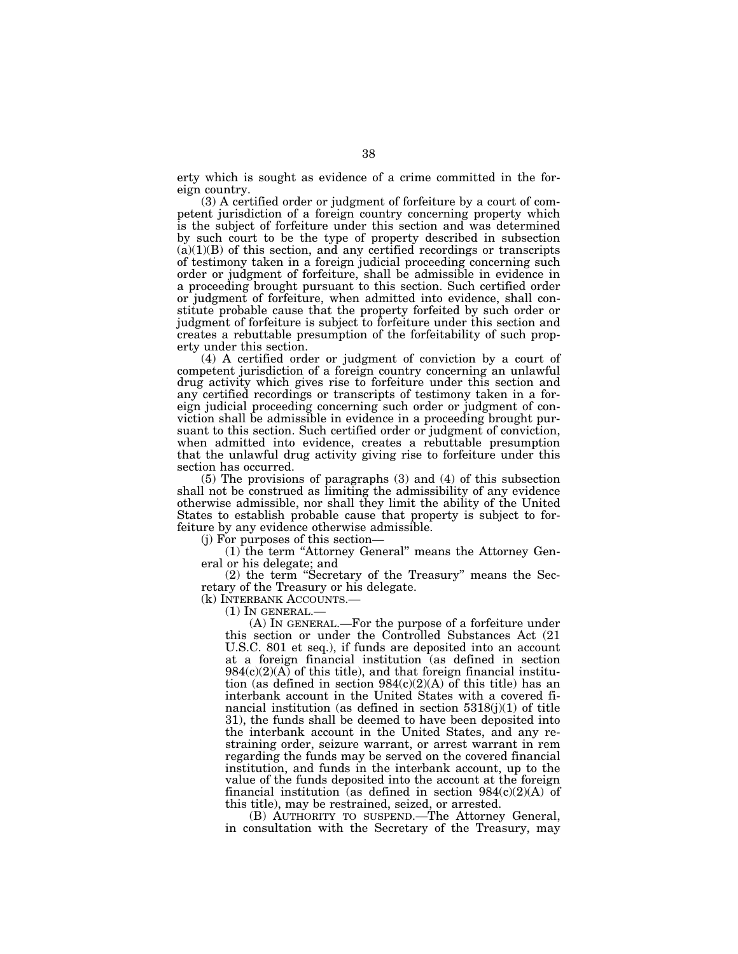erty which is sought as evidence of a crime committed in the foreign country.

(3) A certified order or judgment of forfeiture by a court of competent jurisdiction of a foreign country concerning property which is the subject of forfeiture under this section and was determined by such court to be the type of property described in subsection  $(a)(1)(B)$  of this section, and any certified recordings or transcripts of testimony taken in a foreign judicial proceeding concerning such order or judgment of forfeiture, shall be admissible in evidence in a proceeding brought pursuant to this section. Such certified order or judgment of forfeiture, when admitted into evidence, shall constitute probable cause that the property forfeited by such order or judgment of forfeiture is subject to forfeiture under this section and creates a rebuttable presumption of the forfeitability of such property under this section.

(4) A certified order or judgment of conviction by a court of competent jurisdiction of a foreign country concerning an unlawful drug activity which gives rise to forfeiture under this section and any certified recordings or transcripts of testimony taken in a foreign judicial proceeding concerning such order or judgment of conviction shall be admissible in evidence in a proceeding brought pursuant to this section. Such certified order or judgment of conviction, when admitted into evidence, creates a rebuttable presumption that the unlawful drug activity giving rise to forfeiture under this section has occurred.

(5) The provisions of paragraphs (3) and (4) of this subsection shall not be construed as limiting the admissibility of any evidence otherwise admissible, nor shall they limit the ability of the United States to establish probable cause that property is subject to forfeiture by any evidence otherwise admissible.

(j) For purposes of this section—

(1) the term ''Attorney General'' means the Attorney General or his delegate; and

(2) the term ''Secretary of the Treasury'' means the Secretary of the Treasury or his delegate.

(k) INTERBANK ACCOUNTS.—<br>(1) IN GENERAL.—<br>(A) IN GENERAL.—For the purpose of a forfeiture under this section or under the Controlled Substances Act (21 U.S.C. 801 et seq.), if funds are deposited into an account at a foreign financial institution (as defined in section  $984(c)(2)(A)$  of this title), and that foreign financial institution (as defined in section  $984(c)(2)(A)$  of this title) has an interbank account in the United States with a covered financial institution (as defined in section  $5318(j)(1)$  of title 31), the funds shall be deemed to have been deposited into the interbank account in the United States, and any restraining order, seizure warrant, or arrest warrant in rem regarding the funds may be served on the covered financial institution, and funds in the interbank account, up to the value of the funds deposited into the account at the foreign financial institution (as defined in section  $984(c)(2)(A)$  of this title), may be restrained, seized, or arrested.

(B) AUTHORITY TO SUSPEND.—The Attorney General, in consultation with the Secretary of the Treasury, may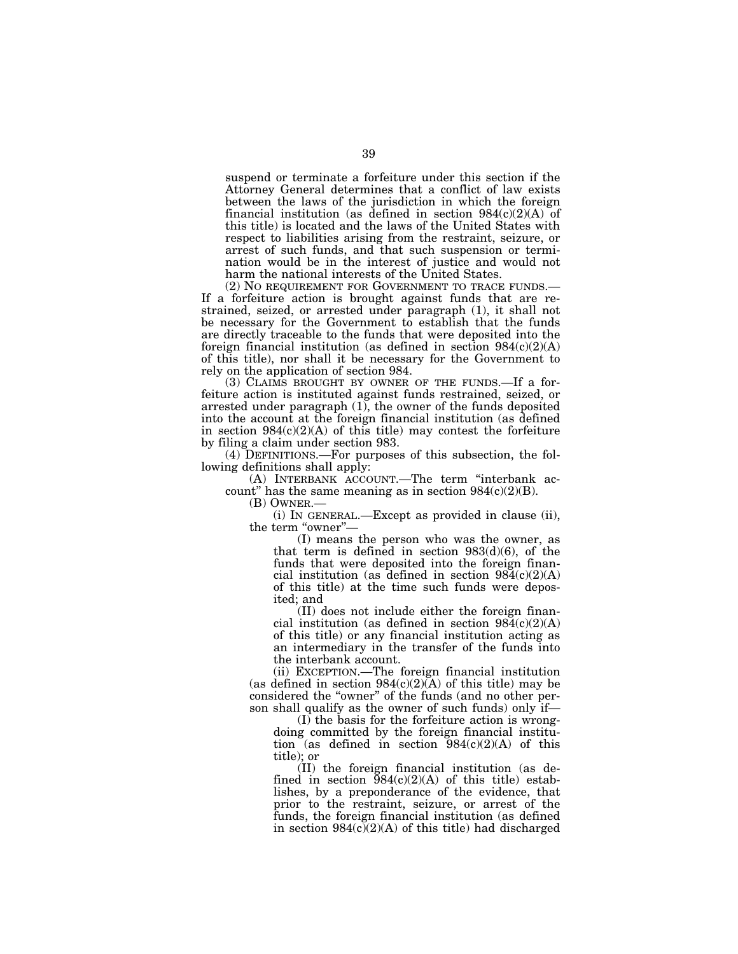suspend or terminate a forfeiture under this section if the Attorney General determines that a conflict of law exists between the laws of the jurisdiction in which the foreign financial institution (as defined in section  $984(c)(2)(A)$  of this title) is located and the laws of the United States with respect to liabilities arising from the restraint, seizure, or arrest of such funds, and that such suspension or termination would be in the interest of justice and would not harm the national interests of the United States.

(2) NO REQUIREMENT FOR GOVERNMENT TO TRACE FUNDS.— If a forfeiture action is brought against funds that are restrained, seized, or arrested under paragraph (1), it shall not be necessary for the Government to establish that the funds are directly traceable to the funds that were deposited into the foreign financial institution (as defined in section  $984(c)(2)(A)$ of this title), nor shall it be necessary for the Government to rely on the application of section 984.

(3) CLAIMS BROUGHT BY OWNER OF THE FUNDS.—If a forfeiture action is instituted against funds restrained, seized, or arrested under paragraph  $(1)$ , the owner of the funds deposited into the account at the foreign financial institution (as defined in section  $984(c)(2)(A)$  of this title) may contest the forfeiture by filing a claim under section 983.

(4) DEFINITIONS.—For purposes of this subsection, the following definitions shall apply:

(A) INTERBANK ACCOUNT.—The term ''interbank account" has the same meaning as in section  $984(c)(2)(B)$ .

(B) OWNER.— (i) IN GENERAL.—Except as provided in clause (ii), the term "owner"-

(I) means the person who was the owner, as that term is defined in section  $983(d)(6)$ , of the funds that were deposited into the foreign financial institution (as defined in section  $984(c)(2)(A)$ of this title) at the time such funds were deposited; and

(II) does not include either the foreign financial institution (as defined in section  $984(c)(2)(A)$ of this title) or any financial institution acting as an intermediary in the transfer of the funds into the interbank account.

(ii) EXCEPTION.—The foreign financial institution (as defined in section  $984(c)(2)(\overline{A})$  of this title) may be considered the ''owner'' of the funds (and no other person shall qualify as the owner of such funds) only if—

(I) the basis for the forfeiture action is wrongdoing committed by the foreign financial institution (as defined in section  $984(c)(2)(A)$  of this title); or

(II) the foreign financial institution (as defined in section  $\frac{984(c)(2)(A)}{A}$  of this title) establishes, by a preponderance of the evidence, that prior to the restraint, seizure, or arrest of the funds, the foreign financial institution (as defined in section  $984(c)(2)(A)$  of this title) had discharged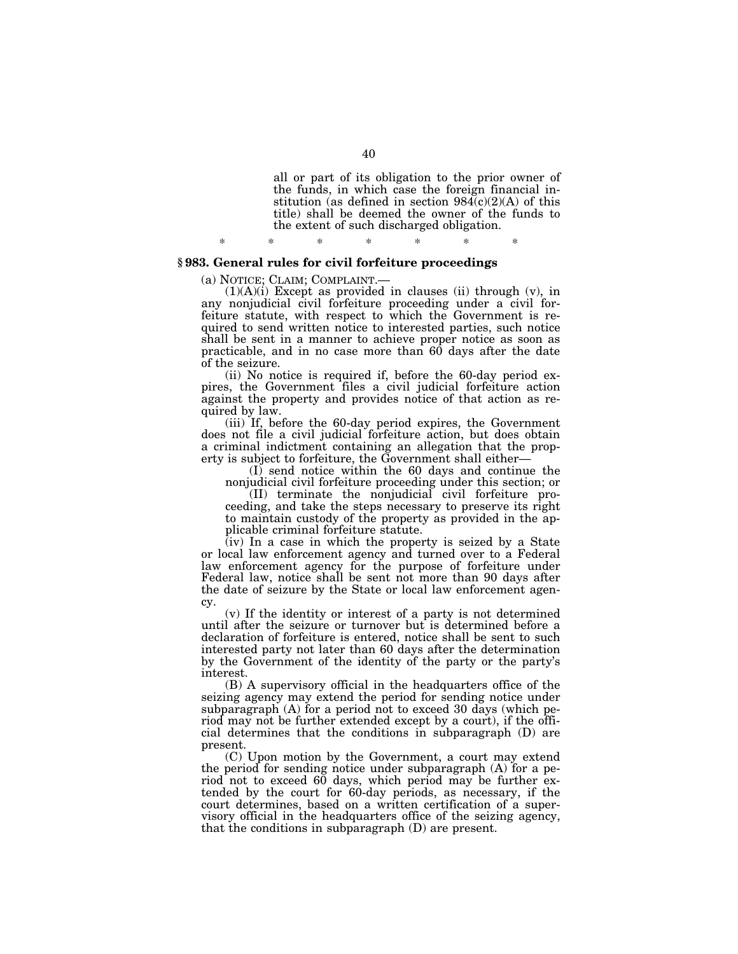all or part of its obligation to the prior owner of the funds, in which case the foreign financial institution (as defined in section 984(c)(2)(A) of this title) shall be deemed the owner of the funds to the extent of such discharged obligation.

\* \* \* \* \* \* \*

### **§ 983. General rules for civil forfeiture proceedings**

(a) NOTICE; CLAIM; COMPLAINT.—<br>(1)(A)(i) Except as provided in clauses (ii) through (v), in any nonjudicial civil forfeiture proceeding under a civil forfeiture statute, with respect to which the Government is required to send written notice to interested parties, such notice shall be sent in a manner to achieve proper notice as soon as practicable, and in no case more than 60 days after the date of the seizure.

(ii) No notice is required if, before the 60-day period expires, the Government files a civil judicial forfeiture action against the property and provides notice of that action as required by law.

(iii) If, before the 60-day period expires, the Government does not file a civil judicial forfeiture action, but does obtain a criminal indictment containing an allegation that the property is subject to forfeiture, the Government shall either—

(I) send notice within the 60 days and continue the nonjudicial civil forfeiture proceeding under this section; or

(II) terminate the nonjudicial civil forfeiture proceeding, and take the steps necessary to preserve its right to maintain custody of the property as provided in the applicable criminal forfeiture statute.

(iv) In a case in which the property is seized by a State or local law enforcement agency and turned over to a Federal law enforcement agency for the purpose of forfeiture under Federal law, notice shall be sent not more than 90 days after the date of seizure by the State or local law enforcement agency.

(v) If the identity or interest of a party is not determined until after the seizure or turnover but is determined before a declaration of forfeiture is entered, notice shall be sent to such interested party not later than 60 days after the determination by the Government of the identity of the party or the party's interest.

(B) A supervisory official in the headquarters office of the seizing agency may extend the period for sending notice under subparagraph (A) for a period not to exceed 30 days (which period may not be further extended except by a court), if the official determines that the conditions in subparagraph (D) are present.

(C) Upon motion by the Government, a court may extend the period for sending notice under subparagraph (A) for a period not to exceed 60 days, which period may be further extended by the court for 60-day periods, as necessary, if the court determines, based on a written certification of a supervisory official in the headquarters office of the seizing agency, that the conditions in subparagraph (D) are present.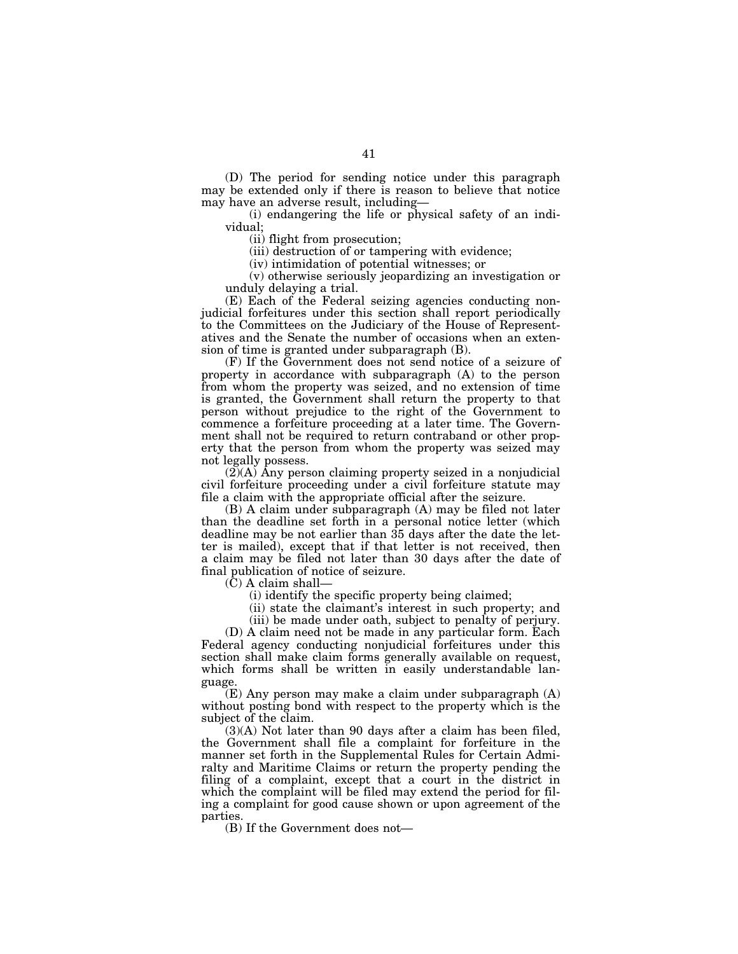(D) The period for sending notice under this paragraph may be extended only if there is reason to believe that notice may have an adverse result, including—

(i) endangering the life or physical safety of an individual;

(ii) flight from prosecution;

(iii) destruction of or tampering with evidence;

(iv) intimidation of potential witnesses; or

(v) otherwise seriously jeopardizing an investigation or unduly delaying a trial.

(E) Each of the Federal seizing agencies conducting nonjudicial forfeitures under this section shall report periodically to the Committees on the Judiciary of the House of Representatives and the Senate the number of occasions when an extension of time is granted under subparagraph (B).

(F) If the Government does not send notice of a seizure of property in accordance with subparagraph (A) to the person from whom the property was seized, and no extension of time is granted, the Government shall return the property to that person without prejudice to the right of the Government to commence a forfeiture proceeding at a later time. The Government shall not be required to return contraband or other property that the person from whom the property was seized may not legally possess.

(2)(A) Any person claiming property seized in a nonjudicial civil forfeiture proceeding under a civil forfeiture statute may file a claim with the appropriate official after the seizure.

(B) A claim under subparagraph (A) may be filed not later than the deadline set forth in a personal notice letter (which deadline may be not earlier than 35 days after the date the letter is mailed), except that if that letter is not received, then a claim may be filed not later than 30 days after the date of final publication of notice of seizure.

(C) A claim shall—

(i) identify the specific property being claimed;

(ii) state the claimant's interest in such property; and

(iii) be made under oath, subject to penalty of perjury.

(D) A claim need not be made in any particular form. Each Federal agency conducting nonjudicial forfeitures under this section shall make claim forms generally available on request, which forms shall be written in easily understandable language.

(E) Any person may make a claim under subparagraph (A) without posting bond with respect to the property which is the subject of the claim.

(3)(A) Not later than 90 days after a claim has been filed, the Government shall file a complaint for forfeiture in the manner set forth in the Supplemental Rules for Certain Admiralty and Maritime Claims or return the property pending the filing of a complaint, except that a court in the district in which the complaint will be filed may extend the period for filing a complaint for good cause shown or upon agreement of the parties.

(B) If the Government does not—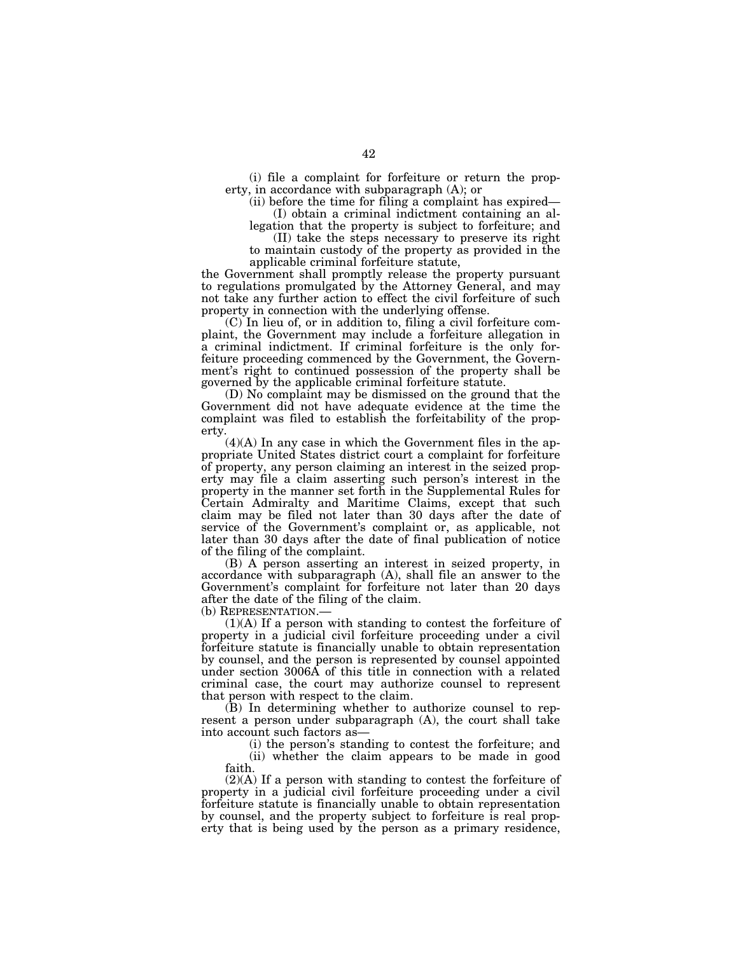(i) file a complaint for forfeiture or return the property, in accordance with subparagraph (A); or

(ii) before the time for filing a complaint has expired—

(I) obtain a criminal indictment containing an allegation that the property is subject to forfeiture; and

(II) take the steps necessary to preserve its right to maintain custody of the property as provided in the applicable criminal forfeiture statute,

the Government shall promptly release the property pursuant to regulations promulgated by the Attorney General, and may not take any further action to effect the civil forfeiture of such property in connection with the underlying offense.

(C) In lieu of, or in addition to, filing a civil forfeiture complaint, the Government may include a forfeiture allegation in a criminal indictment. If criminal forfeiture is the only forfeiture proceeding commenced by the Government, the Government's right to continued possession of the property shall be governed by the applicable criminal forfeiture statute.

(D) No complaint may be dismissed on the ground that the Government did not have adequate evidence at the time the complaint was filed to establish the forfeitability of the property.

(4)(A) In any case in which the Government files in the appropriate United States district court a complaint for forfeiture of property, any person claiming an interest in the seized property may file a claim asserting such person's interest in the property in the manner set forth in the Supplemental Rules for Certain Admiralty and Maritime Claims, except that such claim may be filed not later than 30 days after the date of service of the Government's complaint or, as applicable, not later than 30 days after the date of final publication of notice of the filing of the complaint.

(B) A person asserting an interest in seized property, in accordance with subparagraph (A), shall file an answer to the Government's complaint for forfeiture not later than 20 days after the date of the filing of the claim.

(b) REPRESENTATION.—<br>(1)(A) If a person with standing to contest the forfeiture of property in a judicial civil forfeiture proceeding under a civil forfeiture statute is financially unable to obtain representation by counsel, and the person is represented by counsel appointed under section 3006A of this title in connection with a related criminal case, the court may authorize counsel to represent that person with respect to the claim.

(B) In determining whether to authorize counsel to represent a person under subparagraph (A), the court shall take into account such factors as—

(i) the person's standing to contest the forfeiture; and (ii) whether the claim appears to be made in good faith.

(2)(A) If a person with standing to contest the forfeiture of property in a judicial civil forfeiture proceeding under a civil forfeiture statute is financially unable to obtain representation by counsel, and the property subject to forfeiture is real property that is being used by the person as a primary residence,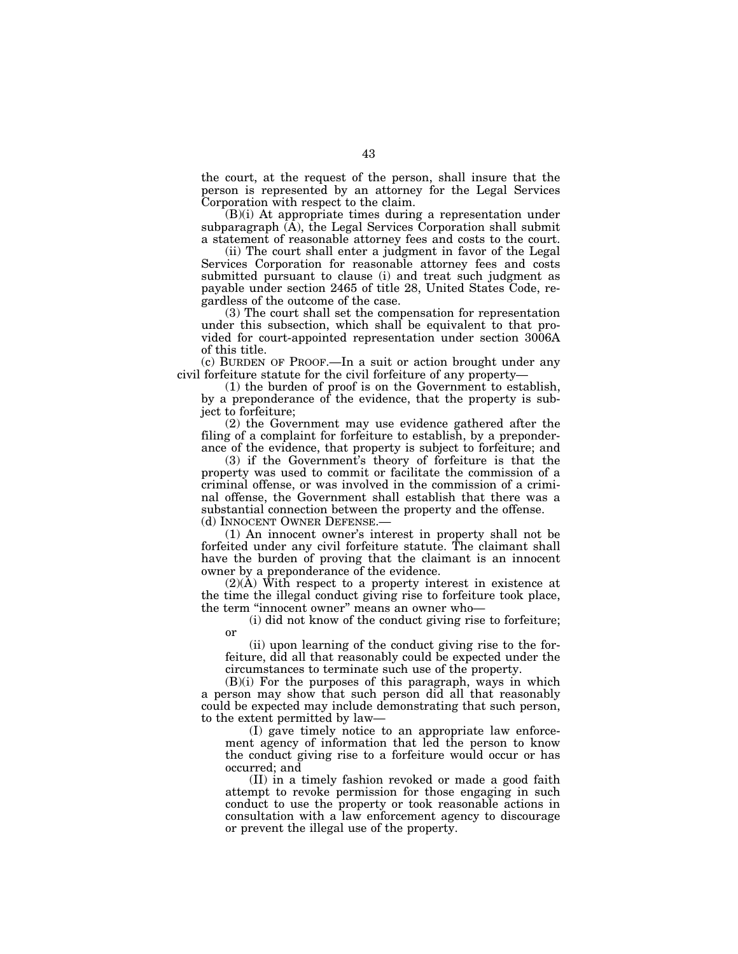the court, at the request of the person, shall insure that the person is represented by an attorney for the Legal Services Corporation with respect to the claim.

(B)(i) At appropriate times during a representation under subparagraph  $(\tilde{A})$ , the Legal Services Corporation shall submit a statement of reasonable attorney fees and costs to the court.

(ii) The court shall enter a judgment in favor of the Legal Services Corporation for reasonable attorney fees and costs submitted pursuant to clause (i) and treat such judgment as payable under section 2465 of title 28, United States Code, regardless of the outcome of the case.

(3) The court shall set the compensation for representation under this subsection, which shall be equivalent to that provided for court-appointed representation under section 3006A of this title.

(c) BURDEN OF PROOF.—In a suit or action brought under any civil forfeiture statute for the civil forfeiture of any property—

(1) the burden of proof is on the Government to establish, by a preponderance of the evidence, that the property is subject to forfeiture;

(2) the Government may use evidence gathered after the filing of a complaint for forfeiture to establish, by a preponderance of the evidence, that property is subject to forfeiture; and

(3) if the Government's theory of forfeiture is that the property was used to commit or facilitate the commission of a criminal offense, or was involved in the commission of a criminal offense, the Government shall establish that there was a substantial connection between the property and the offense. (d) INNOCENT OWNER DEFENSE.—

(1) An innocent owner's interest in property shall not be forfeited under any civil forfeiture statute. The claimant shall have the burden of proving that the claimant is an innocent owner by a preponderance of the evidence.

 $(2)(\tilde{A})$  With respect to a property interest in existence at the time the illegal conduct giving rise to forfeiture took place, the term "innocent owner" means an owner who-

(i) did not know of the conduct giving rise to forfeiture; or

(ii) upon learning of the conduct giving rise to the forfeiture, did all that reasonably could be expected under the circumstances to terminate such use of the property.

(B)(i) For the purposes of this paragraph, ways in which a person may show that such person did all that reasonably could be expected may include demonstrating that such person, to the extent permitted by law—

(I) gave timely notice to an appropriate law enforcement agency of information that led the person to know the conduct giving rise to a forfeiture would occur or has occurred; and

(II) in a timely fashion revoked or made a good faith attempt to revoke permission for those engaging in such conduct to use the property or took reasonable actions in consultation with a law enforcement agency to discourage or prevent the illegal use of the property.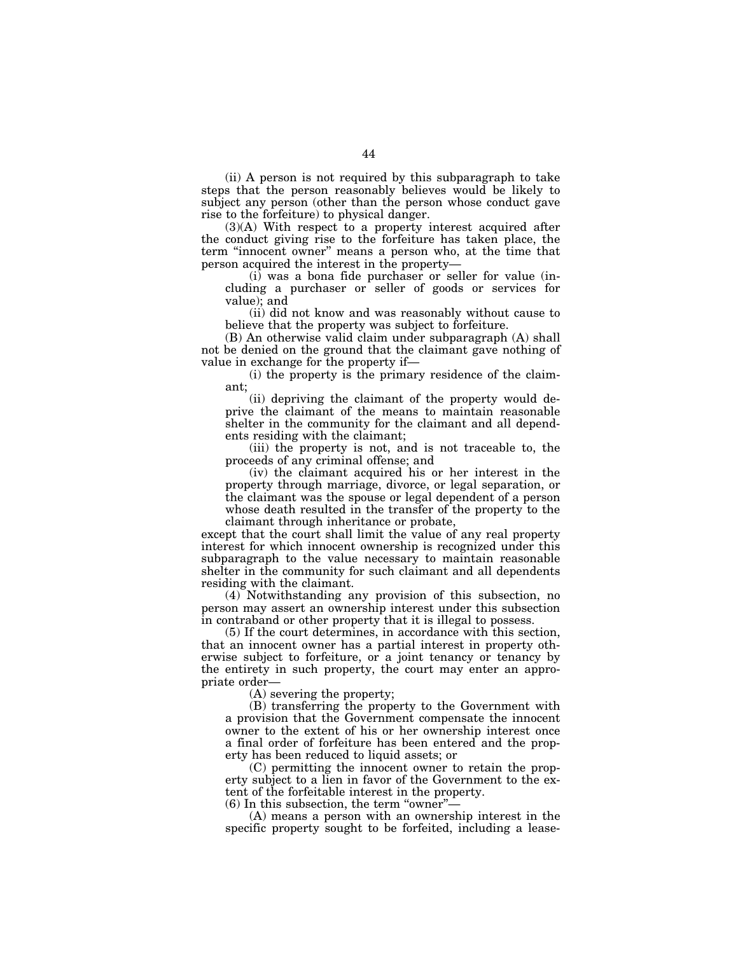(ii) A person is not required by this subparagraph to take steps that the person reasonably believes would be likely to subject any person (other than the person whose conduct gave rise to the forfeiture) to physical danger.

(3)(A) With respect to a property interest acquired after the conduct giving rise to the forfeiture has taken place, the term "innocent owner" means a person who, at the time that person acquired the interest in the property—

 $(i)$  was a bona fide purchaser or seller for value (including a purchaser or seller of goods or services for value); and

(ii) did not know and was reasonably without cause to believe that the property was subject to forfeiture.

(B) An otherwise valid claim under subparagraph (A) shall not be denied on the ground that the claimant gave nothing of value in exchange for the property if—

(i) the property is the primary residence of the claimant;

(ii) depriving the claimant of the property would deprive the claimant of the means to maintain reasonable shelter in the community for the claimant and all dependents residing with the claimant;

(iii) the property is not, and is not traceable to, the proceeds of any criminal offense; and

(iv) the claimant acquired his or her interest in the property through marriage, divorce, or legal separation, or the claimant was the spouse or legal dependent of a person whose death resulted in the transfer of the property to the claimant through inheritance or probate,

except that the court shall limit the value of any real property interest for which innocent ownership is recognized under this subparagraph to the value necessary to maintain reasonable shelter in the community for such claimant and all dependents residing with the claimant.

(4) Notwithstanding any provision of this subsection, no person may assert an ownership interest under this subsection in contraband or other property that it is illegal to possess.

(5) If the court determines, in accordance with this section, that an innocent owner has a partial interest in property otherwise subject to forfeiture, or a joint tenancy or tenancy by the entirety in such property, the court may enter an appropriate order—

(A) severing the property;

(B) transferring the property to the Government with a provision that the Government compensate the innocent owner to the extent of his or her ownership interest once a final order of forfeiture has been entered and the property has been reduced to liquid assets; or

(C) permitting the innocent owner to retain the property subject to a lien in favor of the Government to the extent of the forfeitable interest in the property.

 $(6)$  In this subsection, the term "owner"-

(A) means a person with an ownership interest in the specific property sought to be forfeited, including a lease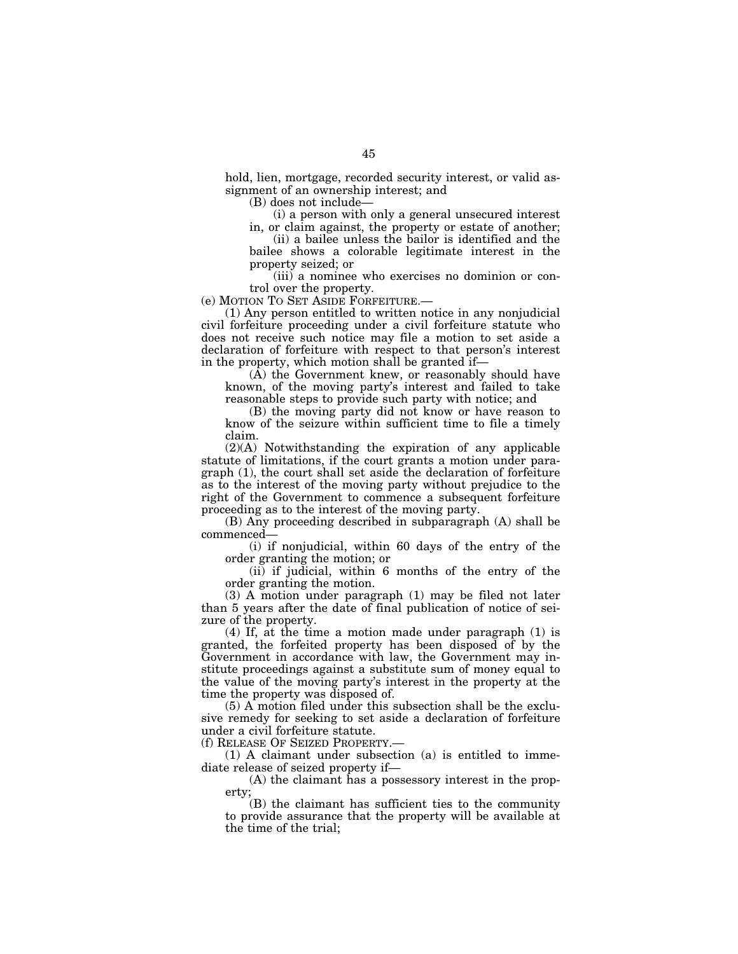hold, lien, mortgage, recorded security interest, or valid assignment of an ownership interest; and

(B) does not include—

(i) a person with only a general unsecured interest in, or claim against, the property or estate of another;

(ii) a bailee unless the bailor is identified and the bailee shows a colorable legitimate interest in the property seized; or

(iii) a nominee who exercises no dominion or control over the property.

(e) MOTION TO SET ASIDE FORFEITURE.—

(1) Any person entitled to written notice in any nonjudicial civil forfeiture proceeding under a civil forfeiture statute who does not receive such notice may file a motion to set aside a declaration of forfeiture with respect to that person's interest in the property, which motion shall be granted if—

(A) the Government knew, or reasonably should have known, of the moving party's interest and failed to take reasonable steps to provide such party with notice; and

(B) the moving party did not know or have reason to know of the seizure within sufficient time to file a timely claim.

(2)(A) Notwithstanding the expiration of any applicable statute of limitations, if the court grants a motion under paragraph (1), the court shall set aside the declaration of forfeiture as to the interest of the moving party without prejudice to the right of the Government to commence a subsequent forfeiture proceeding as to the interest of the moving party.

(B) Any proceeding described in subparagraph (A) shall be commenced—

(i) if nonjudicial, within 60 days of the entry of the order granting the motion; or

(ii) if judicial, within 6 months of the entry of the order granting the motion.

(3) A motion under paragraph (1) may be filed not later than 5 years after the date of final publication of notice of seizure of the property.

(4) If, at the time a motion made under paragraph (1) is granted, the forfeited property has been disposed of by the Government in accordance with law, the Government may institute proceedings against a substitute sum of money equal to the value of the moving party's interest in the property at the time the property was disposed of.

(5) A motion filed under this subsection shall be the exclusive remedy for seeking to set aside a declaration of forfeiture under a civil forfeiture statute.

(f) RELEASE OF SEIZED PROPERTY.—

(1) A claimant under subsection (a) is entitled to immediate release of seized property if—

(A) the claimant has a possessory interest in the property;

(B) the claimant has sufficient ties to the community to provide assurance that the property will be available at the time of the trial;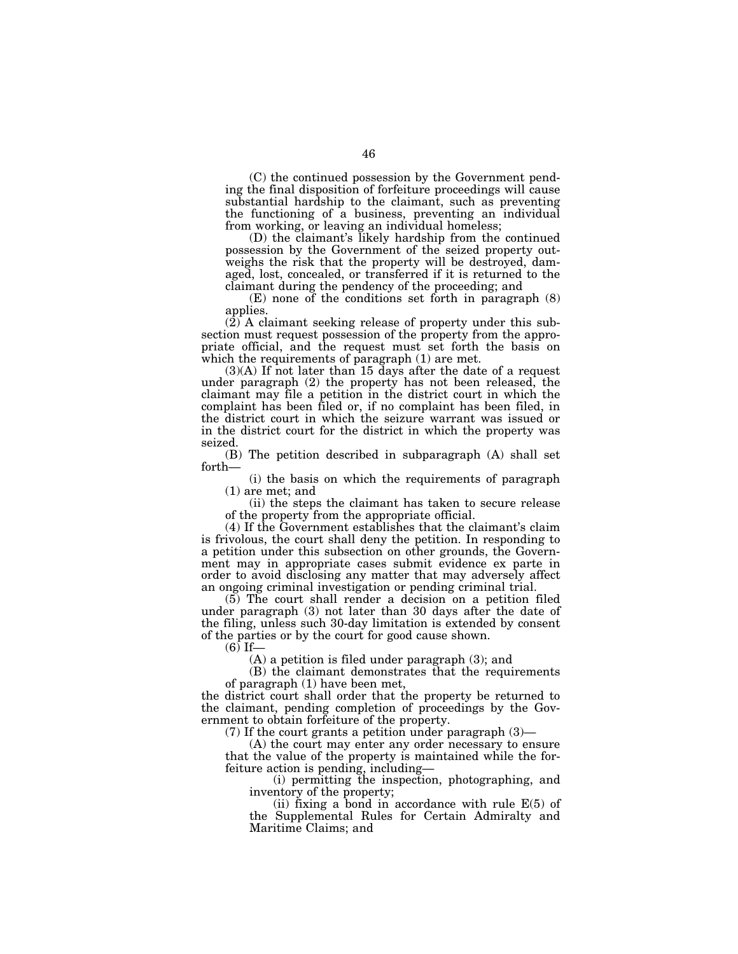(C) the continued possession by the Government pending the final disposition of forfeiture proceedings will cause substantial hardship to the claimant, such as preventing the functioning of a business, preventing an individual from working, or leaving an individual homeless;

(D) the claimant's likely hardship from the continued possession by the Government of the seized property outweighs the risk that the property will be destroyed, damaged, lost, concealed, or transferred if it is returned to the claimant during the pendency of the proceeding; and

(E) none of the conditions set forth in paragraph (8) applies.

 $(2)$  A claimant seeking release of property under this subsection must request possession of the property from the appropriate official, and the request must set forth the basis on which the requirements of paragraph (1) are met.

(3)(A) If not later than 15 days after the date of a request under paragraph (2) the property has not been released, the claimant may file a petition in the district court in which the complaint has been filed or, if no complaint has been filed, in the district court in which the seizure warrant was issued or in the district court for the district in which the property was seized.

(B) The petition described in subparagraph (A) shall set forth—

(i) the basis on which the requirements of paragraph (1) are met; and

(ii) the steps the claimant has taken to secure release of the property from the appropriate official.

(4) If the Government establishes that the claimant's claim is frivolous, the court shall deny the petition. In responding to a petition under this subsection on other grounds, the Government may in appropriate cases submit evidence ex parte in order to avoid disclosing any matter that may adversely affect an ongoing criminal investigation or pending criminal trial.

(5) The court shall render a decision on a petition filed under paragraph (3) not later than 30 days after the date of the filing, unless such 30-day limitation is extended by consent of the parties or by the court for good cause shown.

 $(6)$  If—

(A) a petition is filed under paragraph (3); and

(B) the claimant demonstrates that the requirements of paragraph (1) have been met,

the district court shall order that the property be returned to the claimant, pending completion of proceedings by the Government to obtain forfeiture of the property.

(7) If the court grants a petition under paragraph (3)—

(A) the court may enter any order necessary to ensure that the value of the property is maintained while the forfeiture action is pending, including—

(i) permitting the inspection, photographing, and inventory of the property;

(ii) fixing a bond in accordance with rule E(5) of the Supplemental Rules for Certain Admiralty and Maritime Claims; and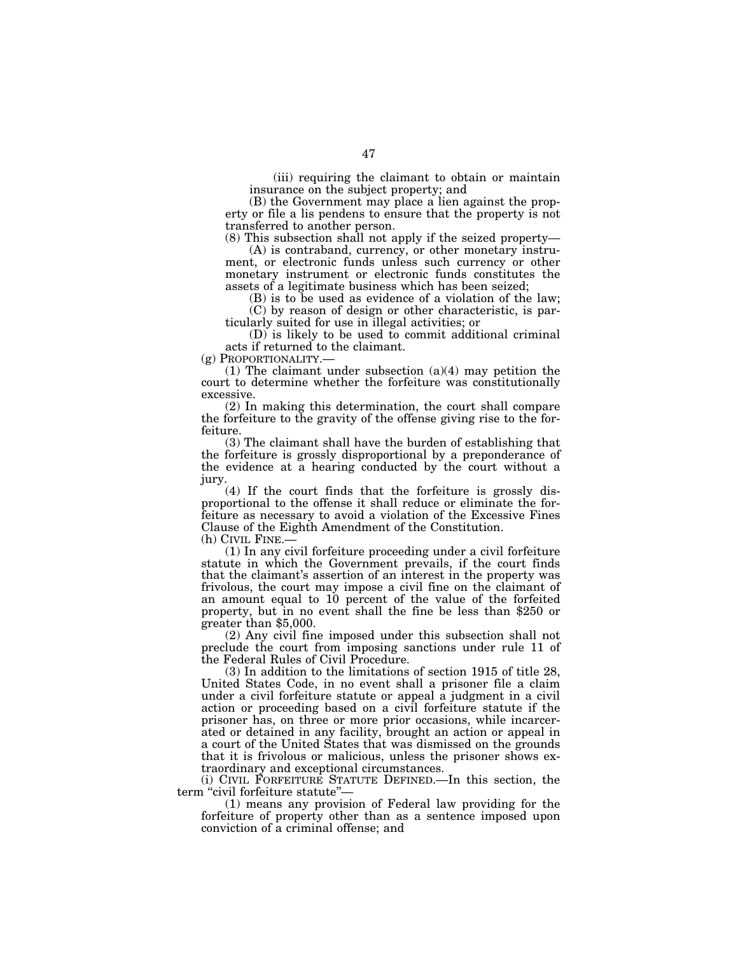(iii) requiring the claimant to obtain or maintain insurance on the subject property; and

(B) the Government may place a lien against the property or file a lis pendens to ensure that the property is not transferred to another person.

(8) This subsection shall not apply if the seized property—

(A) is contraband, currency, or other monetary instrument, or electronic funds unless such currency or other monetary instrument or electronic funds constitutes the assets of a legitimate business which has been seized;

(B) is to be used as evidence of a violation of the law; (C) by reason of design or other characteristic, is particularly suited for use in illegal activities; or

(D) is likely to be used to commit additional criminal acts if returned to the claimant.

(g) PROPORTIONALITY.—

(1) The claimant under subsection  $(a)(4)$  may petition the court to determine whether the forfeiture was constitutionally excessive.

(2) In making this determination, the court shall compare the forfeiture to the gravity of the offense giving rise to the forfeiture.

(3) The claimant shall have the burden of establishing that the forfeiture is grossly disproportional by a preponderance of the evidence at a hearing conducted by the court without a jury.

(4) If the court finds that the forfeiture is grossly disproportional to the offense it shall reduce or eliminate the forfeiture as necessary to avoid a violation of the Excessive Fines Clause of the Eighth Amendment of the Constitution.

(h) CIVIL FINE.—<br>(1) In any civil forfeiture proceeding under a civil forfeiture statute in which the Government prevails, if the court finds that the claimant's assertion of an interest in the property was frivolous, the court may impose a civil fine on the claimant of an amount equal to 10 percent of the value of the forfeited property, but in no event shall the fine be less than \$250 or greater than \$5,000.

(2) Any civil fine imposed under this subsection shall not preclude the court from imposing sanctions under rule 11 of the Federal Rules of Civil Procedure.

(3) In addition to the limitations of section 1915 of title 28, United States Code, in no event shall a prisoner file a claim under a civil forfeiture statute or appeal a judgment in a civil action or proceeding based on a civil forfeiture statute if the prisoner has, on three or more prior occasions, while incarcerated or detained in any facility, brought an action or appeal in a court of the United States that was dismissed on the grounds that it is frivolous or malicious, unless the prisoner shows extraordinary and exceptional circumstances.

(i) CIVIL FORFEITURE STATUTE DEFINED.—In this section, the term "civil forfeiture statute"-

(1) means any provision of Federal law providing for the forfeiture of property other than as a sentence imposed upon conviction of a criminal offense; and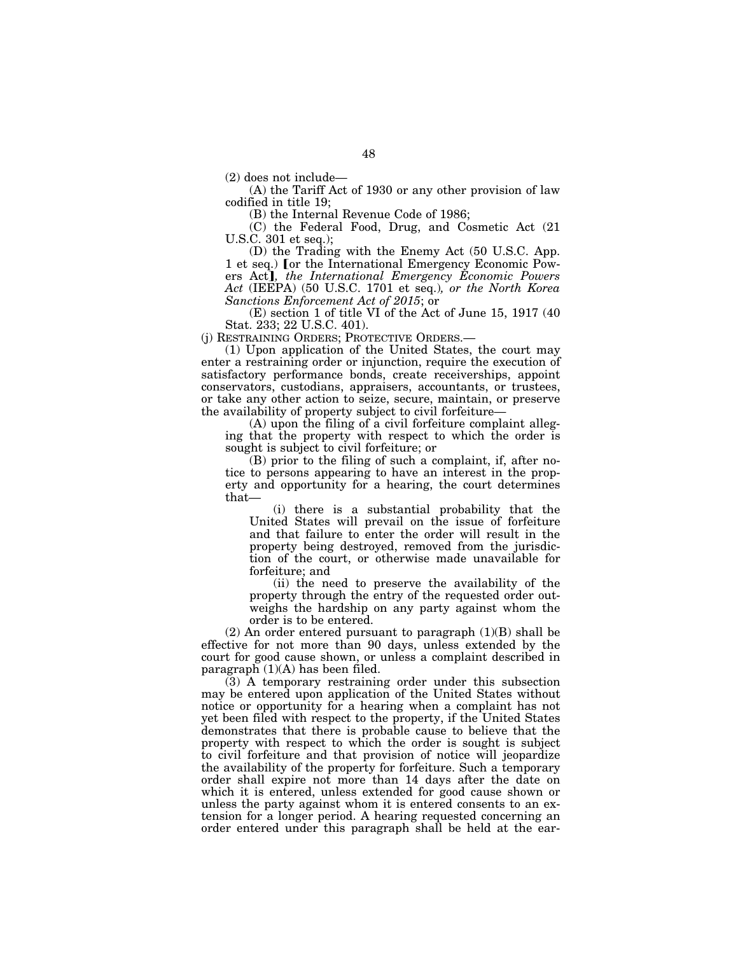(2) does not include—

(A) the Tariff Act of 1930 or any other provision of law codified in title 19;

(B) the Internal Revenue Code of 1986;

(C) the Federal Food, Drug, and Cosmetic Act (21 U.S.C. 301 et seq.);

(D) the Trading with the Enemy Act (50 U.S.C. App. 1 et seq.) [or the International Emergency Economic Powers Act<sup>*I, the International Emergency Economic Powers*</sup> *Act* (IEEPA) (50 U.S.C. 1701 et seq.)*, or the North Korea Sanctions Enforcement Act of 2015*; or

(E) section 1 of title VI of the Act of June 15, 1917 (40 Stat. 233; 22 U.S.C. 401).

(j) RESTRAINING ORDERS; PROTECTIVE ORDERS.—

(1) Upon application of the United States, the court may enter a restraining order or injunction, require the execution of satisfactory performance bonds, create receiverships, appoint conservators, custodians, appraisers, accountants, or trustees, or take any other action to seize, secure, maintain, or preserve the availability of property subject to civil forfeiture—

(A) upon the filing of a civil forfeiture complaint alleging that the property with respect to which the order is sought is subject to civil forfeiture; or

(B) prior to the filing of such a complaint, if, after notice to persons appearing to have an interest in the property and opportunity for a hearing, the court determines that—

(i) there is a substantial probability that the United States will prevail on the issue of forfeiture and that failure to enter the order will result in the property being destroyed, removed from the jurisdiction of the court, or otherwise made unavailable for forfeiture; and

(ii) the need to preserve the availability of the property through the entry of the requested order outweighs the hardship on any party against whom the order is to be entered.

 $(2)$  An order entered pursuant to paragraph  $(1)(B)$  shall be effective for not more than 90 days, unless extended by the court for good cause shown, or unless a complaint described in paragraph (1)(A) has been filed.

(3) A temporary restraining order under this subsection may be entered upon application of the United States without notice or opportunity for a hearing when a complaint has not yet been filed with respect to the property, if the United States demonstrates that there is probable cause to believe that the property with respect to which the order is sought is subject to civil forfeiture and that provision of notice will jeopardize the availability of the property for forfeiture. Such a temporary order shall expire not more than 14 days after the date on which it is entered, unless extended for good cause shown or unless the party against whom it is entered consents to an extension for a longer period. A hearing requested concerning an order entered under this paragraph shall be held at the ear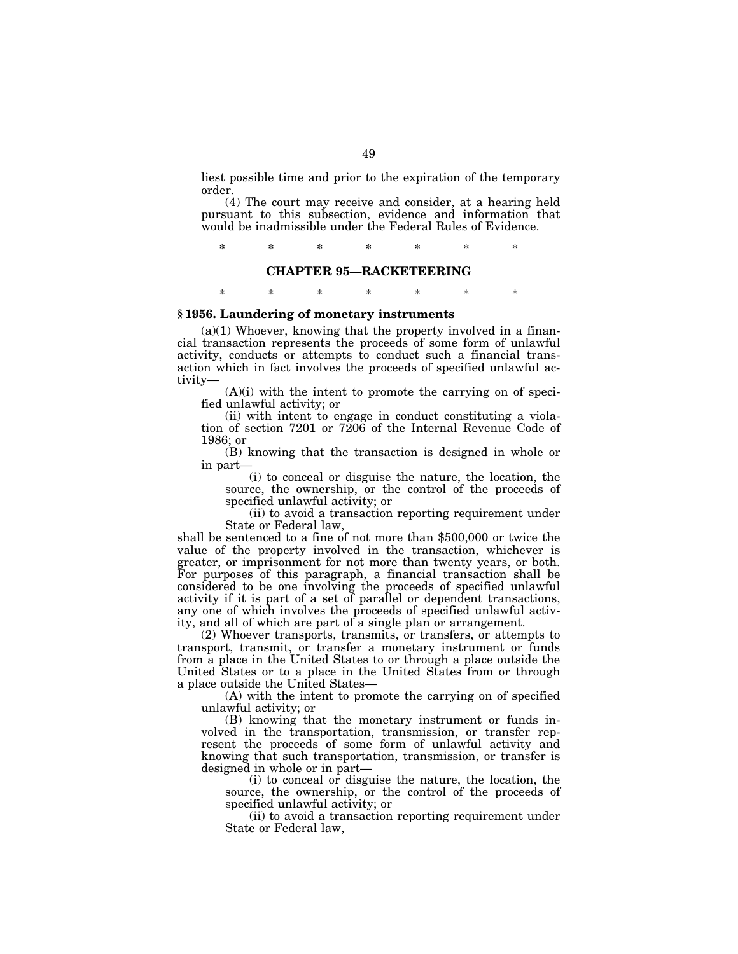liest possible time and prior to the expiration of the temporary order.

(4) The court may receive and consider, at a hearing held pursuant to this subsection, evidence and information that would be inadmissible under the Federal Rules of Evidence.

\* \* \* \* \* \* \*

### **CHAPTER 95—RACKETEERING**

\* \* \* \* \* \* \*

### **§ 1956. Laundering of monetary instruments**

 $(a)(1)$  Whoever, knowing that the property involved in a financial transaction represents the proceeds of some form of unlawful activity, conducts or attempts to conduct such a financial transaction which in fact involves the proceeds of specified unlawful activity—

(A)(i) with the intent to promote the carrying on of specified unlawful activity; or

(ii) with intent to engage in conduct constituting a violation of section 7201 or 7206 of the Internal Revenue Code of 1986; or

(B) knowing that the transaction is designed in whole or in part—

(i) to conceal or disguise the nature, the location, the source, the ownership, or the control of the proceeds of specified unlawful activity; or

(ii) to avoid a transaction reporting requirement under State or Federal law,

shall be sentenced to a fine of not more than \$500,000 or twice the value of the property involved in the transaction, whichever is greater, or imprisonment for not more than twenty years, or both. For purposes of this paragraph, a financial transaction shall be considered to be one involving the proceeds of specified unlawful activity if it is part of a set of parallel or dependent transactions, any one of which involves the proceeds of specified unlawful activity, and all of which are part of a single plan or arrangement.

(2) Whoever transports, transmits, or transfers, or attempts to transport, transmit, or transfer a monetary instrument or funds from a place in the United States to or through a place outside the United States or to a place in the United States from or through a place outside the United States—

(A) with the intent to promote the carrying on of specified unlawful activity; or

(B) knowing that the monetary instrument or funds involved in the transportation, transmission, or transfer represent the proceeds of some form of unlawful activity and knowing that such transportation, transmission, or transfer is designed in whole or in part—

(i) to conceal or disguise the nature, the location, the source, the ownership, or the control of the proceeds of specified unlawful activity; or

(ii) to avoid a transaction reporting requirement under State or Federal law,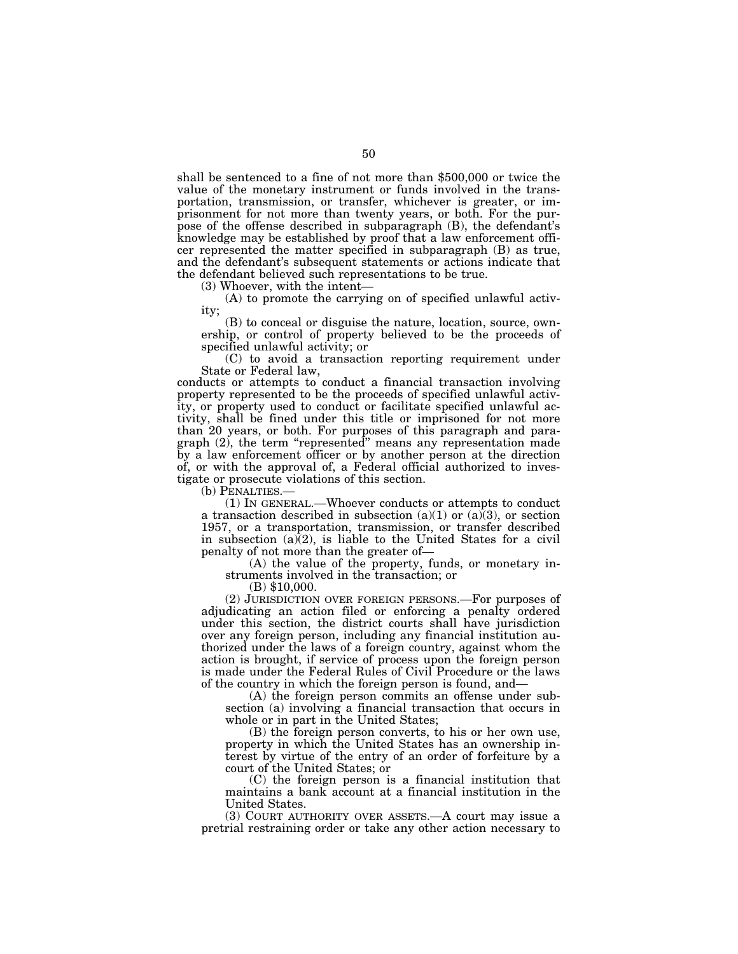shall be sentenced to a fine of not more than \$500,000 or twice the value of the monetary instrument or funds involved in the transportation, transmission, or transfer, whichever is greater, or imprisonment for not more than twenty years, or both. For the purpose of the offense described in subparagraph (B), the defendant's knowledge may be established by proof that a law enforcement officer represented the matter specified in subparagraph (B) as true, and the defendant's subsequent statements or actions indicate that the defendant believed such representations to be true.

(3) Whoever, with the intent—

(A) to promote the carrying on of specified unlawful activity;

(B) to conceal or disguise the nature, location, source, ownership, or control of property believed to be the proceeds of specified unlawful activity; or

(C) to avoid a transaction reporting requirement under State or Federal law,

conducts or attempts to conduct a financial transaction involving property represented to be the proceeds of specified unlawful activity, or property used to conduct or facilitate specified unlawful activity, shall be fined under this title or imprisoned for not more than 20 years, or both. For purposes of this paragraph and paragraph (2), the term ''represented'' means any representation made by a law enforcement officer or by another person at the direction of, or with the approval of, a Federal official authorized to investigate or prosecute violations of this section.

(b) PENALTIES.—<br>(1) IN GENERAL.—Whoever conducts or attempts to conduct a transaction described in subsection (a)(1) or (a)(3), or section 1957, or a transportation, transmission, or transfer described in subsection  $(a)$  $(2)$ , is liable to the United States for a civil penalty of not more than the greater of—

(A) the value of the property, funds, or monetary instruments involved in the transaction; or

(B) \$10,000.

(2) JURISDICTION OVER FOREIGN PERSONS.—For purposes of adjudicating an action filed or enforcing a penalty ordered under this section, the district courts shall have jurisdiction over any foreign person, including any financial institution authorized under the laws of a foreign country, against whom the action is brought, if service of process upon the foreign person is made under the Federal Rules of Civil Procedure or the laws of the country in which the foreign person is found, and—

(A) the foreign person commits an offense under subsection (a) involving a financial transaction that occurs in whole or in part in the United States;

(B) the foreign person converts, to his or her own use, property in which the United States has an ownership interest by virtue of the entry of an order of forfeiture by a court of the United States; or

(C) the foreign person is a financial institution that maintains a bank account at a financial institution in the United States.

(3) COURT AUTHORITY OVER ASSETS.—A court may issue a pretrial restraining order or take any other action necessary to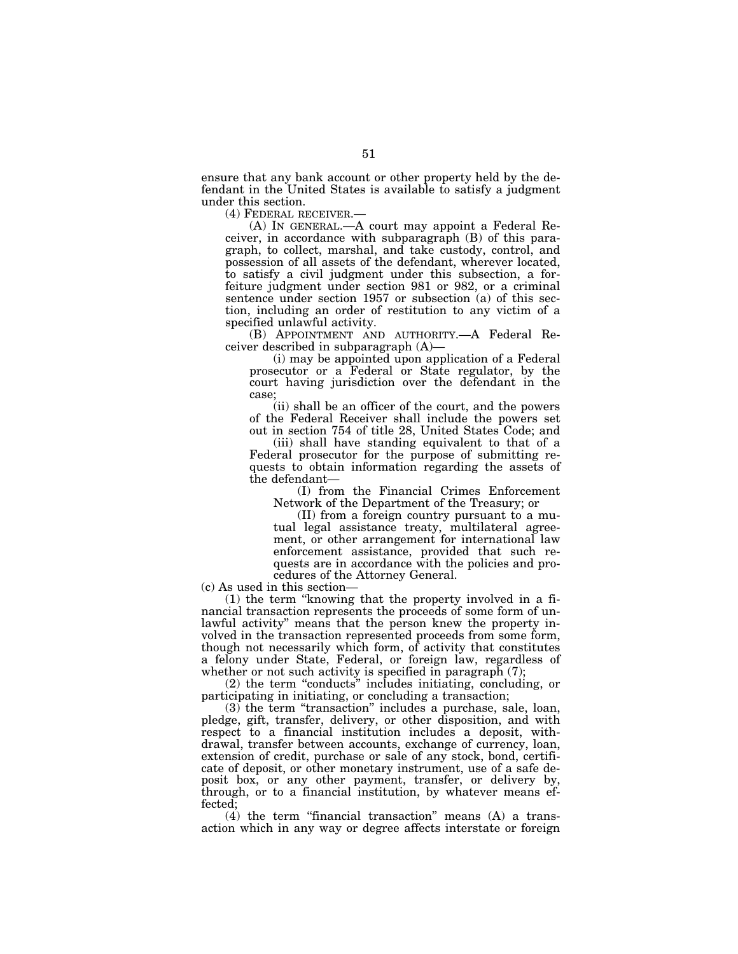ensure that any bank account or other property held by the defendant in the United States is available to satisfy a judgment under this section.<br>(4) FEDERAL RECEIVER.

(A) IN GENERAL.—A court may appoint a Federal Receiver, in accordance with subparagraph (B) of this paragraph, to collect, marshal, and take custody, control, and possession of all assets of the defendant, wherever located, to satisfy a civil judgment under this subsection, a forfeiture judgment under section 981 or 982, or a criminal sentence under section 1957 or subsection (a) of this section, including an order of restitution to any victim of a specified unlawful activity.

(B) APPOINTMENT AND AUTHORITY.—A Federal Receiver described in subparagraph (A)—

(i) may be appointed upon application of a Federal prosecutor or a Federal or State regulator, by the court having jurisdiction over the defendant in the case;

(ii) shall be an officer of the court, and the powers of the Federal Receiver shall include the powers set out in section 754 of title 28, United States Code; and

(iii) shall have standing equivalent to that of a Federal prosecutor for the purpose of submitting requests to obtain information regarding the assets of the defendant—

(I) from the Financial Crimes Enforcement Network of the Department of the Treasury; or

(II) from a foreign country pursuant to a mutual legal assistance treaty, multilateral agreement, or other arrangement for international law enforcement assistance, provided that such requests are in accordance with the policies and procedures of the Attorney General.

(c) As used in this section—

(1) the term ''knowing that the property involved in a financial transaction represents the proceeds of some form of unlawful activity'' means that the person knew the property involved in the transaction represented proceeds from some form, though not necessarily which form, of activity that constitutes a felony under State, Federal, or foreign law, regardless of whether or not such activity is specified in paragraph (7);

(2) the term ''conducts'' includes initiating, concluding, or participating in initiating, or concluding a transaction;

 $(3)$  the term "transaction" includes a purchase, sale, loan, pledge, gift, transfer, delivery, or other disposition, and with respect to a financial institution includes a deposit, withdrawal, transfer between accounts, exchange of currency, loan, extension of credit, purchase or sale of any stock, bond, certificate of deposit, or other monetary instrument, use of a safe deposit box, or any other payment, transfer, or delivery by, through, or to a financial institution, by whatever means effected;

 $(4)$  the term "financial transaction" means  $(A)$  a transaction which in any way or degree affects interstate or foreign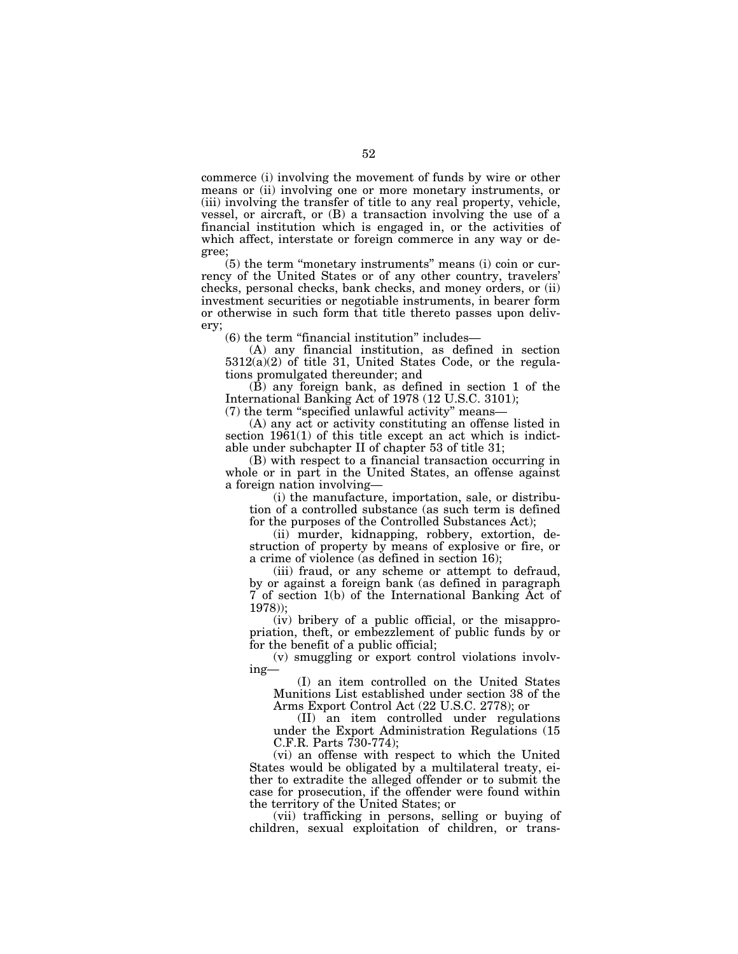commerce (i) involving the movement of funds by wire or other means or (ii) involving one or more monetary instruments, or (iii) involving the transfer of title to any real property, vehicle, vessel, or aircraft, or (B) a transaction involving the use of a financial institution which is engaged in, or the activities of which affect, interstate or foreign commerce in any way or degree;

(5) the term ''monetary instruments'' means (i) coin or currency of the United States or of any other country, travelers' checks, personal checks, bank checks, and money orders, or (ii) investment securities or negotiable instruments, in bearer form or otherwise in such form that title thereto passes upon delivery;

 $(6)$  the term "financial institution" includes—

(A) any financial institution, as defined in section 5312(a)(2) of title 31, United States Code, or the regulations promulgated thereunder; and

(B) any foreign bank, as defined in section 1 of the International Banking Act of 1978 (12 U.S.C. 3101); (7) the term ''specified unlawful activity'' means—

(A) any act or activity constituting an offense listed in section  $1961(1)$  of this title except an act which is indictable under subchapter II of chapter 53 of title 31;

(B) with respect to a financial transaction occurring in whole or in part in the United States, an offense against a foreign nation involving—

(i) the manufacture, importation, sale, or distribution of a controlled substance (as such term is defined for the purposes of the Controlled Substances Act);

(ii) murder, kidnapping, robbery, extortion, destruction of property by means of explosive or fire, or a crime of violence (as defined in section 16);

(iii) fraud, or any scheme or attempt to defraud, by or against a foreign bank (as defined in paragraph 7 of section 1(b) of the International Banking Act of 1978));

(iv) bribery of a public official, or the misappropriation, theft, or embezzlement of public funds by or for the benefit of a public official;

(v) smuggling or export control violations involving—

(I) an item controlled on the United States Munitions List established under section 38 of the Arms Export Control Act (22 U.S.C. 2778); or

(II) an item controlled under regulations under the Export Administration Regulations (15 C.F.R. Parts 730-774);

(vi) an offense with respect to which the United States would be obligated by a multilateral treaty, either to extradite the alleged offender or to submit the case for prosecution, if the offender were found within the territory of the United States; or

(vii) trafficking in persons, selling or buying of children, sexual exploitation of children, or trans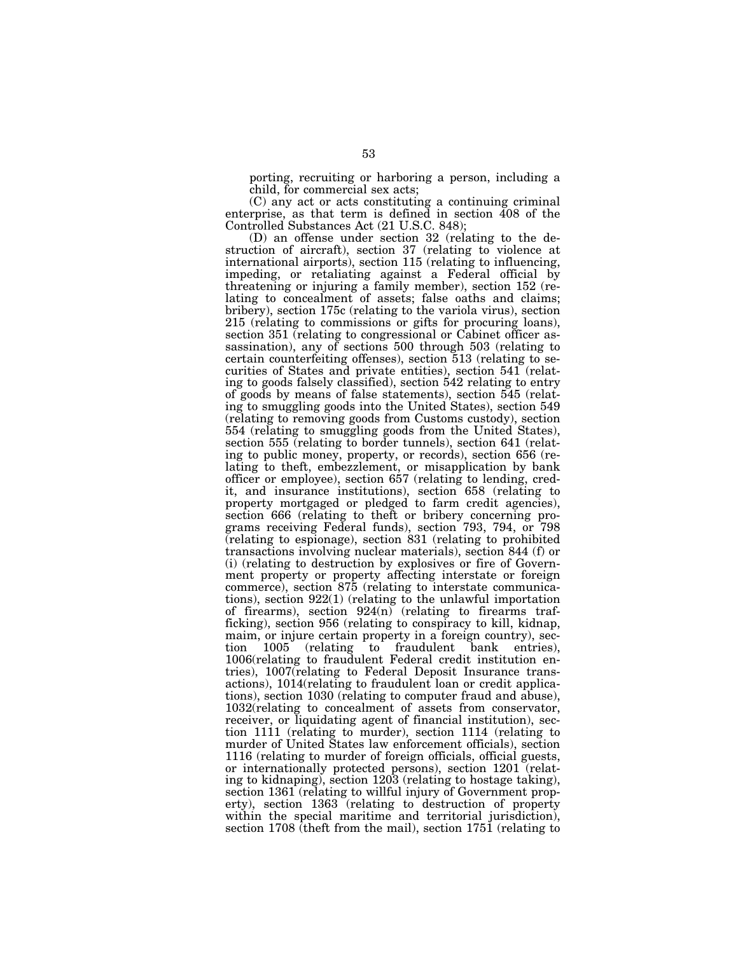porting, recruiting or harboring a person, including a child, for commercial sex acts;

(C) any act or acts constituting a continuing criminal enterprise, as that term is defined in section  $408$  of the Controlled Substances Act (21 U.S.C. 848);

(D) an offense under section 32 (relating to the destruction of aircraft), section 37 (relating to violence at international airports), section 115 (relating to influencing, impeding, or retaliating against a Federal official by threatening or injuring a family member), section 152 (relating to concealment of assets; false oaths and claims; bribery), section 175c (relating to the variola virus), section 215 (relating to commissions or gifts for procuring loans), section 351 (relating to congressional or Cabinet officer assassination), any of sections 500 through 503 (relating to certain counterfeiting offenses), section 513 (relating to securities of States and private entities), section 541 (relating to goods falsely classified), section 542 relating to entry of goods by means of false statements), section 545 (relating to smuggling goods into the United States), section 549 (relating to removing goods from Customs custody), section 554 (relating to smuggling goods from the United States), section 555 (relating to border tunnels), section 641 (relating to public money, property, or records), section 656 (relating to theft, embezzlement, or misapplication by bank officer or employee), section 657 (relating to lending, credit, and insurance institutions), section 658 (relating to property mortgaged or pledged to farm credit agencies), section 666 (relating to theft or bribery concerning programs receiving Federal funds), section 793, 794, or 798 (relating to espionage), section 831 (relating to prohibited transactions involving nuclear materials), section 844 (f) or (i) (relating to destruction by explosives or fire of Government property or property affecting interstate or foreign commerce), section 875 (relating to interstate communications), section 922(1) (relating to the unlawful importation of firearms), section  $924(n)$  (relating to firearms trafficking), section 956 (relating to conspiracy to kill, kidnap, maim, or injure certain property in a foreign country), section 1005 (relating to fraudulent bank entries), 1006(relating to fraudulent Federal credit institution entries), 1007(relating to Federal Deposit Insurance transactions), 1014(relating to fraudulent loan or credit applications), section 1030 (relating to computer fraud and abuse), 1032(relating to concealment of assets from conservator, receiver, or liquidating agent of financial institution), section 1111 (relating to murder), section 1114 (relating to murder of United States law enforcement officials), section 1116 (relating to murder of foreign officials, official guests, or internationally protected persons), section 1201 (relating to kidnaping), section 1203 (relating to hostage taking), section 1361 (relating to willful injury of Government property), section 1363 (relating to destruction of property within the special maritime and territorial jurisdiction), section 1708 (theft from the mail), section 1751 (relating to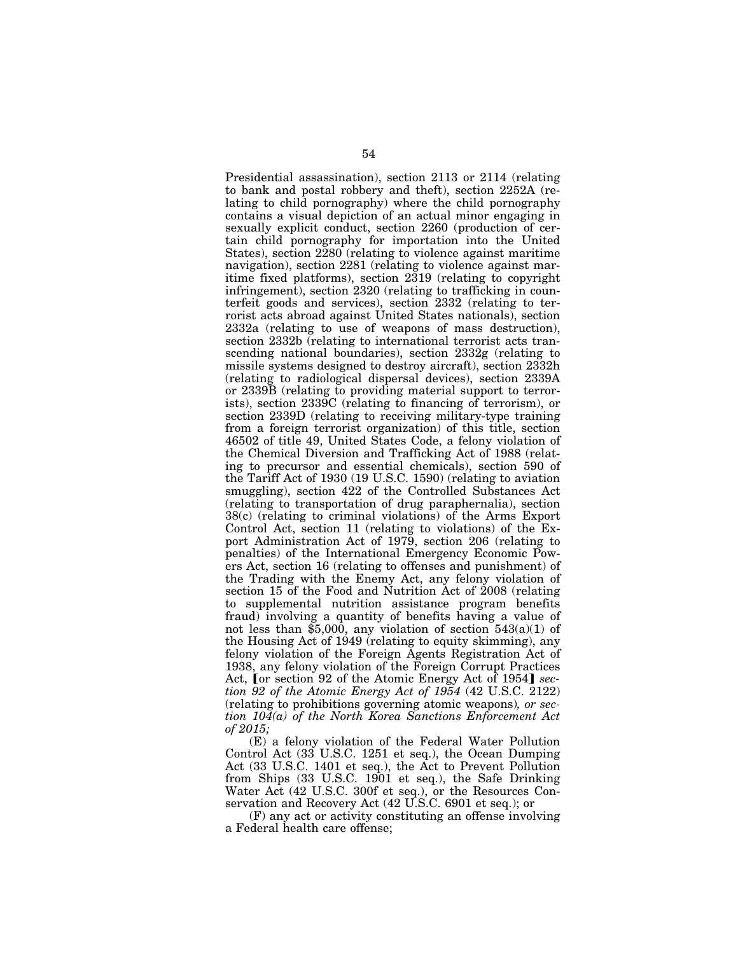Presidential assassination), section 2113 or 2114 (relating to bank and postal robbery and theft), section 2252A (relating to child pornography) where the child pornography contains a visual depiction of an actual minor engaging in sexually explicit conduct, section 2260 (production of certain child pornography for importation into the United States), section 2280 (relating to violence against maritime navigation), section 2281 (relating to violence against maritime fixed platforms), section 2319 (relating to copyright infringement), section 2320 (relating to trafficking in counterfeit goods and services), section 2332 (relating to terrorist acts abroad against United States nationals), section 2332a (relating to use of weapons of mass destruction), section 2332b (relating to international terrorist acts transcending national boundaries), section 2332g (relating to missile systems designed to destroy aircraft), section 2332h (relating to radiological dispersal devices), section 2339A or 2339B (relating to providing material support to terrorists), section 2339C (relating to financing of terrorism), or section 2339D (relating to receiving military-type training from a foreign terrorist organization) of this title, section 46502 of title 49, United States Code, a felony violation of the Chemical Diversion and Trafficking Act of 1988 (relating to precursor and essential chemicals), section 590 of the Tariff Act of 1930 (19 U.S.C. 1590) (relating to aviation smuggling), section 422 of the Controlled Substances Act (relating to transportation of drug paraphernalia), section 38(c) (relating to criminal violations) of the Arms Export Control Act, section 11 (relating to violations) of the Export Administration Act of 1979, section 206 (relating to penalties) of the International Emergency Economic Powers Act, section 16 (relating to offenses and punishment) of the Trading with the Enemy Act, any felony violation of section 15 of the Food and Nutrition Act of 2008 (relating to supplemental nutrition assistance program benefits fraud) involving a quantity of benefits having a value of not less than \$5,000, any violation of section 543(a)(1) of the Housing Act of 1949 (relating to equity skimming), any felony violation of the Foreign Agents Registration Act of 1938, any felony violation of the Foreign Corrupt Practices Act, [or section 92 of the Atomic Energy Act of 1954] sec*tion 92 of the Atomic Energy Act of 1954* (42 U.S.C. 2122) (relating to prohibitions governing atomic weapons)*, or section 104(a) of the North Korea Sanctions Enforcement Act of 2015;* 

(E) a felony violation of the Federal Water Pollution Control Act (33 U.S.C. 1251 et seq.), the Ocean Dumping Act (33 U.S.C. 1401 et seq.), the Act to Prevent Pollution from Ships (33 U.S.C. 1901 et seq.), the Safe Drinking Water Act (42 U.S.C. 300f et seq.), or the Resources Conservation and Recovery Act (42 U.S.C. 6901 et seq.); or

(F) any act or activity constituting an offense involving a Federal health care offense;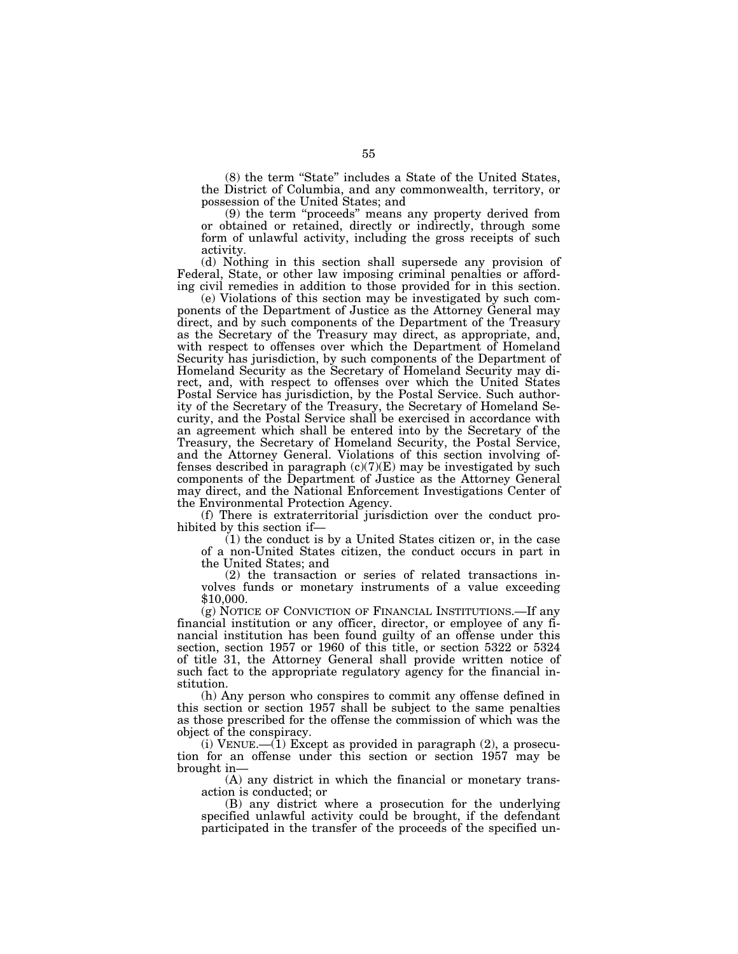(8) the term ''State'' includes a State of the United States, the District of Columbia, and any commonwealth, territory, or possession of the United States; and

(9) the term ''proceeds'' means any property derived from or obtained or retained, directly or indirectly, through some form of unlawful activity, including the gross receipts of such activity.

(d) Nothing in this section shall supersede any provision of Federal, State, or other law imposing criminal penalties or affording civil remedies in addition to those provided for in this section.

(e) Violations of this section may be investigated by such components of the Department of Justice as the Attorney General may direct, and by such components of the Department of the Treasury as the Secretary of the Treasury may direct, as appropriate, and, with respect to offenses over which the Department of Homeland Security has jurisdiction, by such components of the Department of Homeland Security as the Secretary of Homeland Security may direct, and, with respect to offenses over which the United States Postal Service has jurisdiction, by the Postal Service. Such authority of the Secretary of the Treasury, the Secretary of Homeland Security, and the Postal Service shall be exercised in accordance with an agreement which shall be entered into by the Secretary of the Treasury, the Secretary of Homeland Security, the Postal Service, and the Attorney General. Violations of this section involving offenses described in paragraph  $(c)(7)(E)$  may be investigated by such components of the Department of Justice as the Attorney General may direct, and the National Enforcement Investigations Center of the Environmental Protection Agency.

(f) There is extraterritorial jurisdiction over the conduct prohibited by this section if—

(1) the conduct is by a United States citizen or, in the case of a non-United States citizen, the conduct occurs in part in the United States; and

(2) the transaction or series of related transactions involves funds or monetary instruments of a value exceeding \$10,000.

(g) NOTICE OF CONVICTION OF FINANCIAL INSTITUTIONS.—If any financial institution or any officer, director, or employee of any financial institution has been found guilty of an offense under this section, section 1957 or 1960 of this title, or section 5322 or 5324 of title 31, the Attorney General shall provide written notice of such fact to the appropriate regulatory agency for the financial institution.

(h) Any person who conspires to commit any offense defined in this section or section 1957 shall be subject to the same penalties as those prescribed for the offense the commission of which was the object of the conspiracy.

(i) VENUE.— $(1)$  Except as provided in paragraph  $(2)$ , a prosecution for an offense under this section or section 1957 may be brought in—

(A) any district in which the financial or monetary transaction is conducted; or

(B) any district where a prosecution for the underlying specified unlawful activity could be brought, if the defendant participated in the transfer of the proceeds of the specified un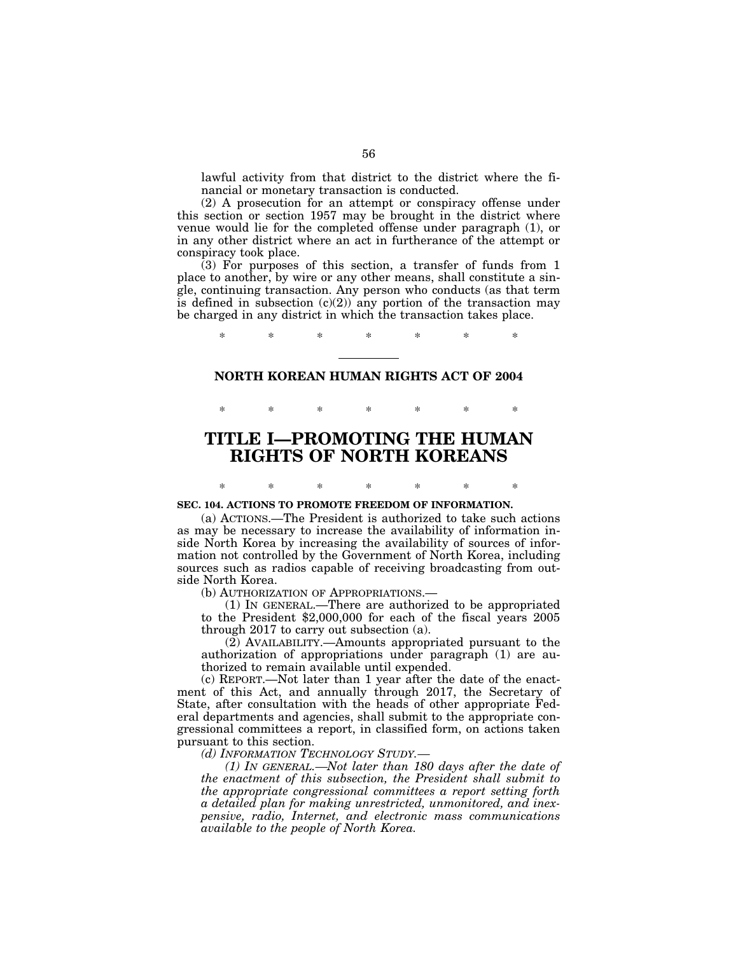lawful activity from that district to the district where the financial or monetary transaction is conducted.

(2) A prosecution for an attempt or conspiracy offense under this section or section 1957 may be brought in the district where venue would lie for the completed offense under paragraph (1), or in any other district where an act in furtherance of the attempt or conspiracy took place.

 $(3)$  For purposes of this section, a transfer of funds from 1 place to another, by wire or any other means, shall constitute a single, continuing transaction. Any person who conducts (as that term is defined in subsection  $(c)(2)$ ) any portion of the transaction may be charged in any district in which the transaction takes place.

\* \* \* \* \* \* \*

## **NORTH KOREAN HUMAN RIGHTS ACT OF 2004**

\* \* \* \* \* \* \*

# **TITLE I—PROMOTING THE HUMAN RIGHTS OF NORTH KOREANS**

\* \* \* \* \* \* \*

### **SEC. 104. ACTIONS TO PROMOTE FREEDOM OF INFORMATION.**

(a) ACTIONS.—The President is authorized to take such actions as may be necessary to increase the availability of information inside North Korea by increasing the availability of sources of information not controlled by the Government of North Korea, including sources such as radios capable of receiving broadcasting from outside North Korea.

(b) AUTHORIZATION OF APPROPRIATIONS.—

(1) IN GENERAL.—There are authorized to be appropriated to the President \$2,000,000 for each of the fiscal years 2005 through 2017 to carry out subsection (a).

(2) AVAILABILITY.—Amounts appropriated pursuant to the authorization of appropriations under paragraph (1) are authorized to remain available until expended.

(c) REPORT.—Not later than 1 year after the date of the enactment of this Act, and annually through 2017, the Secretary of State, after consultation with the heads of other appropriate Federal departments and agencies, shall submit to the appropriate congressional committees a report, in classified form, on actions taken pursuant to this section.

*(d) INFORMATION TECHNOLOGY STUDY.—* 

*(1) IN GENERAL.—Not later than 180 days after the date of the enactment of this subsection, the President shall submit to the appropriate congressional committees a report setting forth a detailed plan for making unrestricted, unmonitored, and inexpensive, radio, Internet, and electronic mass communications available to the people of North Korea.*